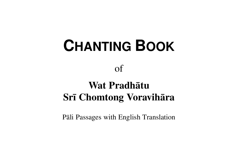# **CHANTING BOOK**

of

## **Wat Pradhātu Srī Chomtong Voravihāra**

Pāli Passages with English Translation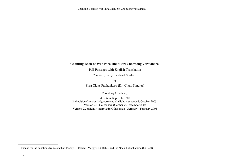#### **Chanting Book of Wat Phra Dhātu Srī Chomtong Voravihāra**

Pāli Passages with English Translation

Compiled, partly translated & edited

by

Phra Claus Pabhaïkaro (Dr. Claus Sandler)

<span id="page-1-0"></span>Chomtong (Thailand),

1st edition, September 2003 2nd edition (Version 2.0), corrected  $\&$  slightly expanded, October 2003<sup>[1](#page-1-0)</sup> Version 2.1: Götzenhain (Germany), December 2003 Version 2.2 (slightly improved): Götzenhain (Germany), February 2004

<sup>|&</sup>lt;br>1 Thanks for the donations from Jonathan Preboy (100 Baht), Maggy (400 Baht), and Pra Noah Yuttadhammo (80 Baht).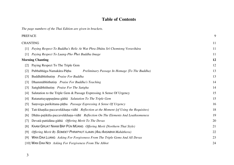## **Table of Contents**

*The page numbers of the Thai Edition are given in brackets.* 

| PREFACE           |                                                                                    | 9  |
|-------------------|------------------------------------------------------------------------------------|----|
|                   | <b>CHANTING</b>                                                                    | 11 |
| $\lceil 1 \rceil$ | Paying Respect To Buddha's Relic At Wat Phra Dhātu Srī Chomtong Voravihāra         | 11 |
| $\lceil 1 \rceil$ | Paying Respect To Luang-Pho Phet Buddha Image                                      | 11 |
|                   | <b>Morning Chanting</b>                                                            | 12 |
| $\lceil 2 \rceil$ | Paying Respect To The Triple Gem                                                   | 12 |
| $\lceil 2 \rceil$ | Pubbabhāga-Namakāra-Pātha<br>Preliminary Passage In Homage (To The Buddha)         | 13 |
| $\lceil 3 \rceil$ | Buddhābhithutim Praise For Buddha                                                  | 13 |
| [3]               | Dhammābhithutim Praise For Buddha's Teaching                                       | 14 |
| $\lceil 3 \rceil$ | Sanghabhithutim Praise For The Sangha                                              | 14 |
| [4]               | Salutation to the Triple Gem & Passage Expressing A Sense Of Urgency               | 15 |
| [4]               | Ratanattayappanāma-gāthā Salutation To The Triple Gem                              | 15 |
| [5]               | Samvega-parikittana-pātha Passage Expressing A Sense Of Urgency                    | 16 |
| [6]               | Tan-khanika-paccavekkhana-vidhī Reflection at the Moment (of Using the Requisites) | 18 |
| [6]               | Dhātu-paṭikūla-paccavekkhaṇa-vidhī Reflection On The Elements And Loathsomeness    | 19 |
| [7]               | Devatā-pattidāna-gāthā Offering Merit To The Devas                                 | 20 |
| [8]               | KAAM GRUAT NAAM BÄP PÜN MÜANG Offering Merit (Northern Thai Style)                 | 21 |
| [9]               | Offering Merit By SOMDET PHRAPHUT AJAAN (AAJ AASABHA Mahāthera)                    | 22 |
| [9]               | WAN DAA LUANG Asking For Forgiveness From The Triple Gems And All Devas            | 23 |
|                   | [10] WAN DAA NOI Asking For Forgiveness From The Abbot                             | 24 |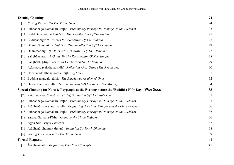| <b>Evening Chanting</b>                                                                        | 24 |
|------------------------------------------------------------------------------------------------|----|
| [10] Paying Respect To The Triple Gem                                                          | 24 |
| [11] Pubbabhāga-Namakāra-Pāṭha Preliminary Passage In Homage (to the Buddha)                   | 25 |
| [11] Buddhānussati A Guide To The Recollection Of The Buddha                                   | 25 |
| [11] Buddhābhigītim Verses In Celebration Of The Buddha                                        | 26 |
| [12] Dhammānussati A Guide To The Recollection Of The Dhamma                                   | 27 |
| [12] Dhammābhigītim Verses In Celebration Of The Dhamma                                        | 27 |
| [13] Sanghānussati A Guide To The Recollection Of The Sangha                                   | 28 |
| [13] Sanghābhigītim Verses In Celebration Of The Sangha                                        | 29 |
| [14] Atīta-paccavekkhaṇa-vidhī Reflection After Using (The Requisites)                         | 30 |
| [15] Uddisanādhitthāna-gāthā Offering Merit                                                    | 31 |
| [16] Buddha-mangala-gāthā The Auspicious Awakened Ones                                         | 32 |
| [16] Dasa-Dhamma-Sutta Ten (Recommended) Conducts (For Monks)                                  | 34 |
| Special Chanting for Nuns & Laypeople at the Evening before the 'Buddhist Holy Day' (WAN GOON) | 35 |
| [20] Ratana-ttaya-kāra-pātha (Brief) Salutation Of The Triple Gem                              | 35 |
| [20] Pubbabhāga-Namakāra-Pāṭha Preliminary Passage in Homage (to the Buddha)                   | 35 |
| [18] Arādhanā-tisarana-attha-sīla Requesting the Three Refuges and the Eight Precepts          | 36 |
| [18] Pubbabhāga-Namakāra-Pāṭha Preliminary Passage in Homage (to the Buddha)                   | 36 |
| [18] Sarana-Gamana-Pāṭha Going to the Three Refuges                                            | 36 |
| [19] Attha-Sīla Eight Precepts                                                                 | 37 |
| [19] Ārādhanā-dhamma-desanā Invitation To Teach Dhamma                                         | 38 |
| Asking Forgiveness To The Triple Gem<br>$[-]$                                                  | 39 |
| <b>Formal Requests</b>                                                                         | 41 |
| [18] $\bar{A}$ rādhanā-sīla Requesting The (Five) Precepts                                     | 41 |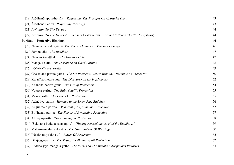| [19] Arādhanā-uposatha-sīla Requesting The Precepts On Uposatha Days                    | 43 |
|-----------------------------------------------------------------------------------------|----|
| [21] Ārādhanā Paritta Requesting Blessings                                              | 43 |
| [21] Invitation To The Devas 1                                                          | 44 |
| [22] Invitation To The Devas 2 (Samantā Cakkavāļesu  From All Round The World-Systems)  | 44 |
| <b>Parittas - Protective Blessings</b>                                                  |    |
| [23] Namakāra-siddhi-gāthā The Verses On Success Through Homage                         | 46 |
| [24] Sambuddhe The Buddhas                                                              | 47 |
| [24] Namo-kāra-atthaka The Homage Octet                                                 | 47 |
| [25] Mangala-sutta The Discourse on Good Fortune                                        | 48 |
| [26] BODKHAT-ratana-sutta                                                               | 49 |
| [27] Cha-ratana-paritta-gāthā The Six Protective Verses from the Discourse on Treasures | 50 |
| [29] Karanīya-metta-sutta The Discourse on Lovingkindness                               | 52 |
| [30] Khandha-paritta-gāthā The Group Protection                                         | 54 |
| [30] Vattaka-paritta The Baby Quail's Protection                                        | 55 |
| [31] Mora-paritta The Peacock's Protection                                              | 55 |
| [32] Atānātiya-paritta Homage to the Seven Past Buddhas                                 | 56 |
| [32] Angulimāla-paritta (Venerable) Angulimāla's Protection                             | 57 |
| [33] Bojjhanga-paritta The Factor-of-Awakening Protection                               | 57 |
| [34] Abhaya-paritta The Danger-free Protection                                          | 58 |
| [34] "Sakkatvā buddha-ratanam " "Having revered the jewel of the Buddha "               | 59 |
| [35] Maha-mangala-cakkavāļa The Great Sphere Of Blessings                               | 60 |
| [36] "Nakkhattayakkha " Power Of Protection                                             | 62 |
| [36] Dhajagga-paritta The Top-of-the-Banner-Staff Protection                            | 62 |
| [37] Buddha-jaya-mangala-gāthā The Verses Of The Buddha's Auspicious Victories          | 63 |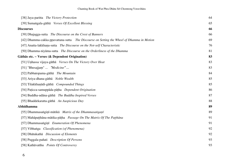| [38] Jaya-paritta The Victory Protection                                                  | 64 |
|-------------------------------------------------------------------------------------------|----|
| [39] Sumangala-gāthā Verses Of Excellent Blessing                                         | 65 |
| <b>Discourses</b>                                                                         | 66 |
| [39] Dhajagga-sutta The Discourse on the Crest of Banners                                 | 66 |
| [42] Dhamma-cakka-ppavattana-sutta The Discourse on Setting the Wheel of Dhamma in Motion | 69 |
| [47] Anatta-lakkhana-sutta The Discourse on the Not-self Characteristic                   | 76 |
| [50] Dhamma-niyama-sutta The Discourse on the Orderliness of the Dhamma                   | 81 |
| Gāthās etc. – Verses (& Dependent Origination)                                            | 83 |
| [51] Unhassa vijaya-gāthā Verses On The Victory Over Heat                                 | 83 |
| [51] "Bhesajjam"  "Medicine"                                                              | 83 |
| [52] Pabbatopama-gāthā The Mountain                                                       | 84 |
| [53] Ariya-dhana-gāthā Noble Wealth                                                       | 85 |
| [53] Tilakkhanādi-gāthā Compounded Things                                                 | 85 |
| [54] Paticca-samuppāda-pātha Dependent Origination                                        | 86 |
| [54] Buddha-udāna-gāthā The Buddha Inspired Verses                                        | 87 |
| [55] Bhaddekaratta-gāthā An Auspicious Day                                                | 88 |
| Abhidhamma                                                                                | 89 |
| [55] Dhammasanginī-mātikā Matrix of the Dhammasanganī                                     | 89 |
| [57] Mahāpatthāna-mātika-pātha Passage On The Matrix Of The Patthāna                      | 91 |
| [57] Dhammasangini Enumeration Of Phenomena                                               | 91 |
| [57] Vibhanga Classification (of Phenomena)                                               | 92 |
| [58] Dhātukathā Discussion of Elements                                                    | 92 |
| [58] Puggala-pañati Description Of Persons                                                | 93 |
| [58] Kathāvatthu Points Of Controversy                                                    | 93 |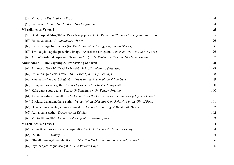| [59] Yamaka (The Book Of) Pairs                                                                | 94  |
|------------------------------------------------------------------------------------------------|-----|
| [59] Patthāna (Matrix Of The Book On) Origination                                              | 94  |
| <b>Miscellaneous Verses I</b>                                                                  | 95  |
| [59] Dukkha-ppattādi-gāthā or Devatā-uyyojana-gāthā Verses on 'Having Got Suffering and so on' | 95  |
| [60] Pamsukūlatāya (Compounded Things)                                                         | 96  |
| [60] Pamsukūla-gāthā Verses (for Recitation while taking) Pamsukūla (Robes)                    | 96  |
| [60] Tiro-kudda-kandha-pacchima-bhāga (Adāsi-me-ādi-gāthā Verses on 'He Gave to Me', etc.)     | 96  |
| [60] Atthavīsati-buddha-paritta ("Namo me" ) The Protective Blessing Of The 28 Buddhas         | 97  |
| Anumodanā – Thanksgiving & Transfering of Merit                                                | 98  |
| [62] Anumodanā-vidhī ("Yathā vārivahā pūrā ") Means Of Blessing                                | 98  |
| [62] Culla-mangala-cakka-vāla The Lesser Sphere Of Blessings                                   | 98  |
| [63] Ratana-ttayānubhavādi-gāthā Verses on the Power of the Triple Gem                         | 99  |
| [63] Keniyānumodana-gāthā Verses Of Benediction In The Kenīyāsutta                             | 100 |
| [64] Kāla-dāna-sutta-gāthā Verses Of Benediction On Timely Offering                            | 100 |
| [64] Aggappasāda-sutta-gāthā The Verses from the Discourse on the Supreme (Objects of) Faith   | 101 |
| [64] Bhojana-dānānumodana-gāthā Verses (of the Discourse) on Rejoicing in the Gift of Food     | 101 |
| [65] Devatādissa-dakkhiņānumodana-gāthā Verses for Sharing of Merit with Devas                 | 102 |
| [65] Adiya-sutta-gāthā Discourse on Edibles                                                    | 102 |
| [65] Vihāradāna-gāthā Verses on the Gift of a Dwelling-place                                   | 103 |
| <b>Miscellaneous Verses II</b>                                                                 | 104 |
| [66] Khemākhema-sarana-gamana-paridīpikā-gāthā Secure & Unsecure Refuge                        | 104 |
| [66] "Sukho"  "Happy"                                                                          | 105 |
| [67] "Buddho mangala-sambhūto"  "The Buddha has arisen due to good fortune"                    | 106 |
| [67] Jaya-pañjara-pannarasa-gāthā The Victor's Cage                                            | 106 |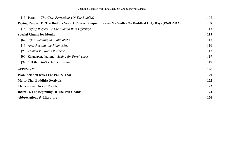Chanting Book of Wat Phra Dhātu Srī Chomtong Voravihāra

| The (Ten) Perfections (Of The Buddha)<br>Pāramī<br>$[-]$                                               | 108        |
|--------------------------------------------------------------------------------------------------------|------------|
| Paying Respect To The Buddha With A Flower Bouquet, Incents & Candles On Buddhist Holy Days (WAN PHRA) | <b>108</b> |
| [76] Paying Respect To The Buddha With Offerings                                                       | 115        |
| <b>Special Chants for Monks</b>                                                                        | 115        |
| [87] Before Reciting the Pātimokkha                                                                    | 115        |
| After Reciting the Pāṭimokkha<br>$ - $                                                                 | 116        |
| [90] Vassāvāsa Rains-Residence                                                                         | 118        |
| [90] Khamāpana-kamma Asking for Forgiveness                                                            | 119        |
| [92] KHAAM-LAA-Sikkhā Disrobing                                                                        | 119        |
| <b>APPENDIX</b>                                                                                        | 120        |
| <b>Pronunciation Rules For Pali &amp; Thai</b>                                                         | 120        |
| <b>Major Thai Buddhist Festivals</b>                                                                   | 122        |
| The Various Uses of Paritta                                                                            |            |
| <b>Index To The Beginning Of The Pali Chants</b>                                                       |            |
| <b>Abbreviations &amp; Literature</b>                                                                  |            |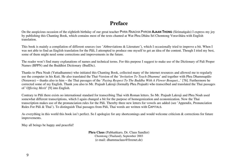## **Preface**

<span id="page-8-0"></span>On the auspicious occasion of the eightieth birthday of our great teacher PHRA RAACHA PHROM **AJAAN THONG** (Sirimaïgalo) I express my joy by publishing this Chanting Book, which contains most of the texts chanted at Wat Phra Dhātu Srī Chomtong Voravihāra with English translation.

This book is mainly a compilation of different sources (see 'Abbreviations & Literature'), which I occasionally tried to improve a bit. When I was not able to find an English translation for the Pāli, I attempted to produce one myself to get an idea of the content. Though I tried my best, some of them might need some corrections and improvements in the future.

The reader won't find many explanations of names and technical terms. For this purpose I suggest to make use of the Dictionary of Pali Proper Names (BPPN) and the Buddhist Dictionary (BudDic).

Thanks to Phra Noah (Yuttadhammo) who initiated this Chanting Book, collected many of the internet resources and allowed me to regularly use the computer in his Kuti. He also translated the Thai-Version of the '*Invitation To Teach Dhamma*' and together with Phra Dhammapālo (Norawee) − thanks also to him − the Thai passages of the '*Paying Respect To The Buddha With A Flower Bouquet...*' [76]. Furthermore he corrected some of my English. Thank you also to Mr. Prajuab Lakruji (formally Phra Prajuab) who transcribed and translated the Thai passages of '*Offering Merit*' [9] into English.

Contrary to Pāli there exists no international standard for transcribing Thai with Roman letters. So Mr. Prajuab Lakruji and Phra Noah used somewhat different transcriptions, which I again changed a bit for the purpose of homogenization and economization. Now the Thai transcription makes use of the pronunciation rules for the Pāli. Thereby three new letters for vowels are added (see 'Appendix, Pronunciation Rules For Pāli & Thai'). To distinguish Thai passages from Pāli, Thai words are written with CAPITALS.

As everything in this world this book isn't perfect. So I apologize for any shortcomings and would welcome criticism & corrections for future improvements.

May all beings be happy and peaceful!

**Phra Claus** (Pabhaïkaro, Dr. Claus Sandler) Chomtong (Thailand), September 2003 (e-mail: dhammaclaus@freenet.de)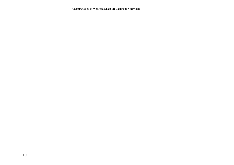Chanting Book of Wat Phra Dhātu Srī Chomtong Voravihāra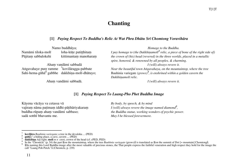## **Chanting**

## **[1]** *Paying Respect To Buddha's Relic At Wat Phra Dhātu Srī Chomtong Voravihāra*

<span id="page-10-0"></span>

| Namo buddhāya;        |                                                           | Homage to the Buddha.                                                                       |  |
|-----------------------|-----------------------------------------------------------|---------------------------------------------------------------------------------------------|--|
| Namāmi tiloka-molī    | loha-kūte patit thitam                                    | I pay homage to (the Dakkhinamoli <sup>3</sup> relic, a piece of bone of the right side of) |  |
| Pūjitam sabbalokehi   | kittimantam manoharam                                     | the crown of (his) head (revered) in the three worlds, placed in a metallic                 |  |
|                       |                                                           | spire, honored, & renowned by all peoples, & charming.                                      |  |
| Aham vandāmi sabbadā  |                                                           | $I(will)$ always revere it.                                                                 |  |
|                       | Angavahaye pure ramme kovilāragga-pabbate                 | Near the beautiful town Angavahaya, on the mountaintop, where the tree                      |  |
|                       | Sahi-hema-gūhā <sup>2</sup> gabbhe dakkhina-molī-dhātuyo; | Bauhinia variegate $(grows)^4$ , is enshrined within a golden cavern the                    |  |
|                       |                                                           | Dakkhinamolī relic.                                                                         |  |
| Aham vandāmi sabbadā. |                                                           | $I(will)$ always revere it.                                                                 |  |

## **[1]** *Paying Respect To Luang-Pho Phet Buddha Image*

Kāyena vācāya va cetassa vā vajiram nāma patimam iddhi-pātihāriyakaram buddha-rūpam aham vandāmi sabbaso; sadā sotthī bhavantu me.

<span id="page-10-4"></span><span id="page-10-3"></span><span id="page-10-2"></span><span id="page-10-1"></span>*By body, by speech, & by mind I* (will) always revere the image named diamond<sup>5</sup>[,](#page-10-4) *the Buddha statue, working wonders of psychic power. May I be blessed forevermore.* 

j

<sup>1</sup> **koviļāra** *Bauhinia variegata*; a tree in the devaloka ... (PED)

<sup>2</sup> **guhā** *f* a hiding place, a cave, cavern ... (PED)

<sup>3</sup> **dakkhiņa** *Adj* right; **moli** *m n* crest, crown of the head (cf. cPED, PED)

<sup>4</sup> In the 'Chronicle' (p. 54) the part Ron the mountaintop, where the tree *Bauhinia variegate* (grows) $\tilde{a}$  is translated as Ron the summit of Doi [= mountain] Chomtong $\tilde{a}$ .

<sup>5</sup> »In naming this Lord Buddha image after the most valuable of precious stones, the Thai people express the faithful veneration and high respect they hold for the image the call "Luang Poh Petch." $\tilde{a}$  (Chronicle, p. 239)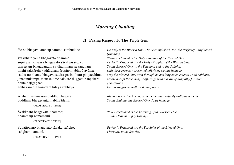## *Morning Chanting*

## **[2] Paying Respect To The Triple Gem**

svākkhāto yena bhagavatā dhammo *Well-Proclaimed is the Holy Teaching of the Blessed One.*  supatipanno yassa bhagavato sāvaka-saṅgho. *Perfectly Practiced are the Holy Disciples of the Blessed One.* tam ayam bhagavantam sa-dhammam sa-sañgham *To the Blessed One, to the Dhamma and to the Sañgha,* imehi sakkārehi yathāraham āropitehi abhipūjayāma. *with these properly presented offerings, we pay homage.* sādhu no bhante bhagavā sucira-parinibbuto pi, pacchimājanatānukampa-mānasā, ime sakkāre duggata-pannākārabhūte patiganhātu, amhākam dīgha-rattam hitāya sukhāya. *for our long-term welfare & happiness.* 

(PROSTRATE 1 TIME)

dhammam namassāmi. *To* the Dhamma I pay Homage.

(PROSTRATE 1 TIME)

saṅgham namāmi. *I bow low to the Saṅgha*.

(PROSTRATE 1 TIME)

<span id="page-11-0"></span>Yo so bhagavā araham sammā-sambuddho *He truly is the Blessed One, The Accomplished One, the Perfectly Enlightened (Buddha). May the Blessed One, even through he has long since entered Total Nibbāna, please accept these meager offerings with a heart of sympathy for later generations,* 

Arahaü sammā-sambuddho bhagavā; *Blessed is He, the Accomplished One, the Perfectly Enlightened One.*  buddham bhagavantam abhivādemi. *To the Buddha, the Blessed One, I pay homage.* 

Svākkhāto bhagavatā dhammo; *Well-Proclaimed is the Teaching of the Blessed One.* 

Supatipanno bhagavato sāvaka-saṅgho; *Perfectly Practiced are the Disciples of the Blessed One.*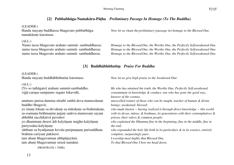## **[2] Pubbabhāga-Namakāra-Pāñha** *Preliminary Passage In Homage (To The Buddha)*

## <span id="page-12-0"></span>(LEADER:)

Handa mayam buddhassa bhagavato pubbabhāganamakāram karomase.

## $(ALL:$

*Now let us chant the preliminary (passage in) homage to the Blessed One.*

Namo tassa bhagavato arahato sammā- sambuddhassa; *Homage to the Blessed One, the Worthy One, the Perfectly Self-awakened One.* namo tassa bhagavato arahato sammā- sambuddhassa; *Homage to the Blessed One, the Worthy One, the Perfectly Self-awakened One.* namo tassa bhagavato arahato sammā- sambuddhassa. *Homage to the Blessed One, the Worthy One, the Perfectly Self-awakened One.*

## **[3] Buddhābhithutiü** *Praise For Buddha*

## (LEADER:)

## $(ALL:$

anuttaro purisa-damma-sārathi satthā deva-manussānam buddho bhagavā;

yo imam lokam sa-devakam sa-mārakam sa-brahmakam, sa-ssamana-brāhmanim pajam sadeva-manussam sayam abhiññā sacchikatvā pavedesi

yo dhammam desesi ādi-kalyānam majjhe-kalyānam pariyosāna-kalyānam

sāttham sa-byañjanam kevala-paripunnam parisuddham brahma-cariyam pakāsesi:

tam aham bhagavantam abhipūjayāmi, *I worship most highly that Blessed One,* 

(PROSTRATE 1 TIME)

Handa mayam buddhābhithutim karomase. *Now let us give high praise to the Awakened One:* 

[Yo so tathāgato] arahaü sammā-sambuddho, *He who has attained the truth, the Worthy One, Perfectly Self-awakened,* vijjā-caraña-sampanno sugato lokavidū, *consummate in knowledge & conduct, one who has gone the good way, knower of the cosmos,*

> *unexcelled trainer of those who can be taught, teacher of human & divine beings; awakened; blessed;*

*who made known − having realized it through direct knowledge − this world with its devas, māras, & brahmas, its generations with their contemplatives & priests, their rulers & common people;*

*who explained the Dhamma fine in the beginning, fine in the middle, fine in the end;*

*who expounded the holy life both in its particulars & in its essence, entirely complete, surpassingly pure:*

tam aham bhagavantam sirasā namāmi. *To that Blessed One I bow my head down.*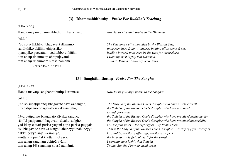## **[3] Dhammābhithutiü** *Praise For Buddha's Teaching*

## <span id="page-13-0"></span>(LEADER:)

Handa mayam dhammābhithutim karomase. *Now let us give high praise to the Dhamma:* 

## $(ALL:$

tam aham dhammam abhipūjayāmi, tam aham dhammam sirasā namāmi.

(PROSTRATE 1 TIME)

[Yo so svākkhāto] bhagavatā dhammo, *The Dhamma well-expounded by the Blessed One,*  sanditthiko akāliko ehipassiko, *to be seen here & now, timeless, inviting all to come & see,* opanayiko paccattaü veditabbo viññūhi, *leading inward, to be seen by the wise for themselves: I worship most highly that Dhamma, To that Dhamma I bow my head down.* 

## **[3] Saïghābhithutiü** *Praise For The Saïgha*

#### (LEADER:)

Handa mayam sanghābhithutim karomase. *Now let us give high praise to the Sangha: Now let us give high praise to the Sangha:* 

## $(ALL:$

yad idaü cattāri purisa-yugāni aññha purisa-puggalā; *i.e., the four pairs − the eight types − of Noble Ones:* esa bhagavato sāvaka-saïgho āhuneyyo pāhuneyyo dakkhineyyo añjali-karanīyo, anuttaram puññakkhettam lokassa; *the incomparable field of merit for the world:* tam aham saṅgham abhipūjayāmi,  $\tan$  aham  $[4]$  sangham sirasā namāmi.

[Yo so supatipanno] bhagavato sāvaka-saṅgho, *The Saṅgha of the Blessed One's disciples who have practiced well,* uju-patipanno bhagavato sāvaka-saṅgho, *the Saṅgha of the Blessed One's disciples who have practiced straightforwardly,* ñāya-pañipanno bhagavato sāvaka-saïgho, *the Saïgha of the Blessed One's disciples who have practiced methodically,* sāmīci-patipanno bhagavato sāvaka-saṅgho, *the Saṅgha of the Blessed One's disciples who have practiced masterfully, That is the Saïgha of the Blessed One's disciples − worthy of gifts, worthy of hospitality, worthy of offerings, worthy of respect, I worship most highly that Saïgha, To that Saïgha I bow my head down.*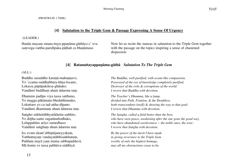## **[4] Salutation to the Triple Gem & Passage Expressing A Sense Of Urgency**

## <span id="page-14-0"></span>(LEADER:)

Handa mayam ratana-ttaya-ppañama-gāthāyo c' eva samvega-vatthu-paridīpaka-pāthañ ca bhanāmase.

Now let us recite the stanzas in salutation to the Triple Gem together with the passage on the topics inspiring a sense of chastened dispassion:

## **[4] Ratanattayappaõāma-gāthā** *Salutation To The Triple Gem*

## $(ALL:$

Buddho susuddho karunā-mahannavo, Yo 'ccanta-suddhabbara-ñāna-locano, Lokassa pāpūpakilesa-ghātako: Vandāmi buddham aham ādarena tam.

Dhammo padīpo viya tassa satthuno, Yo magga-pākāmata-bhedabhinnako, Lokuttaro yo ca tad-attha-dīpano: Vandāmi dhammam aham ādarena tam.

Sangho sukhettābhyatikhetta-saññito, Yo dittha-santo sugatānubodhako, Lolappahīno ariyo sumedhaso: Vandāmi saṅgham aham ādarena tam.

Icc evam ekant'abhipūjaneyyakam, Vatthuttayam vandayatābhisañkhatam, Puññam mayā yam mama sabbupaddavā, Mā hontu ve tassa pabhāva-siddhiyā.

*The Buddha, well-purified, with ocean-like compassion, Possessed of the eye of knowledge completely purified, Destroyer of the evils & corruptions of the world: I revere that Buddha with devotion.*

*The Teacher's Dhamma, like a lamp, divided into Path, Fruition, & the Deathless, both transcendent (itself) & showing the way to that goal: I revere that Dhamma with devotion.*

*The Saïgha, called a field better than the best, who have seen peace, awakening after the one gone the good way, who have abandoned carelessness − the noble ones, the wise: I revere that Saïgha with devotion.*

*By the power of the merit I have made in giving reverence to the Triple Gem worthy of only the highest homage, may all my obstructions cease to be.*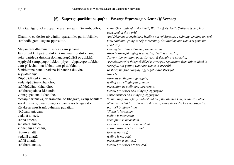## **[5] Saüvega-parikittana-pāñha** *Passage Expressing A Sense Of Urgency*

<span id="page-15-0"></span>Idha tathāgato loke uppanno araham sammā-sambuddho, Here, One attained to the Truth, Worthy & Perfectly Self-awakened, has *appeared in the world,* Dhammo ca desito niyyāniko upasamiko parinibbāniko sambodhagāmī sugata-ppavedito. *And Dhamma is explained, leading out (of Saüsāra), calming, tending toward total Nibbāna, going to self-awakening, declared by one who has gone the good way.*  Mayan tam dhammam sutvā evam jānāma: *Having heard the Dhamma, we know this:* Jāti pi dukkhā jarā pi dukkhā maranam pi dukkham, *Birth is stressful, aging is stressful, death is stressful,* soka-parideva-dukkha-domanassupāyāsā pi dukkhā, *Sorrow, lamentation, pain, distress, & despair are stressful,* Appiyehi sampayogo dukkho piyehi vippayogo dukkho yam p' iccham na labhati tam pi dukkham. *Association with things disliked is stressful, separation from things liked is stressful, not getting what one wants is stressful.* Saïkhittena pañc-upādāna-kkhandhā dukkhā, *In short, the five clinging-aggregates are stressful,* seyyath<del>idam:</del> *Namely: Namely:* Rūpūpādāna-kkhandho, *Form as a clinging-aggregate,* vedanūpādāna-kkhandho, *feeling as a clinging-aggregate,* saññūpādāna-kkhandho, *perception as a clinging-aggregate,* saïkhārūpādāna-kkhandho, *mental processes as a clinging-aggregate,* viññāõūpādāna-kkhandho. *consciousness as a clinging-aggregate.* Yesam pariññāya, dharamāno so bhagavā, evam bahulam sāvake vineti; evam bhāgā ca pan' assa bhagavato sāvakesu anusāsanī, bahulam pavattati: *So that they might fully understand this, the Blessed One, while still alive, often instructed his listeners in this way; many times did he emphasize this part of his admonition:* "Rūpam aniccam, "Rūpam aniccam" **"Form is inconstant**," vedanā aniccā, *feeling is inconstant,* saññā aniccā, *perception is inconstant,* saïkhārā aniccā, *mental processes are inconstant,* viññānam aniccam, *consciousness is inconstant*, rūpaü anattā, *form is not-self,* vedanā anattā, *feeling is not-self,* saññā anattā, *perception is not-self,* saïkhārā anattā, *mental processes are not-self,*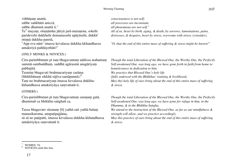<span id="page-16-1"></span><span id="page-16-0"></span>

| viññānam anattā,<br>sabbe saṅkhārā aniccā,<br>sabbe dhammā anattā ti."<br>Te <sup>1</sup> mayam, otinnāmha jātiyā jarā-maranena, sokehi<br>paridevehi dukkhehi domanassehi upāyāsehi, dukkh'<br>otinnā dukkha-paretā,<br>"App eva nām' imassa kevalassa dukkha-kkhandhassa<br>antakiriyā paññāyethāti!"         | consciousness is not-self;<br>all processes are inconstant,<br>all phenomena are not-self."<br>All of us, beset by birth, aging, & death, by sorrows, lamentations, pains,<br>distresses, & despairs, beset by stress, overcome with stress, (consider),<br>"O, that the end of this entire mass of suffering & stress might be known!"                                                                                             |
|-----------------------------------------------------------------------------------------------------------------------------------------------------------------------------------------------------------------------------------------------------------------------------------------------------------------|-------------------------------------------------------------------------------------------------------------------------------------------------------------------------------------------------------------------------------------------------------------------------------------------------------------------------------------------------------------------------------------------------------------------------------------|
| (ONLY MONKS & NOVICES:)                                                                                                                                                                                                                                                                                         |                                                                                                                                                                                                                                                                                                                                                                                                                                     |
| Cira-parinibbutam pi tam bhagavantam uddissa arahantam<br>sammā-sambuddham, saddhā agārasmā anagāriyam<br>pabbajitā.<br>Tasmim bhagavati brahmacariyam carāma<br>(bhikkhūnam sikkhā-sājīva-samāpannā). <sup>2</sup><br>Tam no brahmacariyam imassa kevalassa dukkha-<br>kkhandhassa antakiriyāya samvattatū ti. | Though the total Liberation of the Blessed One, the Worthy One, the Perfectly<br>Self-awakened One, was long ago, we have gone forth in faith from home to<br>homelessness in dedication to him.<br>We practice that Blessed One's holy life<br>(fully endowed with the Bhikkhus' training & livelihood).<br>May this holy life of ours bring about the end of this entire mass of suffering<br>& stress.                           |
| (OTHERS:)<br>Cira-parinibbutam pi tam bhagavantam saranam gatā,<br>dhammañ ca bhikkhu-sanghañ ca,<br>Tassa bhagavato sāsanam [6] yathā-sati yathā-balam<br>manasikaroma, anupatipajjāma,<br>sā sā no patipatti, imassa kevalassa dukkha-kkhandhassa<br>antakiriyāya samvattatū ti.                              | Though the total Liberation of the Blessed One, the Worthy One, the Perfectly<br>Self-awakened One, was long ago, we have gone for refuge in him, in the<br>Dhamma, & in the Bhikkhu Sangha,<br>We attend to the instruction of the Blessed One, as far as our mindfulness $\&$<br>strength will allow, and we practice accordingly.<br>May this practice of ours bring about the end of this entire mass of suffering<br>& stress. |
|                                                                                                                                                                                                                                                                                                                 |                                                                                                                                                                                                                                                                                                                                                                                                                                     |

<sup>&</sup>lt;sup>1</sup> WOMEN: Tā<br><sup>2</sup> NOVICES omitt this line.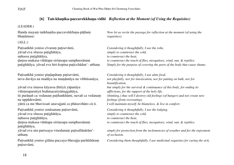## **[6] Taï-khaõika-paccavekkhaõa-vidhī** *Reflection at the Moment (of Using the Requisites)*

## <span id="page-17-0"></span>(LEADER:)

Handa mayam taṅkhanika-paccavekkhana-pātham bhanāmase:

## $(ALL:$

Patisankhā yoniso cīvaram patisevāmi, *Considering it thoughtfully, I use the robe,* yāvad eva sītassa pañighātāya, *simply to counteract the cold,* uõhassa pañighātāya, *to counteract the heat,* damsa-makasa-vātātapa-sirimsapa-samphassānam patighātāya, yāvad eva hiri-kopina-paticchādan'- attham.

Patisankhā yoniso pindapātam patisevāmi, *Considering it thoughtfully, I use alms food,* 

yāvad eva imassa kāyassa thitiyā yāpanāya

vihimsuparatiyā brahmacariyānuggahāya,

iti purānañ ca vedanam patihankhāmi, navañ ca vedanam na uppādessāmi;

yātrā ca me bhavissati anavajjatā ca phāsuvihāro cā ti. *I will maintain myself, be blameless, & live in comfort.*

yāvad eva sītassa pañighātāya, *simply to counteract the cold,*

damsa-makasa-vātātapa-sirimsapa-samphassānam patighātāya,

yāvad eva utu-parissaya-vinodanam patisallānārām'attham.

Patisankhā yoniso gilāna-paccaya-bhesajja-parikkhāram patisevāmi,

*Now let us recite the passage for reflection at the moment (of using the requisites):*

*to counteract the touch of flies, mosquitoes, wind, sun, & reptiles; Simply for the purpose of covering the parts of the body that cause shame.*

neva davāya na madāya na mandanāya na vibhūsanāya, *not playfully, nor for intoxication, nor for putting on bulk, nor for beautification, but simply for the survival & continuance of this body, for ending its afflictions, for the support of the holy life, (thinking,) thus will I destroy old feelings (of hunger) and not create new feelings (from overeating).*

Patisankhā yoniso senāsanam patisevāmi, *Considering it thoughtfully, I use the lodging,* uõhassa pañighātāya, *to counteract the heat,*

*to counteract the touch of flies, mosquitoes, wind, sun, & reptiles;*

*simply for protection from the inclemencies of weather and for the enjoyment of seclusion.*

*Considering them thoughtfully, I use medicinal requisites for curing the sick,*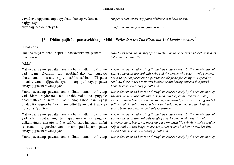<span id="page-18-0"></span>yāvad eva uppannānam veyyābādhikānam vedanānam patighātāya, abyāpajjha-paramatāyā ti. *and for maximum freedom from disease.*

*simply to counteract any pains of illness that have arisen,*

## **[6] Dhātu-paṭikūla-paccavekkhaṇa-vidhī** *Reflection On The Elements And Loathsomeness*<sup>[1](#page-18-1)</sup>

## (LEADER:)

Handha mayam dhātu-patikūla-paccavekkhana-pātham bhanāmase

## $(ALL:$

yad idam cīvaram, tad upabhuñjako ca puggalo dhātumattako nissatto nijjīvo suñño; sabbāni [7] pana imāni cīvarāni ajigucchanīyāni imam pūti-kāyam patvā ativiya jigucchanīyāni jāyanti.

Yathā-paccayam pavattamānam dhātu-mattam ev' etam yad idam pindapāto, tad upabhuñjako ca puggalo dhātumattako nissatto nijiīvo suñño; sabbo pan' āyam pindapāto ajigucchanīyo imam pūti-kāyam patvā ativiya jigucchanīyo jāyati.

Yathā-paccayam pavattamānam dhātu-mattam ev' etam yad idam senāsanam, tad upabhuñjako ca puggalo dhātumattako nissatto nijjīvo suñño; sabbāni pana imāni senāsanāni ajigucchanīyāni imam pūti-kāyam patvā ativiya jigucchanīyāni jāyanti.

<span id="page-18-1"></span>*Now let us recite the passage for reflection on the elements and loathsomeness (of using the requisites):* 

Yathā-paccayam pavattamānam dhātu-mattam ev' etam Dependent upon and existing through its causes merely by the combination of *various elements are both this robe and the person who uses it; only elements, not a being, not possessing a permanent life principle, being void of self or soul. All these robes are not yet loathsome but having touched this putrid body, become exceedingly loathsome.* 

> *Dependent upon and existing through its causes merely by the combination of various elements are both this alms food and the person who uses it; only elements, not a being, not possessing a permanent life principle, being void of self or soul. All this alms food is not yet loathsome but having touched this putrid body, becomes exceedingly loathsome.*

> *Dependent upon and existing through its causes merely by the combination of various elements are both this lodging and the person who uses it; only elements, not a being, not possessing a permanent life principle, being void of self or soul. All this lodgings are not yet loathsome but having touched this putrid body, become exceedingly loathsome.*

Yathā-paccayam pavattamānam dhātu-mattam ev' etam *Dependent upon and existing through its causes merely by the combination of* 

 1 Pūjā p. 34 ff.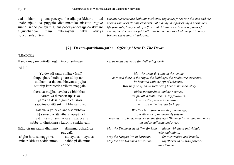<span id="page-19-0"></span>yad idam gilāna-paccaya-bhesajja-parikkhāro, tad upabhuñjako ca puggalo dhātumattako nissatto nijjīvo suñño; sabbo panāyam gilāna-paccaya-bhesajja-parikkhāro ajigucchanīyo imam pūti-kāyam patvā ativiya jigucchanīyo jāyati.

*various elements are both this medicinal requisites for curing the sick and the person who uses it; only elements, not a being, not possessing a permanent life principle, being void of self or soul. All these medicinal requisites for curing the sick are not yet loathsome but having touched this putrid body, become exceedingly loathsome.* 

## **[7] Devatā-pattidāna-gāthā** *Offering Merit To The Devas*

#### (LEADER:)

Handa mayam pattidāna-gāthāyo bhanāmase: *Let us recite the verse for dedicating merit:* 

 $(ALL:$ 

Ya devatā santi vihāra-vāsinī thūpe ghare bodhi-ghare tahim tahim tā dhamma-dānena bhavantu pūjitā sotthim karontedha vihāra-mandale.

therā ca majjhā navakā ca bhikkhavo sārāmikā dānapatī upāsakā gāmā ca desa nigamā ca issarā sappāna-bhūtā sukhitā bhavantu te.

Jalābu-jā ye pi ca anda-sambhavā  $[8]$  samseda-jātā atha v' opapātikā niyyānikam dhamma-varam paticca te sabbe pi dhukkhassa karontu sankhayam.

 $\tilde{a}$ hātu ciram satam dhammo dhamma-ddharā ca

amhe rakkhatu saddhammo sabbe pi dhamma-

 puggalā cārino

*May the devas dwelling in the temple, here and there in the stupa, the buildings, the Bodhi tree enclosure, be honored with the gift of Dhamma. May they bring about well-being here in the monastery.* 

> *Elder, intermediate, and new monks, temple attendants, donors, lay followers; towns, cities, and principalities: may all sentient beings be happy.*

*Whether born from a womb, from an egg, from slime, or spontaneously arising: may they all, in dependence on the foremost Dhamma for leading out, make an end to suffering and stress.* 

*May the Dhamma stand firm for long, along with those individuals who maintain it.*  sangho hotu samaggo va atthāya ca hitāya ca *May the Sangha live in harmony,* for our welfare and benefit. *May the true Dhamma protect us, together with all who practice the Dhamma.*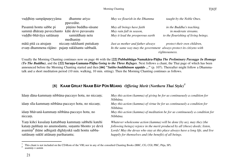<span id="page-20-0"></span>

| vuddhim sampāpuneyyāma   | dhamme ariya-             | May we flourish in the Dhamma                                       | taught by the Noble Ones.            |
|--------------------------|---------------------------|---------------------------------------------------------------------|--------------------------------------|
|                          | ppavedite.                |                                                                     |                                      |
| Pasannā hontu sabbe pi   | pānino buddha-sāsane      | May all beings have faith                                           | in the Buddha's teaching.            |
| sammā dhāram pavecchanto | kāle devo pavassatu       | May rain fall in season,                                            | in moderate streams.                 |
| vuddhi-bhāvāya sattānam  | samiddham netu            | May it lead the prosperous earth                                    | to the flourishing of living beings. |
|                          | medhanim                  |                                                                     |                                      |
| mātā pitā ca atrajam     | niccam rakkhanti puttakam | Just as mother and father always                                    | protect their own children,          |
| evam dhammena rājāno     | pajam rakkhantu sabbadā.  | In the same way may the government always protect its citizens with |                                      |
|                          |                           |                                                                     | righteousness.                       |

Usually the Morning Chanting continues now on page 46 with the **[22] Pubbabhāga-Namakāra-Pāñha** *The Preliminary Passagge In Homage (To The Buddha)*, and the [22] Sarana-Gamana-Pāṭha *Going to the Three Refuges*. Next follows a chant, the Thai page of which has been announced before the Morning Chanting started and then **[66] "***Sukho buddhānam uppādo ...***"** (p. 107). Thereafter might follow a Dhammatalk and a short meditation period (10 min. walking, 10 min. sitting). Then the Morning Chanting continues as follows.

## <span id="page-20-2"></span>**[8] KAAM GRUAT NAAM BÄP PÜN MÜANG** *Offering Merit (Northern Thai Style)***[1](#page-20-1)**

| Idam dāna-kammam nibbāna-paccayo hotu, no niccam;              | May this action (kamma) of giving be for us continuously a condition for<br>Nibbāna. |
|----------------------------------------------------------------|--------------------------------------------------------------------------------------|
| idam sīla-kammam nibbāna-paccayo hotu, no niccam;              | May this action (kamma) of virtue be for us continuously a condition for<br>Nibbāna. |
| idam bhāvanā-kammam nibbāna-paccayo hotu, no                   | May this action (kamma) of meditation be for us continuously a condition for         |
| niccam.                                                        | Nibbāna.                                                                             |
| Yam kiñci kusalam kattabbam kammam sabbehi katehi              | Whatever wholesome action (kamma) will be done (by us), may they (the                |
| katam puññam no anumodantu, sunantu bhonto ye devā             | following beings) rejoice in the merit produced by all (these) deeds; listen,        |
| asamim <sup>2</sup> thāne adhigatā dīghāyukā sadā hontu sabba- | Lords! May the devas who stay at this place always have a long life, and live        |
| sattānam sukhī attānam pariharantu;                            | happily for themselves and (the benefit) of all beings.                              |

<span id="page-20-1"></span>j 1 This chant is not included on the CD-Rom of the VRI, nor in any of the consulted Chanting Books (BBC, CG, CGI, PBC, Pūja, SP). 2  $as a min = as min$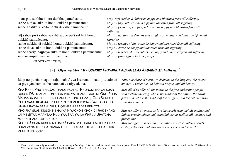[9] sabbe pisā sabbe yakkhā sabbe petā sukhitā hontu dukkhā pamuñcantu;

sabbe devā sukhitā hontu dukkhā pamuñcantu; *May all devas be happy and liberated from all suffering.* 

sabbe ācariyūpajjhāyā sukhitā hontu dukkhā pamuñcantu; sabba-sampattīnam samijihantu vo.

<span id="page-21-0"></span>mātā-pitā sukhitā hontu dukkhā pamuñcantu; *May (my) mother & father be happy and liberated from all suffering.*  sabbe ñātikā sukhitā hontu dukkhā pamuñcantu; *May all (my) relatives be happy and liberated from all suffering.*  sabbe añātikā sukhitā hontu dukkhā pamuñcantu; *May all (who are) not (my) relatives be happy and liberated from all suffering.* 

> *May all goblins, all demons and all ghosts be happy and liberated from all suffering.*

sabbe nakkhattā sukhitā hontu dukkhā pamuñcantu; *May all (beings of the) stars be happy and liberated from all suffering.* 

*May all teachers & preceptors be happy and liberated from all suffering. May all (their) good fortune prosper.* 

(PROSTRATE 1 TIME)

## **[9]** *Offering Merit By* **SOMDET PHRAPHUT AJAAN** *(A***AJ AASABHA** *Mahāthera)* **[1](#page-21-1)**

Idam no puñña-bhāgam rājādīnañ c' eva issarānam mātā-pitu-ādīnañ ca piya-janānam sabba-sattānañ ca niyyādema.

KHA PHRA PHUTTHA JAO THANG PUANG KHONOM THAVAI SUAN *May all of us offer all the merits to the free and senior people,*  GUSON DÄ ITSARACHON KHON PHU YAI THANG LAAI MI ONG PHRA MAHAAGASAT PHUU PEN PRAMUK KHONG CHAAT, ONG SOMDET PHRA SANG KHARAAT PHUU PEN PRAMUK KHONG SATSANAA LÄ KHANA RATHA BAAN PHUU BORIHAAN PRADET PEN TON, KHO PHÄ SUAN KUSON NII HAI KÄ PIYACHON KHON DII RAK THANG LAI MII BITAA MAANTAA PUU YAA TAA YAI LÄ KHRUU UPATCHA AJAAN THANG LAI PEN TON, KHO PHÄ SUAN KUSON NII HAI KÄ SAPA SAT THANG LAI THUK CHAAT

CHAN VANA THUK SATSANAA THUK PHAASAA THII YUU THUA THUK - MUM HÄNG LOOK.

*This, our share of merit, we dedicate to the king etc., the rulers, mother & father etc., to beloved people, and all beings.* 

*who include the king, who is the leader of the nation, the royal patriarch, who is the leader of the religion, and the cabinet, who runs the country.* 

*May we offer all merits to lovable people who include mother and father, grandmothers and grandfathers, as well as all teachers and preceptors.* 

<span id="page-21-1"></span>*May we offer all merits to all creatures in all countries, levels, castes, religions, and languages everywhere in the world.* 

 $\overline{a}$ 1 This chant is usually omitted for the *Evening Chanting*. This one and the next two chants (WAN DAA LUANG & WAN DAA NOI) are not included on the CD-Rom of the VRI, nor in any of the consulted Chanting Books (BBC, CG, CGI, PBC, Pūja, SP).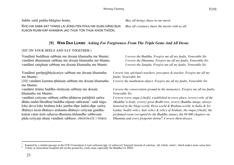<span id="page-22-0"></span>Sabbe sattā puñña-bhāgino hontu. *May all beings share in our merit.* 

KHO HAI SABA SAT THANG LAI JONG PEN PHUU MII SUAN HÄNG BUN KUSON RUAM KAP KHAABHA JAO THUK TON THUK KHON THÖÖN.

*May all creatures share the merits with us all.* 

## **[9] WAN DAA LUANG** *Asking For Forgiveness From The Triple Gems And All Devas*

## (SIT ON YOUR HEELS AND SAY TOGETHER:)

Vandāmi buddham sabbam me dosam khamatha me bhante; *I revere the Buddha. Forgive me all my faults, Venerable Sir.* vandāmi dhammam sabbam me dosam khamatha me bhante; *I revere the Dhamma. Forgive me all my faults, Venerable Sir.* vandāmi saṅgham sabbam me dosam khamatha me bhante. *I revere the Saṅgha. Forgive me all my faults, Venerable Sir.* 

Vandāmi gurūpajjhāyācariye sabbam me dosam khamatha me bhante;

[10] vandāmi kamma-tthānam sabbam me dosam khamatha me bhante;

vandāmi ārāme baddha-sīmāyam sabbam me dosam khamatha me bhante;

vandāmi cetiyam sabbam sabba-tthānesu patit thitā sarīradhātu mahā-bhodhim buddha-rūpam sakkatam sadā nāgaloke deva-loke brahma-loke jambu-dīpe lankā-dīpe sarīradhātuyo kesā-dhātuyo arahanta-dhātuyo cetiyam gandhakutim catur-āsiti-sahassa-dhamma-kkhandhe sabbesam pāda-cetiyam aham vandāmi sabbaso. (PROSTRATE 3 TIMES)

*I revere (my spiritual) teachers, preceptor & teacher. Forgive me all my faults, Venerable Sir. I revere the meditation-object. Forgive me all my faults, Venerable Sir.* 

*I revere the consecration ground in the monastery. Forgive me all my faults, Venerable Sir.* 

<span id="page-22-2"></span><span id="page-22-1"></span>*I revere every stupa [chedi], established in every place, (every) relic of the (Buddha's) body, (every) great Bodhi tree, (every) Buddha image, always honored in the Nāga world, Deva world & Brahma world, in India & Sri Lanka; bodily relics, hair relics & relics of Arahats, the stupa [chedi], the perfumed room (occupied by the Buddha statue), the 84 000 chapters on Dhamma and every footprint-shrine*[2](#page-22-2) *, I revere them always.* 

j 1 Inspired by a similar passage in the CGI (Veneration) I read *sakkatam* [pp. of *sakkaroti*] 'honored' instead of *sakalam* 'all, whole, entire', which makes more sense here. 2 A holy or miraculous footprint left on the ground by a holy man, especially the Buddha (cf. PED)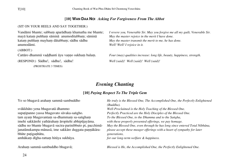## **[10] WAN DAA NOI** *Asking For Forgiveness From The Abbot*

#### <span id="page-23-0"></span>(SIT ON YOUR HEELS AND SAY TOGETHER:)

Vandāmi bhante; sabbam aparādham khamatha me bhante; mayā katam puññam sāminā anumoditabbam; sāminā katam puññam mayham dātabbam; sādhu sādhu anumodāmi.

(ABBOT:)

(RESPOND:) Sādhu!, sādhu!, sādhu! *Well (said)! Well (said)! Well (said)!*

(PROSTRATE 3 TIMES)

*I revere you, Venerable Sir. May you forgive me all my guilt, Venerable Sir. May the master rejoice in the merit I have done. May the master transmit the merit to me, he has done. Well! Well! I rejoice in it.* 

Cattāro dhammā vaddhanti āyu vanno sukham balam. *Four (may) qualities increase: long life, beauty, happiness, strength.* 

## *Evening Chanting*

## **[10]** *Paying Respect To The Triple Gem*

| Yo so bhagavā araham sammā-sambuddho                     | He truly is the Blessed One, The Accomplished One, the Perfectly Enlightened |
|----------------------------------------------------------|------------------------------------------------------------------------------|
|                                                          | (Buddha).                                                                    |
| svākkhāto yena bhagavatā dhammo                          | Well-Proclaimed is the Holy Teaching of the Blessed One.                     |
| supatipanno yassa bhagavato sāvaka-sangho.               | Perfectly Practiced are the Holy Disciples of the Blessed One.               |
| tam ayam bhagavantam sa-dhammam sa-sangham               | To the Blessed One, to the Dhamma and to the Sangha,                         |
| imehi sakkārehi yathāraham āropitehi abhipūjayāma.       | with these properly presented offerings, we pay homage.                      |
| sādhu no bhante bhagavā sucira-parinibbuto pi, pacchimā- | May the Blessed One, even through he has long since entered Total Nibbāna,   |
| janatānukampa-mānasā, ime sakkāre duggata-pannākāra-     | please accept these meager offerings with a heart of sympathy for later      |
| bhūte patiganhātu,                                       | generations,                                                                 |
| amhākam dīgha-rattam hitāya sukhāya.                     | for our long-term welfare & happiness.                                       |
| Araham sammā-sambuddho bhagavā;                          | Blessed is He, the Accomplished One, the Perfectly Enlightened One.          |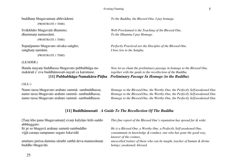(PROSTRATE 1 TIME)

dhammam namassāmi. *To* the Dhamma I pay Homage.

(PROSTRATE 1 TIME)

saṅgham namāmi. *I bow low to the Saṅgha*.

(PROSTRATE 1 TIME)

## (LEADER:)

Handa mayam buddhassa bhagavato pubbabhāga-namakārañ c' eva buddhānussati-nayañ ca karomase.

## $(ALL:$

<span id="page-24-0"></span>buddham bhagavantam abhivādemi. *To the Buddha, the Blessed One, I pay homage.* 

Svākkhāto bhagavatā dhammo; *Well-Proclaimed is the Teaching of the Blessed One.* 

Supatipanno bhagavato sāvaka-saṅgho; *Perfectly Practiced are the Disciples of the Blessed One.* 

*Now let us chant the preliminary passage in homage to the Blessed One, together with the guide to the recollection of the Buddha.*  **[11] Pubbabhāga-Namakāra-Pāñha** *Preliminary Passage In Homage (to the Buddha)*

Namo tassa bhagavato arahato sammā- sambuddhassa; *Homage to the Blessed One, the Worthy One, the Perfectly Self-awakened One.* namo tassa bhagavato arahato sammā- sambuddhassa; *Homage to the Blessed One, the Worthy One, the Perfectly Self-awakened One.* namo tassa bhagavato arahato sammā- sambuddhassa. *Homage to the Blessed One, the Worthy One, the Perfectly Self-awakened One.*

## **[11] Buddhānussati** *A Guide To The Recollection Of The Buddha*

| [Tam kho pana bhagavantam] evam kalyāno kitti-saddo<br>abbhuggato: | This fine report of the Blessed One's reputation has spread far & wide:  |
|--------------------------------------------------------------------|--------------------------------------------------------------------------|
|                                                                    |                                                                          |
| Iti pi so bhagavā araham sammā-sambuddho                           | He is a Blessed One, a Worthy One, a Perfectly Self-awakened One,        |
| vijjā-carana-sampanno sugato lokavidū                              | consummate in knowledge & conduct, one who has gone the good way,        |
|                                                                    | knower of the cosmos,                                                    |
| anuttaro purisa-damma-sārathi satthā deva-manussānam               | unexcelled trainer of those who can be taught, teacher of human & divine |
| buddho bhagavāti.                                                  | beings; awakened; blessed.                                               |
|                                                                    |                                                                          |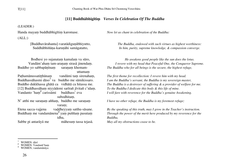## **[11] Buddhābhigītiü** *Verses In Celebration Of The Buddha*

#### <span id="page-25-0"></span>(LEADER:)

 $(ALL:$ 

Buddho yo sabbapānīnam saranam khemamuttamam Pathamānussatitthānam vandāmi tam sirenaham, *The first theme for recollection: I revere him with my head.* Buddhassāhasmi dāso [1](#page-25-1) [12] Buddhassāhaü niyyādemi sarīrañ jīvitañ c'idaü. *To the Buddha I dedicate this body & this life of mine.* Vandanto 'ham<sup>[2](#page-25-2)</sup> carissāmi buddhass' eva subodhitam. N' atthi me saranam aññam, buddho me sarañam varam; Buddham me vandamānena $3$  yam puññam pasutam idha, Sabbe pi antarāyā me māhesum tassa tejasā.

Handa mayam buddhābhigītim karomase. *Now let us chant in celebration of the Buddha*:

[Buddhavārahanta]-varatādiguõābhiyutto, *The Buddha, endowed with such virtues as highest worthiness:*  Suddhābhiñāna-karunāhi samāgatatto, *In him, purity, supreme knowledge, & compassion converge.* 

Bodhesi yo sujanatam kamalam va sūro, *He awakens good people like the sun does the lotus.* Vandām'aham tam-aranam sirasā jinendam. *I revere with my head that Peaceful One, the Conqueror Supreme. The Buddha who for all beings is the secure, the highest refuge,*

va buddho me sāmikissaro. *I am the Buddha's servant, the Buddha is my sovereign master,* Buddho dukkhassa ghātā ca vidhātā ca hitassa me. *The Buddha is a destroyer of suffering & a provider of welfare for me. I will fare with reverence for the Buddha's genuine Awakening.*

<span id="page-25-3"></span><span id="page-25-2"></span><span id="page-25-1"></span>*I have no other refuge, the Buddha is my foremost refuge;*

Etena sacca-vajiena vaddheyyam satthu-sāsane. *By* the *speaking of this truth, may I grow in the Teacher's instruction. Through the power of the merit here produced by my reverence for the Buddha,* 

*May all my obstructions cease to be.*

 $\overline{a}$ 1 WOMEN: dāsī

<sup>2</sup> WOMEN: Vandantī'ham 3

WOMEN; vandamānāya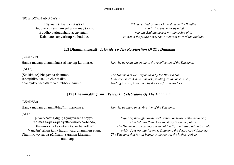#### <span id="page-26-0"></span>(BOW DOWN AND SAY:)

Kāyena vācāya va cetasā vā, Buddhe kukammam pakatam mayā yam, Buddho patigganhatu accayantam, Kālantare samvaritum va buddhe.

*Whatever bad kamma I have done to the Buddha by body, by speech, or by mind, may the Buddha accept my admission of it, so that in the future I may show restraint toward the Buddha.* 

## **[12] Dhammānussati** *A Guide To The Recollection Of The Dhamma*

(LEADER:)

 $(ALL:$ 

Handa mayam dhammānussati-nayam karomase. *Now let us recite the guide to the recollection of the Dhamma.* 

[Svākkhāto] bhagavatā dhammo, *The Dhamma is well-expounded by the Blessed One,*  sanditthiko akāliko ehipassiko, *to be seen here & now, timeless, inviting all to come & see,* opanayiko paccattaü veditabbo viññūhīti. *leading inward, to be seen by the wise for themselves.*

**[12] Dhammābhigītiü** *Verses In Celebration Of The Dhamma*

## (LEADER:)

 $(ALL:$ 

Dhammo yo sabba-pāñinam sarañam khemamuttamam

Handa mayam dhammābhigītim karomase. *Now let us chant in celebration of the Dhamma*.

[Svākkhātatā]diguõa-yogavasena seyyo, *Superior, through having such virtues as being well-expounded,*  Yo magga-pāka-pariyatti-vimokkha-bhedo, *Divided into Path & Fruit, study & emancipation,*  Dhammo kuloka-patanā tad-adhāri-dhārī. *The Dhamma protects those who hold to it from falling into miserable*  Vandām' aham tama-haram vara-dhammam etam. *worlds. I revere that foremost Dhamma, the destroyer of darkness. The Dhamma that for all beings is the secure, the highest refuge,*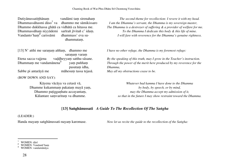| Dutiyānussatit thānam<br>vandāmi tam sirenaham<br>Dhammassāhasmi dāso <sup>1</sup> va<br>dhammo me sāmikissaro<br>Dhammo dukkhassa ghātā ca vidhātā ca hitassa me.<br>Dhammassāham niyyādemi<br>sarīrañ jīvitañ c' idam.<br>Vandanto'ham <sup>2</sup> carissāmi<br>dhammass' eva su-<br>dhammatam. | The second theme for recollection: I revere it with my head.<br>I am the Dhamma's servant, the Dhamma is my sovereign master,<br>The Dhamma is a destroyer of suffering & a provider of welfare for me.<br>To the Dhamma I dedicate this body & this life of mine.<br>I will fare with reverence for the Dhamma's genuine rightness. |
|----------------------------------------------------------------------------------------------------------------------------------------------------------------------------------------------------------------------------------------------------------------------------------------------------|--------------------------------------------------------------------------------------------------------------------------------------------------------------------------------------------------------------------------------------------------------------------------------------------------------------------------------------|
| [13] N' atthi me saranam aññam, dhammo me<br>saranam varam                                                                                                                                                                                                                                         | I have no other refuge, the Dhamma is my foremost refuge:                                                                                                                                                                                                                                                                            |
| Etena sacca-vajjena<br>vaddheyyam satthu-sāsane.                                                                                                                                                                                                                                                   | By the speaking of this truth, may $I$ grow in the Teacher's instruction.                                                                                                                                                                                                                                                            |
| Dhammam me vandamānena <sup>3</sup><br>yam puññam                                                                                                                                                                                                                                                  | Through the power of the merit here produced by my reverence for the                                                                                                                                                                                                                                                                 |
| pasutam idha,                                                                                                                                                                                                                                                                                      | Dhamma,                                                                                                                                                                                                                                                                                                                              |
| māhesum tassa tejasā.<br>Sabbe pi antarāyā me                                                                                                                                                                                                                                                      | May all my obstructions cease to be.                                                                                                                                                                                                                                                                                                 |
| (BOW DOWN AND SAY):                                                                                                                                                                                                                                                                                |                                                                                                                                                                                                                                                                                                                                      |

Kāyena vācāya va cetasā vā, Dhamme kukammam pakatam mayā yam, Dhammo patigganhatu accayantam, Kālantare samvaritum va dhamme.

<span id="page-27-2"></span><span id="page-27-1"></span><span id="page-27-0"></span>*Whatever bad kamma I have done to the Dhamma by body, by speech, or by mind, may the Dhamma accept my admission of it, so that in the future I may show restraint toward the Dhamma.* 

## **[13] Saïghānussati** *A Guide To The Recollection Of The Saïgha*

## (LEADER:)

Handa mayam saṅghānussati-nayam karomase. *Now let us recite the guide to the recollection of the Saṅgha: Now let us recite the guide to the recollection of the Saṅgha:* 

 $\overline{a}$ 1 WOMEN: dāsī

<sup>2</sup> WOMEN: Vandantī'ham

<sup>3</sup> WOMEN: vandamānāya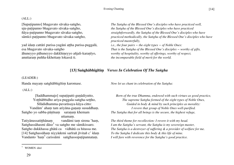## <span id="page-28-0"></span> $(ALL:$

ñāya-patipanno bhagavato sāvaka-sañgho, sāmīci-patipanno bhagavato sāvaka-sangho,

yad idaü cattāri purisa-yugāni aññha purisa-puggalā, *i.e., the four pairs − the eight types − of Noble Ones:* anuttaram puñña-kkhettam lokass<del>ā ti. *the incomparable field of merit for the world.*</del>

[Supañipanno] bhagavato sāvaka-saïgho, *The Saïgha of the Blessed One's disciples who have practiced well,*  uju-patipanno bhagavato sāvaka-saṅgho, *the Saṅgha of the Blessed One's disciples who have practiced straightforwardly, the Saïgha of the Blessed One's disciples who have practiced methodically, the Saïgha of the Blessed One's disciples who have practiced masterfully,*

esa bhagavato sāvaka-saïgho *That is the Saïgha of the Blessed One's disciples − worthy of gifts,*  āhuneyyo pāhuneyyo dakkhiõeyyo añjali-karaõīyo, *worthy of hospitality, worthy of offerings, worthy of respect,*

## **[13] Saïghābhigītiü** *Verses In Celebration Of The Saïgha*

## (LEADER:)

Handa mayam sanghābhigītim karomase. *Now let us chant in celebration of the Sangha: Now let us chant in celebration of the Sangha:* 

 $(ALL:$ 

Sangho yo sabba-pānīnam saranam khemam uttamam. Tatiyānussatitthānam vandāmi tam sirena 'ham, *The third theme for recollection: I revere it with my head.* Sanghassāhasmi dāso<sup>[1](#page-28-1)</sup> [14] Saïghassāhaü niyyādemi sarīrañ jīvitañ c' idaü *To the Saïgha I dedicate this body & this life of mine.* Vandanto 'ham<sup>[1](#page-28-2)</sup> carissāmi sanghassopatipannatam.

<span id="page-28-2"></span><span id="page-28-1"></span>

[Saddhammajo] supatipatti-gunādiyutto, *Born of the true Dhamma, endowed with such virtues as good practice,* Yotthābbidho ariya-puggala-saṅgha-settho, *The supreme Sangha formed of the eight types of Noble Ones,* Sīlādidhamma-pavarāsaya-kāya-citto: *Guided in body & mind by such principles as morality:*  Vandām' aham tam ariyāna-ganam susuddham. *I revere that group of Noble Ones well-purified. The Saïgha that for all beings is the secure, the highest refuge,*

va saïgho me sāmikissaro. *I am the Saïgha's servant, the Saïgha is my sovereign master,* Saïgho dukkhassa ghātā ca vidhātā ca hitassa me. *The Saïgha is a destroyer of suffering & a provider of welfare for me.* carissāmi saïghassopañipannataü. *I will fare with reverence for the Saïgha's good practice.*

j 1 WOMEN: dāsī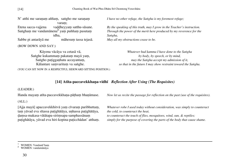<span id="page-29-0"></span>

| N' atthi me saranam aññam, sangho me saranam<br>varam;                                                                                 | I have no other refuge, the Sangha is my foremost refuge;                                                                                                                                     |
|----------------------------------------------------------------------------------------------------------------------------------------|-----------------------------------------------------------------------------------------------------------------------------------------------------------------------------------------------|
| vaddheyyam satthu-sāsane.<br>Etena sacca-vajjena<br>Sangham me vandamānena <sup>2</sup> yam puññam pasutam<br>idha,                    | By the speaking of this truth, may I grow in the Teacher's instruction.<br>Through the power of the merit here produced by my reverence for the<br>Sangha,                                    |
| Sabbe pi antarāyā me<br>māhesum tassa tejasā.                                                                                          | May all my obstructions cease to be.                                                                                                                                                          |
| (BOW DOWN AND SAY:)                                                                                                                    |                                                                                                                                                                                               |
| Kāyena vācāya va cetasā vā,<br>Sanghe kukammam pakatam mayā yam,<br>Sangho patigganhatu accayantam,<br>Kālantare samvaritum va sanghe. | Whatever bad kamma I have done to the Sangha<br>by body, by speech, or by mind,<br>may the Sangha accept my admission of it,<br>so that in the future I may show restraint toward the Sangha. |
| (YOU CAN SIT NOW IN A RESPECTFUL SIDEWARD SITTING POSITION.)                                                                           |                                                                                                                                                                                               |

## **[14] Atīta-paccavekkhaõa-vidhī** *Reflection After Using (The Requisites)*

## (LEADER:)

 $(ALL:$ 

[Ajja mayā] apaccavekkhitvā yam cīvaram paribhuttam, tam yāvad eva sītassa patighātāya, unhassa patighātāya, damsa-makasa-vātātapa-sirimsapa-samphassānam paṭighātāya, yāvad eva hiri-kopina-paṭicchādan' attham.

Handa mayam atīta-paccavekkhana-pātham bhanāmase. Now let us recite the passage for reflection on the past (use of the requisites).

<span id="page-29-1"></span>*Whatever robe I used today without consideration, was simply to counteract the cold, to counteract the heat,* 

*to counteract the touch of flies, mosquitoes, wind, sun, & reptiles; simply for the purpose of covering the parts of the body that cause shame.*

 $\overline{a}$ 1 WOMEN: Vandantī'ham 2

WOMEN: vandamānāya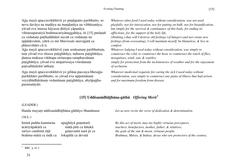<span id="page-30-0"></span>Ajja mayā apaccavekkhitvā yo pindapatto paribhutto, so neva davāya na madāya na mandanāya na vibhūsanāya, yāvad eva imassa kāyassa thitiyā yāpanāya vihimsuparatiyā brahmacariyānuggahāya, iti [15] purānañ ca vedanam patihañkhāmi navañ ca vedanam na uppādessāmi, yātrā ca me bhavissati anavajjatā ca phāsuvihāro cā ti.

Ajja mayā apaccavekkhitvā yam senāsanam paribhuttam, tam yāvad eva sītassa patighātāya, unhassa patighātāya, damsa-makasa-vātātapa-sirimsapa-samphassānam patighātāya, yāvad eva utuparissaya-vinodanam patisallānārām'attham.

Ajja mayā apaccavekkhitvā yo gilāna-paccaya-bhesajjaparikkhāro paribhutto, so yāvad eva uppannānam veyyābādhikānam vedanānam patighātāya, abyāpajjhaparamatāyāti.

*Whatever alms food I used today without consideration, was not used playfully, nor for intoxication, nor for putting on bulk, nor for beautification, but simply for the survival & continuance of this body, for ending its afflictions, for the support of the holy life,* 

<span id="page-30-1"></span>*(thinking,) thus will I destroy old feelings (of hunger) and not create new feelings (from overeating). I will maintain myself, be blameless, & live in comfort.*

*Whatever lodging I used today without consideration, was simply to counteract the cold, to counteract the heat, to counteract the touch of flies, mosquitoes, wind, sun, & reptiles;* 

*simply for protection from the inclemencies of weather and for the enjoyment of seclusion.*

*Whatever medicinal requisite for curing the sick I used today without consideration, was simply to counteract any pains of illness that had arisen, and for maximum freedom from disease.*

## **[[1](#page-30-1)5] Uddisanādhiṭṭhāna-gāthā** *Offering Merit<sup>1</sup>*

## (LEADER:)

Handa mayam uddisanādhiṭṭhāna-gāthāyo bhanāmase *Let us now recite the verse of dedication & determination*.

## $(ALL:$

Iminā puñña-kammena upajjhāyā gunuttarā *By this act of merit, may my highly virtuous preceptors,* ācāriyūpakārā ca mātā-pitā ca ñātakā *teachers, benefactors, mother, father, & relatives,*  suriyo candimā rājā guņavantā narā pi ca *the gods of the sun & moon, virtuous people,* brahma-mārā ca indā ca lokapālā ca devatā *Brahmas, Māras, & Indras, devas who are protectors of the cosmos,* 

j 1 BBC p. 61 f.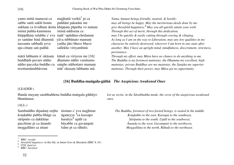<span id="page-31-0"></span>yamo mittā manussā ca nassantu sabbadā yeva yattha jāto bhave bhave uju-cittam sati-paññā sallekho viriyamhinā

majihattā verikā<sup>[1](#page-31-1)</sup> pi ca

tesottamānubhāvena mār' okasam labhantu mā.

buddhādi-pavaro nātho dhammo nātho varuttamo nātho pacceka-buddho ca saṅgho nāthottaro mamam

pi ca *Yama, human beings friendly, neutral, & hostile:*  sabbe sattā sukhī hontu puññāni pakatāni me *may all beings be happy. May the meritorious deeds done by me*  sukham ca tividham dentu khippam pāpetha vo matam *give threefold happiness.<sup>[2](#page-31-2)</sup> May you all quickly attain your wish.* iminā puñña-kammena iminā uddisena ca *Through this act of merit, through this dedication,*  khippāham sulabhe c' eva tanh'-upādāna-chedanam *may I be quickly & easily cutting through craving & clinging.* ye santāne hinā dhammā yāva nibbānato mamam *As long as I am on the way to Liberation, may any low qualities in my character be entirely destroyed, wherever I am born in one state after another. May I have an upright mind, mindfulness, discernment, strictness, persistence.* 

mārā labhantu n' okāsam kātuñ ca viriyesu me [16] *Through my effort, may Māra have no chance to do anything to me. The Buddha is my foremost mainstay, the Dhamma my excellent, high mainstay; private Buddhas are my mainstay, the Saïgha my superior mainstay. Through their power, may Māra get no opportunity.*

## **[16] Buddha-maïgala-gāthā** *The Auspicious Awakened Ones*

#### (LEADER:)

Handa mayam sarabhaññena buddha-mañgala-gāthāyo bhanāmase.

#### $(ALL:$

kondañño pubba-bhāge ca sārīputto ca dakkhine haratiye<sup>[4](#page-31-4)</sup> upālī ca

 $\bar{a}$ ganeyye  $3c$  $3c$ a kassapo

<span id="page-31-4"></span><span id="page-31-3"></span><span id="page-31-2"></span><span id="page-31-1"></span>*Let us recite, in the Sārabhañña mode, the verse of the auspicious awakened ones.* 

Sambuddho dipadam settho nisinno c' eva majjhime *The Buddha, foremost of two-footed beings, is seated in the middle* ca kassapo *Koõóañño to the east, Kassapa to the southeast,*  upālī ca *Sārīputta to the south, Upālī to the southwest,*  pacchime pi ca ānando bāyabbe ca gavampati *Ānanda to the west, Gavampati to the northwest,*  moggallāno ca uttare īsāne pi ca rāhulo; *Moggallāna to the north, Rāhulā to the northeast.* 

j 1 BBC: *verakā*

<sup>2</sup> *threefold happiness:* in this life, in future lives & liberation (BBC S. 61)

<sup>3</sup> CGI: *āgneyye*

<sup>4</sup> BBC: *haratiyā*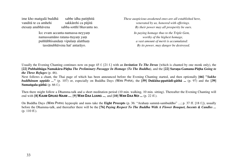ime kho mangalā buddhā sabbe idha patit thitā vanditā te ca amhehi sakkārehi ca pūjitā etesam anubhāvena sabba-sotthī bhavantu no.

Icc evam accanta-namassa-neyyam namassamāno ratana-ttayam yam puññābhisandam vipulam alattham tassānubhāvena hat' antarāyo.

*These auspicious awakened ones are all established here, venerated by us, honored with offerings. By their power may all prosperity be ours.* 

> *In paying homage thus to the Triple Gem, worthy of the highest homage, a vast amount of merit is accumulated: By its power, may danger be destroyed.*

Usually the Evening Chanting continues now on page 45 f. [21 f.] with an *Invitation To The Devas* (which is chanted by one monk only), the [22] Pubbabhāga-Namakāra-Pāṭha The Preliminary Passagge In Homage (To The Buddha), and the [22] Saraṇa-Gamana-Pāṭha Going to *the Three Refuges* (p. 46).

Next follows a chant, the Thai page of which has been announced before the Evening Chanting started, and then optionally **[66] "***Sukho* buddhānam uppādo ..." (p. 107) or, especially on Buddha Days (WAN PHRA), the [59] Dukkha-ppattādi-gāthā ... (p. 97) and the [39] **Sumaïgala-gāthā** (p. 66 f.).

Then there might follow a Dhamma-talk and a short meditation period (10 min. walking, 10 min. sitting). Thereafter the Evening Chanting will end with [8] KAAM GRUAD NAAM ..., [9] WAN DAA LUANG ..., and [10] WAN DAA NOI ... (p. 22 ff.).

On Buddha Days (WAN PHRA) laypeople and nuns take the **Eight Precepts** (p. 36: "Araham sammā-sambuddho" ...; p. 37 ff. [18 f.]), usually before the Dhamma-talk, and thereafter there will be the [76] Paying Respect To The Buddha With A Flower Bouquet, Incents & Candles ... (p. 110 ff.).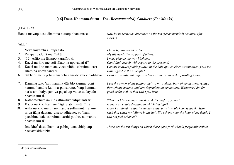## **[16] Dasa-Dhamma-Sutta** *Ten (Recommended) Conducts (For Monks)*

## (LEADER:)

 $(ALL:$ 

- 1. Vevanniyamhi ajjhūpagato. *I have left the social order.*
- 
- 3. [17] Añño me ākappo karañvo ti. *I must change the way I behave.*
- 4. Kacci nu kho me attā sīlato na upavadatī ti? *Can I fault myself with regard to the precepts?*
- 5. Kacci nu kho mam anuvicca viññū sabrahma-cārī sīlato na upavadantī ti?
- 6. Sabbehi me piyehi manāpehi nānā-bhāvo vinā-bhāvo ti.
- 7. Kammassako 'mhi kamma-dāyādo kamma-yoni kamma-bandhu kamma-patisarano. Yam kammam karissāmi kalyānam vā pāpakam vā tassa dāyādo bhavissāmī ti.
- 8. Katham-bhūtassa me rattin-divā vītipatantī ti? *What am I becoming as the days & the nights fly past?*
- 9. Kacci nu kho'haü suññāgāre abhiramāmī ti? *Is there an empty dwelling in which I delight?*
- 10. Atthi nu kho me uttari-manussa-dhammā, alamariya-ñāna-dassana-viseso adhigato, so 'ham pacchime kāle sabrahma-cārīhi puttho, na manku bhavissāmī ti?

Ime kho $^{\rm 1}$  $^{\rm 1}$  $^{\rm 1}$  dasa dhammā pabbajitena abhiṇhaṃ paccavekkhitabbā.

Handa mayaü dasa-dhamma-suttaü bhanāmase. *Now let us recite the discourse on the ten (recommended) conducts (for monks).* 

2. Parapañibaddhā me jīvikā ti. *My life needs the support of others. Can my knowledgeable fellows in the holy life, on close examination, fault me with regard to the precepts? I will grow different, separate from all that is dear & appealing to me.*

> <span id="page-33-0"></span>*I am the owner of my actions, heir to my actions, born of my actions, related through my actions, and live dependent on my actions. Whatever I do, for good or for evil, to that will I fall heir.*

*Have I attained a superior human state, a truly noble knowledge & vision, such that when my fellows in the holy life ask me near the hour of my death, I will not feel ashamed?* 

*These are the ten things on which those gone forth should frequently reflect.* 

j 1 Orig. inserts *bhikkhave*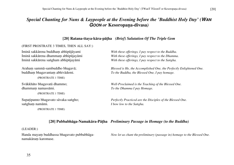## <span id="page-34-0"></span>*Special Chanting for Nuns & Laypeople at the Evening before the 'Buddhist Holy Day' (***WAN** GOON or Kesoropaṇa-divasa)

**[20] Ratana-ttaya-kāra-pāñha** *(Brief) Salutation Of The Triple Gem*

#### (FIRST PROSTRATE 3 TIMES, THEN ALL SAY:)

(PROSTRATE 1 TIME)

dhammam namassāmi. *To the Dhamma I pay Homage.* 

(PROSTRATE 1 TIME)

saṅgham namāmi. *I bow low to the Saṅgha*.

(PROSTRATE 1 TIME)

Iminā sakkārena buddham abhipūjāyami *With these offerings, I pay respect to the Buddha*. Iminā sakkārena dhammam abhipūjayāmi *With these offerings, I pay respect to the Dhamma.* Iminā sakkārena saïgham abhipūjayāmi *With these offerings, I pay respect to the Saïgha.* 

Arahaü sammā-sambuddho bhagavā; *Blessed is He, the Accomplished One, the Perfectly Enlightened One.*  buddham bhagavantam abhivādemi. *To the Buddha, the Blessed One, I pay homage.* 

Svākkhāto bhagavatā dhammo; *Well-Proclaimed is the Teaching of the Blessed One.* 

Supatipanno bhagavato sāvaka-saṅgho; *Perfectly Practiced are the Disciples of the Blessed One.* 

## **[20] Pubbabhāga-Namakāra-Pāñha** *Preliminary Passage in Homage (to the Buddha)*

#### (LEADER:)

Handa mayam buddhassa bhagavato pubbabhāganamakāram karomase.

*Now let us chant the preliminary (passage in) homage to the Blessed One.*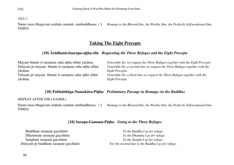<span id="page-35-0"></span>

 $(ALL:$ 

Namo tassa bhagavato arahato sammā- sambuddhassa. ( 3 *Homage to the Blessed One, the Worthy One, the Perfectly Self-awakened One.* TIMES)

## **Taking The Eight Precepts**

## **[18] Ārādhanā-tisaraõa-aññha-sīla** *Requesting the Three Refuges and the Eight Precepts*

| Mayam bhante ti-saranena saha attha-sīlāni yācāma.    | Venerable Sir, we request the Three Refuges together with the Eight Precepts. |
|-------------------------------------------------------|-------------------------------------------------------------------------------|
| Dutiyam pi mayam bhante ti-saranena saha attha silani | Venerable Sir, a second time we request the Three Refuges together with the   |
| yācāma.                                               | Eight Precepts.                                                               |
| Tatiyam pi mayam bhante ti-saranena saha attha silani | Venerable Sir, a third time we request the Three Refuges together with the    |
| yācāma.                                               | Eight Precepts.                                                               |

## **[18] Pubbabhāga-Namakāra-Pāñha** *Preliminary Passage in Homage (to the Buddha)*

#### (REPEAT AFTER THE LEADER:)

Namo tassa bhagavato arahato sammā-sambuddhassa. ( 3 *Homage to the Blessed One, the Worthy One, the Perfectly Self-awakened One.* TIMES)

## **[18] Saraõa-Gamana-Pāñha** *Going to the Three Refuges*

| Buddham saranam gacchāmi            |  |
|-------------------------------------|--|
| Dhammam saranam gacchāmi            |  |
| Sangham saranam gacchāmi            |  |
| Dutiyam pi buddham saranam gacchāmi |  |

To the Buddha I go for *refuge*. *To the Dhamma I go for refuge.* To the Sangha I go for *refuge*. **For the second time to the Buddha I go for refuge.**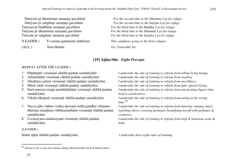Tatiyam pi buddham saranam gacchāmi *For* the *third time to the Buddha I go for refuge.* Tatiyam pi saṅgham saranam gacchāmi *For the third time to the Sangha I go for refuge.* 

(LEADER:) Ti-sarana-gamanam nitthitam. *This completes going to the three refuges.* 

(ALL:) Āma bhante. *Yes, Venerable Sir.* 

Dutiyam pi dhammam saranam gacchāmi *For* the second *time* to the Dhamma I go for refuge. Dutiyam pi sangham saranam gacchāmi *For* the second *time* to the Sangha I go for *refuge*. Tatiyam pi dhammam saraṇaṃ gacchāmi *For the third time to the Dhamma I go for refuge.* 

# **[19] Aññha-Sīla** *Eight Precepts*

#### (REPEAT AFTER THE LEADER:)

- 
- 2. Adinnādānā veramanī sikkhā-padam samādiyāmi. *I undertake the rule of training to refrain from stealing*.
- 3. Abrahma-cariyā veramanī sikkhā-padam samādiyāmi. *I undertake the rule of training to refrain from uncelibacy*.
- 
- 5. Surā-meraya-majja-pamādatthānā veramanī sikkhā-padam samādiyāmi.
- 
- 7. Nacca-gīta-vādita-visūka-dassana-mālā-gandha-vilepanadhārana-mandana-vibhūsanatthānā veramanī sikkhā-padam samādiyāmi.
- 8. Uccāsayana-mahāsayanā veramanī sikkhā-padam samādiyāmi.

### (LEADER:)

Imāni attha sikkhā-padāni samādiyāmi. *I undertake these eight rules of training*.

1. Pānātipātā veramanī sikkhā-padam samādiyāmi. *I undertake the rule of training to refrain from killing living beings.* 

- 
- 
- 4. Musā-vādā veramanī sikkhā-padam samādiyāmi. *I undertake the rule of training to refrain from false speech (lying). I undertake the rule of training to refrain from intoxicating liquors that lead to carelessness.*

6. Vikāla-bhojanā veramaõī sikkhā-padaü samādiyāmi. *I undertake the rule of training to refrain from eating at the wrong time.*[30](#page-36-0)

> <span id="page-36-0"></span>*I undertake the rule of training to refrain from dancing, singing, music, watching shows, wearing garlands, beautifying myself with perfumes & cosmetics.*

> *I undertake the rule of training to refrain from high & luxurious seats & beds.*

 30 *Eating at the wrong time* means eating solid food after noon & before dawn.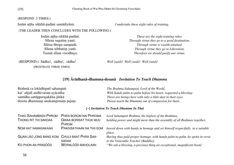(RESPOND 3 TIMES:)

Imāni attha sikkhā-padāni samādiyāmi. *I undertake these eight rules of training*.

#### (THE LEADER THEN CONCLUDES WITH THE FOLLOWING:)

(RESPOND:) Sādhu!, sādhu!, sādhu! *Well (said)! Well (said)! Well (said)!* (PROSTRATE THREE TIMES)

Imāni attha-sikkhā-padāni. *These are the eight training rules.* Sīlena sugatim yanti.  $\blacksquare$  **Through virtue they go to a good destination.** Sīlena bhoga-sampadā. **Through virtue** is wealth attained. Sīlena nibbutim yanti. **Through virtue** *Through virtue they go to Liberation.* Tasmā sīlam visodhaye. **Therefore** we should purify our virtue.

### **[19] Ārādhanā-dhamma-desanā** *Invitation To Teach Dhamma*

| Brahmā ca lokādhipatī sahampati   | The Brahma Sahampati, Lord of the World,                        |
|-----------------------------------|-----------------------------------------------------------------|
| kat' añjalī andhivaram ayācatha:  | With hands palm-to-palm before his heart, requested a blessing: |
| santīdha sattāpparajakkha-jātikā  | There are beings here with only a little dust in their eyes.    |
| desetu dhammam anukampimam pajam. | Please teach the Dhamma out of compassion for them.             |

#### **[−]** *Invitation To Teach Dhamma In Thai*

| <b>THAO SAHAMBADII PHROM</b><br>THONG RIT THI SAKDAA | PHEN BOROM NAI PHROMA<br><b>GWAA BORISAT THUK MUU</b><br><b>PHROM</b> | Lord Sahampati Brahma, the highest of the Brahmas,<br>holding power and might more than the assembly of all Brahmas together, |
|------------------------------------------------------|-----------------------------------------------------------------------|-------------------------------------------------------------------------------------------------------------------------------|
| NOM HAT NAMASAKAAN                                   | PRADISATHAAN NA THII SOM                                              | bowed down with hands in homage and set himself respectfully in a suitable<br>place.                                          |
| GUAN LÃO JÜNG BANG KOM CHULII BAAT PHRA SAA-         | <b>SADAA</b>                                                          | Having thus paid proper homage, with hands palm-to-palm, he spoke in verse<br>to the Venerable Teacher (Buddha):              |
| KO PHON AN PRASÖÖD                                   | <b>WORALÖÖD MAHOLAAN</b>                                              | "We ask a blessing, a precious thing an exceptional, magnificent boon!                                                        |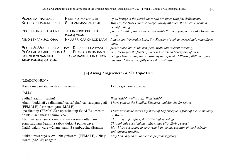| PUANG SAT NAI LOGA        | KILET NOI KO YANG MIL             | Of all beings in the world, there still are those with few defilements!                    |
|---------------------------|-----------------------------------|--------------------------------------------------------------------------------------------|
| KO ONG PHRA JOM PRAAT     | SU THAM MAAT AN RUJII             | May He, the Holy Unrivaled Sage, having attained the precious truth, a<br>beautiful thing, |
| PROD PUANG PRACAA NII     | THAAN JONG PROD SÄ-<br>DÄÄNG THAM | please, for all of these people, Venerable Sir, may you please make known the<br>truth!    |
| NIMON THAAN JAO KHAA      | PHUU PRIICAA ON LÖD LAAM          | I invite you, Venerable Lord, Sir, Knower of such an exceedingly magnificent<br>thing,     |
| PROD SÄDÄÄNG PHRA SATTHAM | <b>DESANAA PRA WAATHII</b>        | please make known the beneficial truth, this ancient teaching,                             |
| PHÜA HAI SAAMRET PHON GÄ  | PUANG CON BADAA NII               | in order to give the fruits of success to each and every one of these                      |
| SOP SUK GESAM SRII        | SOM DANG JETANA THÖN              | beings - beauty, happiness, harmony and splendor! Please fulfill their good                |
| ARAD DANANG GALOMA.       |                                   | intentions! We respectfully make this invitation.                                          |

## **[−]** *Asking Forgiveness To The Triple Gem*

(LEADING NUN:)

Handa mayam sādhu-kāram karomase. Let us give our approval.

 $(ALL:$ 

Sadhu! sadhu! sadhu! *Well (said)! Well (said)! Well (said)!*  Aham buddhañ ca dhammañ ca sanghañ ca saranam gatā  $(FEMALE)$  / saranam gato  $(MALE)$ ; *I have gone to the Buddha, Dhamma, and Saïgha for refuge.* upāsikattam (FEMALE) / upāsakattam (MALE) desesim bhikkhu-sanghassa sammukhā. *I have now made known my status of Lay Disciple in front of the Community of Monks.*  Etam me saranam khemam, etam saranam uttamam *This is my safe refuge; this is the highest refuge.* etam saranam āgamma sabba-dukkhā pamuccaye. *Through this act of taking refuge, may all suffering cease!* Yathā-balam careyyāham sammā-sambuddha-sāsanam *May I fare according to my strength in the dispensation of the Perfectly Enlightened Buddha.* dukkha-nissaranass' eva bhāginissam (FEMALE) / bhāgī assam (MALE) anāgate. *May I one day share in the escape from suffering.*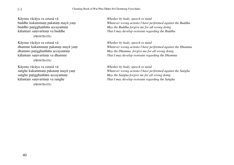Kāyena vācāya va cetasā vā *Whether by body, speech or mind* 

(PROSTRATE)

Kāyena vācāya va cetasā vā *Whether by body, speech or mind* 

(PROSTRATE)

Kāyena vācāya va cetasā vā *Whether by body, speech or mind* 

(PROSTRATE)

buddhe kukammam pakatam mayā yam *Whatever wrong actions I have performed against the Buddha* **buddho patigghanhātu accayantam** *May the Buddha forgive me for all wrong doing* kālantare samvaritum va buddhe *That I may develop restraint regarding the Buddha* 

dhamme kukammam pakatam mayā yam<br>Whatever *wrong* actions I have *performed* against the Dhamma dhammo patigghanhātu accayantam *May the Dhamma forgive me for all wrong doing* kālantare samvaritum va dhamme *That I may develop restraint regarding the Dhamma* 

sanghe kukammam pakatam mayā yam *Whatever wrong actions I have performed against the Sangha* sangho patigghanhātu accayantam *May the Sangha forgive me for all wrong doing* kālantare samvaritum va sanghe *That I may develop restraint regarding the Sangha*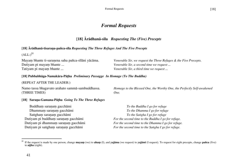# *Formal Requests*

# **[18] Ārādhanā-sīla** *Requesting The (Five) Precepts*

#### **[18] Ārādhanā-tisaraõa-pañca-sīla** *Requesting The Three Refuges And The Five Precepts*

 $(ALL:)^{31}$  $(ALL:)^{31}$  $(ALL:)^{31}$ 

| Mayam bhante ti-saranena saha pañca-sīlāni yācāma. | Venerable Sir, we request the Three Refuges & the Five Precepts. |
|----------------------------------------------------|------------------------------------------------------------------|
| Dutiyam pi mayam bhante                            | Venerable Sir, a second time we request                          |
| Tatiyam pi mayam bhante                            | Venerable Sir, a third time we request                           |

#### **[18] Pubbabhāga-Namakāra-Pāñha** *Preliminary Passagge**In Homage (To The Buddha)*

#### (REPEAT AFTER THE LEADER:)

| Namo tassa bhagavato arahato sammā-sambuddhassa. | Homage to the Blessed One, the Worthy One, the Perfectly Self-awakened |
|--------------------------------------------------|------------------------------------------------------------------------|
| (THREE TIMES)                                    | One.                                                                   |

#### **[18] Saraõa-Gamana-Pāñha** *Going To The Three Refuges*

| Buddham saranam gacchāmi            | To the Buddha I go for refuge                      |
|-------------------------------------|----------------------------------------------------|
| Dhammam saranam gacchāmi            | To the Dhamma I go for refuge                      |
| Sangham saranam gacchāmi            | To the Sangha I go for refuge                      |
| Dutiyam pi buddham saranam gacchāmi | For the second time to the Buddha I go for refuge. |
| Dutiyam pi dhammam saranam gacchāmi | For the second time to the Dhamma I go for refuge. |
| Dutiyam pi sangham saranam gacchāmi | For the second time to the Sangha I go for refuge. |

<span id="page-40-0"></span> $\overline{\phantom{a}}$ <sup>31</sup> If the request is made by one person, change **mayam** (we) to aham (I), and yajāma (we request) to yajāmi (I request). To request for eight precepts, change pañca (five) to **ațțha** (eight).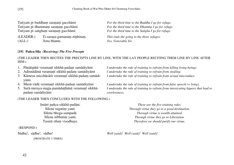Tatiyam pi buddham saranam gacchāmi *For* the *third time to the Buddha I go for refuge.* 

(LEADER:) Ti-sarana-gamanam nitthitam. *This ends the going to the three refuges.* (ALL:) Āma bhante. *Yes, Venerable Sir.* 

Tatiyam pi dhammam saranam gacchāmi *For the third time to the Dhamma I go for refuge.* Tatiyam pi sangham saranam gacchāmi. *For the third time to the Sangha I go for refuge.* 

#### **[19] Pañca-Sīla** *(Receiving) The Five Precepts*

(THE LEADER THEN RECITES THE PRECEPTS LINE BY LINE, WITH THE LAY PEOPLE RECITING THEM LINE BY LINE AFTER  $HIM:$ 

- 
- 2. Adinnādānā veramanī sikkhā-padam samādiyāmi *I undertake the rule of training to refrain from stealing*.
- 3. Kāmesu micchācārā veramanī sikkhā-padam samādiyāmi.
- 
- 5. Surā-meraya-majja-pamādatthānā veramanī sikkhāpadam samādiyāmi

#### (THE LEADER THEN CONCLUDES WITH THE FOLLOWING:)

(RESPOND:)

(PROSTRATE 3 TIMES)

1. Pāṇātipātā veramaṇī sikkhā-padaṃ samādiyāmi *I undertake the rule of training to refrain from killing living beings. I undertake the rule of training to refrain from sexual misconduct.*

4. Musā-vādā veramaõī sikkhā-padaü samādiyāmi *I undertake the rule of training to refrain from false speech (= lying). I undertake the rule of training to refrain from intoxicating liquors that lead to carelessness.* 

> Imāni pañca-sikkhā-padāni. *These are the five training rules.*  Sīlena sugatim yanti. **Through virtue they go to a good destination**. Sīlena bhoga-sampadā. *Through virtue is wealth attained.*  Sīlena nibbutim yanti. **Through virtue** *Through virtue they go to Liberation.* Tasmā sīlam visodhaye. **Therefore** *we should purify our virtue. Therefore we should purify our virtue.*

Sādhu!, sādhu!, sādhu! *Well (said)! Well (said)! Well (said)!*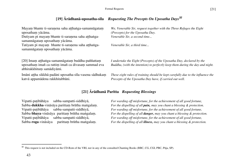| Mayam bhante ti-saranena saha atthanga-samannagatam | We, Venerable Sir, request together with the Three Refuges the Eight |
|-----------------------------------------------------|----------------------------------------------------------------------|
| uposatham yācāma.                                   | (Precepts) for the Uposatha Day.                                     |
| Dutiyam pi mayam bhante ti-saranena saha atthanga-  | Venerable Sir, a second time                                         |
| samannāgatam uposatham yācāma.                      |                                                                      |
| Tatiyam pi mayam bhante ti-saranena saha atthanga-  | Venerable Sir, a third time                                          |
| samannāgatam uposatham yācāma.                      |                                                                      |
|                                                     |                                                                      |
|                                                     |                                                                      |

 $[20]$  Imam atthanga-samannāgatam buddha-paññattam uposatham imañ ca rattim imañ ca divasam sammad eva abhirakkhitum samādiyāmi.

Imāni attha sikkhā-padāni uposatha-sīla-vasena sādhukam katvā appamādena rakkhitabbāni.

*I undertake the Eight (Precepts) of the Uposatha Day, declared by the Buddha, (with the intention) to perfectly keep them during the day and night.*

*These eight rules of training should be kept carefully due to the influence the Precepts of the Uposatha Day have, if carried out well.*

## **[21] Ārādhanā Paritta** *Requesting Blessings*

Vipatti-pañibāhāya sabba-sampatti-siddhiyā, Sabba-dukkha-vināsāya parittam brūtha mangalam. Vipatti-pañibāhāya sabba-sampatti-siddhiyā, Sabba-**bhaya**-vināsāya parittam brūtha mangalam. Vipatti-pañibāhāya sabba-sampatti-siddhiyā, Sabba-**roga**-vināsāya parittam brūtha mangalam.

<span id="page-42-0"></span>*For warding off misfortune, for the achievement of all good fortune, For the dispelling of all pain, may you chant a blessing & protection. For warding off misfortune, for the achievement of all good fortune, For the dispelling of all danger, may you chant a blessing & protection. For warding off misfortune, for the achievement of all good fortune, For the dispelling of all illness, may you chant a blessing & protection.*

 $\overline{\phantom{0}}$  $32$  This request is not included on the CD-Rom of the VRI, nor in any of the consulted Chanting Books (BBC, CG, CGI, PBC, Pūja, SP).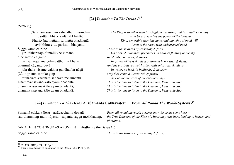## <span id="page-43-0"></span>**[21]** *Invitation To The Devas 1***[33](#page-43-0)**

#### (MONK:)

(Sarajiam sasenam sabandhum narindam parittānubhāvo sadā rakkhatūti) *The King − together with his kingdom, his army, and his relatives − may always be protected by the power of the blessing.*  Pharitvāna mettam sa-metta bhadhantā *Kind, venerable sirs: having spread thoughts of good will,* avikkhitta-citta parittam bhanantu. *listen* to the chant with undistracted mind. Sagge kāme ca rūpe *Those in the heavens of sensuality & form,*  giri-sikharatañe c'antalikkhe vimāne *On peaks & mountain precipices, in palaces floating in the sky,*  dīpe ratthe ca gāme *In islands, countries, & towns,*  taruvana-gahane geha-vatthumhi khette *In groves of trees & thickets, around home sites & fields.*  bhummā cāyantu devā *And the earth-devas, spirits, heavenly minstrels, & nāgas*  jala-thala-visame yakkha-gandhabba-nāgā *In water, on land, in badlands, & nearby:*  [22] tithanta santike yam *May* they come & listen with approval muni-vara-vacanam sādhavo me sunantu. As I recite *the word of the excellent sage*. Dhamma-ssavana-kālo ayam bhadantā; *This is the time to listen to the Dhamma, Venerable Sirs.*  dhamma-ssavana-kālo ayam bhadantā; *This is the time to listen to the Dhamma, Venerable Sirs.*  dhamma-ssavana-kālo ayam bhadantā. *This is the time to listen to the Dhamma, Venerable Sirs.* 

# [22] Invitation To The Devas 2 (Samantā Cakkavāļesu ... From All Round The World-Systems)<sup>[34](#page-43-1)</sup>

Samantā cakka-vāëesu atrāgacchantu devatā *From all round the world-systems may the devas come here −* sad-dhammam muni-rājassa sunantu sagga-mokkhadam. *the True Dhamma of the King of Munis they may here, leading to heaven and* 

<span id="page-43-1"></span>*liberation.* 

(AND THEN CONTINUE AS ABOVE IN '**Invitation to the Devas 1**':)

Sagge kāme ca rūpe ... *Those in the heavens of sensuality & form, ...* 

 $\overline{\phantom{a}}$  $^{33}_{24}$  Cf. CG, BBC p. 74; PCT p. 7

 $34$  This is an alternative 'Invitation to the Devas' (CG, PCT p. 7).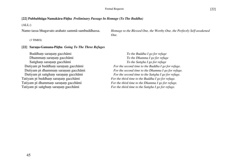#### **[22] Pubbabhāga-Namakāra-Pāñha** *Preliminary Passage In Homage (To The Buddha)*

#### $(ALL:$

Namo tassa bhagavato arahato sammā-sambuddhassa. *Homage to the Blessed One, the Worthy One, the Perfectly Self-awakened One.* 

(3 TIMES)

#### **[22] Saraõa-Gamana-Pāñha** *Going To The Three Refuges*

Buddham saranam gacchāmi *To* the Buddha I go for *refuge* Dhammam saranam gacchāmi *To the Dhamma I go for refuge* Sañgham sarañam gacchāmi *To the Sañgha I go for refuge* Tatiyam pi sangham saranam gacchāmi *For the third time to the Sangha I go for refuge.* 

Dutiyam pi buddham saranam gacchāmi *For the second time to the Buddha I go for refuge.* Dutiyam pi dhammam saranam gacchāmi *For the second time to the Dhamma I go for refuge.* Dutiyam pi saṅgham saraṇaṃ gacchāmi *For the second time to the Saṅgha I go for refuge.* Tatiyam pi buddham saraṇam gacchāmi *For the third time to the Buddha I go for refuge.* Tatiyam pi dhammam saranam gacchāmi *For the third time to the Dhamma I go for refuge.*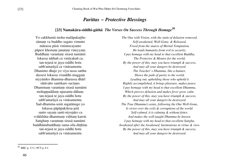# <span id="page-45-0"></span>*Parittas − Protective Blessings*

## **[23] Namakāra-siddhi-gāthā** *The Verses On Success Through Homage***[35](#page-45-0)**

Yo cakkhumā moha-malāpakattho *The One with Vision, with the stain of delusion removed,* sāmam va buddho sugato vimutto *Self-awakened, Well-Gone, & Released,* mārassa pāsā vinimocayanto *Freed from the snares of Mortal Temptation,*  pāpesi khemam janatam vineyyam. *He* leads humanity from evil to security. Buddham varantam sirasā namāmi *I pay homage with my head to that excellent Buddha*, lokassa nāthañ ca vināyakañ ca. *The Protector & Mentor for the world,*  tan-tejasā te jaya-siddhi hotu *By the power of this, may you have triumph & success,*  sabb'antarāyā ca vināsamentu. *And may all your dangers be destroyed.*  Dhammo dhajo yo viya tassa satthu *The Teacher' s Dhamma, like a banner,*  dassesi lokassa visuddhi-maggam *Shows the path of purity to the world.* niyyāniko dhamma-dharassa dhārī *Leading out, upholding those who uphold it*  sātāvaho santikaro sucinno. *Rightly accomplished, it brings pleasure, makes peace.* Dhammam varantam sirasā namāmi *I pay homage with my head to that excellent Dhamma,* mohappadālam upasanta-dāham. **Which** *pierces delusion and makes fever grow calm.* **Which** *pierces delusion and makes fever grow calm.* tan-tejasā te jaya-siddhi hotu *By the power of this, may you have triumph & success,*  sabb'antarāyā ca vināsamentu. *And may all your dangers be destroyed.*  Sad-dhamma-senā sugatānugo yo *The True Dhamma's army, following the One Well-Gone,*  lokassa pāpūpakilesa-jetā *Is victor over the evils & corruptions of the world.*  santo sayam santi-niyojako ca *Self-calmed, it is calming & without fetter,* svākkhāta-dhammam viditam karoti. *And makes the well-taught Dhamma be known. And makes the well-taught Dhamma be known.* Sangham varantam sirasā namāmi *I pay homage with my head to that excellent Sangha,* buddhānubuddham sama-sīla-ditthim. *Awakened after the Awakened, harmonious in virtue & view.* tan-tejasā te jaya-siddhi hotu *By the power of this, may you have triumph & success,*  sabb'antarāyā ca vināsamentu. *And may all your dangers be destroyed.* 

 $\overline{\phantom{0}}$  $35$  BBC p. 13 f.; PCT p. 8 f.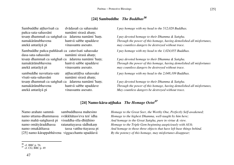## **[24] Sambuddhe** *The Buddhas***[36](#page-46-0)**

*I pay homage with my head to the 512,028 Buddhas.* 

<span id="page-46-0"></span>*I pay devoted homage to their Dhamma & Saïgha. Through the power of this homage, having demolished all misfortunes, may countless dangers be destroyed without trace.* 

<span id="page-46-1"></span>*I pay homage with my head to the 1,024,055 Buddhas.* 

*I pay devoted homage to their Dhamma & Saïgha. Through the power of this homage, having demolished all misfortunes may countless dangers be destroyed without trace.* 

*I pay homage with my head to the 2,048,109 Buddhas.* 

*I pay devoted homage to their Dhamma & Saïgha. Through the power of this homage, having demolished all misfortunes, May countless dangers be destroyed without trace.* 

# **[24] Namo-kāra-aññhaka** *The Homage Octet***[37](#page-46-1)**

Namo arahato sammā- sambuddhassa mahesino *Homage to the Great Seer, the Worthy One, Perfectly Self-awakened;* namo uttama-dhammassa svākkhātass'eva ten' idha *Homage to the highest Dhamma, well-taught by him here;*  namo mahā-saṅghassā pi visuddha-sīla-dhitthino *And homage to the Great Sangha, pure in virtue & view.* namo omātyāraddhassa ratanattayassa sādhukam *Homage to the Triple Gem beginning auspiciously with AUn<sup>†</sup>;* namo omakātītassa tassa vatthu-ttayassa pi *And homage to those three objects that have left base things behind.*  [25] namo-kārappabhāvena viggacchantu upaddavā *By the potency of this homage, may misfortunes disappear;* 

Sambuddhe atthavīsañ ca dvādasañ ca sahassake pañca-sata-sahassāni namāmi sirasā aham; tesam dhammañ ca saṅghañ ca ādarena namāmi 'ham. namakārānubhavena hantvā sabbe upaddave anekā antarāyā pi vinassantu asesato. Sambuddhe pañca-paññāsañ ca catuvīsati sahassake

dasa-sata-sahassāni namāmi sirasā aham: tesam dhammañ ca saṅghañ ca ādarena namāmi 'ham; namakārānubhavena hantvā sabbe upaddave anekā antarāyā pi vinassantu asesato.

sambuddhe navuttara-sate atthacattālīsa sahassake vīsati-sata-sahassāni namāmi sirasā aham; tesam dhammañ ca sanghañ ca ādarena namāmi 'ham; namakārānubhavena hantvā sabbe upaddave anekā antarāyā pi vinassantu asesato.

 $\overline{\phantom{a}}$  $^{36}_{27}$  cf. BBC p. 76;

 $37 \text{ cf. CG; BBC p. } 49$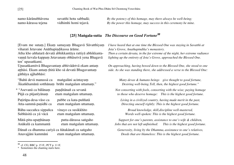| namo-kārānubhāvena  | suvatthi hotu sabbadā; | By the potency of this homage, may there always be well-being;  |
|---------------------|------------------------|-----------------------------------------------------------------|
| namo-kārassa tejena | vidhimhi homi tejavā.  | By the power this homage, may success in this ceremony be mine. |

## **[25] Maïgala-sutta** *The Discourse on Good Fortune***[38](#page-47-0)**

[Evam me sutam.] Ekam samayam Bhagavā Sāvatthiyam viharati Jetavane Anāthapindikassa ārāme.

Atha kho aññatarā devatā abhikkantāya rattiyā abhikkantavannā kevala-kappam Jetavanam obhāsetvā yena Bhagavā ten' upasankami.

Upasankamitvā Bhagavantam abhivādetvā ekam antam aṭṭhāsi. Ekam antaṃ thitā kho sā devatā Bhagavantam gāthāya ajjhabhāsi:

"Bahū devā manussā ca mangalāni acintayum Ākankhamānā sotthānam brūhi mangalam uttamam."

[\\*](#page-47-1) "Asevanā ca bālānam banditānañ ca sevanā

Pūjā ca pūjanīyānam etam mangalam uttamam.

Patirūpa-desa-vāso ca pubbe ca kata-puññatā Atta-sammā-panidhi ca etam mangalam uttamam.

Bāhu-saccañca sippañca vinayo ca susikkhito Subhāsitā ca yā vācā etam mangalam uttamam.

Mātā-pitu-upatthānam putta-dārassa sangaho Anākulā ca kammantā etam mangalam uttamam.

Dānañ ca dhamma-cariyā ca ñātakānañ ca sangaho Anavajjāni kammāni etam mangalam uttamam. *I have heard that at one time the Blessed One was staying in Savatthi at Jeta's Grove, Anathapindika's monastery. Then a certain devata, in the far extreme of the night, her extreme radiance lighting up the entirety of Jeta's Grove, approached the Blessed One.* 

*On approaching, having bowed down to the Blessed One, she stood to one side. As she was standing there, she addressed a verse to the Blessed One:* 

> <span id="page-47-1"></span><span id="page-47-0"></span>*Many devas & humans beings give thought to good fortune, Desiring well-being. Tell, then, the highest good fortune."*

*Not consorting with fools, consorting with the wise; paying homage to those who deserve homage: This is the highest good fortune.* 

*Living in a civilized country, having made merit in the past, Directing oneself rightly: This is the highest good fortune.* 

*Broad knowledge, skill, discipline well-mastered, Words well-spoken: This is the highest good fortune.* 

*Support for one's parents, assistance to one's wife & children, Jobs that are not left unfinished: This is the highest good fortune.* 

*Generosity, living by the Dhamma, assistance to one's relatives, Deeds that are blameless: This is the highest good fortune.* 

 $\overline{\phantom{a}}$  $38$  cf. CG; BBC p. 15 ff.; PCT p. 11 ff.

<sup>\*</sup> Sometimes the chanting starts here.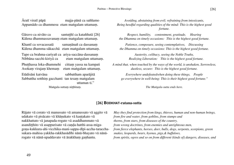Āratī viratī pāpā majja-pānā ca saññamo Appamādo ca dhammesu etam mangalam uttamam.

Gāravo ca nivāto ca santutthī ca kataññutā [26] Kālena dhammassavanam etam mangalam uttamam.

Khantī ca sovacassatā samanānañ ca dassanam Kālena dhamma-sākacchā etam mangalam uttamam.

Tapo ca brahma-cariyañ ca ariya-saccāna-dassanam Nibbāna-sacchi-kiriyā ca etam mangalam uttamam.

Phutthassa loka-dhammehi cittam yassa na kampati Asokam virajam khemam etam mangalam uttamam.

Etādisāni katvāna sabbattham aparājitā Sabbattha sotthim gacchanti tan tesam mangalam uttaman ti."

*Avoiding, abstaining from evil; refraining from intoxicants, Being heedful regarding qualities of the mind: This is the highest good fortune.* 

*Respect, humility, contentment, gratitude, Hearing the Dhamma on timely occasions: This is the highest good fortune.* 

*Patience, composure, seeing contemplatives, Discussing the Dhamma on timely occasions: This is the highest good fortune.* 

> *Austerity, celibacy, seeing the Noble Truths, Realizing Liberation: This is the highest good fortune.*

*A mind that, when touched by the ways of the world, is unshaken, Sorrowless, dustless, secure: This is the highest good fortune.* 

*Everywhere undefeated when doing these things, People go everywhere in well-being: This is their highest good fortune."* 

Maïgala-suttaü niññhitaü. *The Maïgala-sutta ends here.* 

#### **[26] BODKHAT-ratana-sutta**

Rājato vā corato vā manussato vā amanussato vā aggito vā udakato vā pisācato vā khānukato vā kantakato vā nakkhattato vā janapada-rogato vā asaddhammato vā asanditthito vā asappurisato vā canda-hatthi-assa-migagoõa-kukkura-ahi-vicchika-mani-sappa-dīpi-accha-taracchasukara-mahisa-yakkha-rakkhasādīhi nānā-bhayato vā nānārogato vā nānā-upaddavato vā ārakkham gaņhantu.

*May they find protection from kings, thieves, human and non-human beings, from fire and water, from goblins, from stumps and thorns, from stars, from diseases of the country, from wrong doctrines, from enemies and unrighteous men, from fierce elephants, horses, deer, bulls, dogs, serpents, scorpions, green snakes, leopards, bears, hyenas, pigs,& buffaloes, from spirits, ogres and so on from different (kinds of) dangers, diseases, and*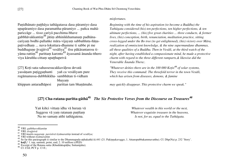#### *misfortunes.*

yāma-r[att](#page-49-2)im<sup>42</sup> parittam karonto<sup>43</sup> āyassamā ānanda-tthero Panidhānato patthāya tathāgatassa dasa pāramiyo dasa upapāramiyo dasa paramattha-pāramiyo ... pañca mahāpariccāge ... tisso cariyā pacchima-bhave gabbhāvakkantim<sup>39</sup> jātim abhinikkhamanam padhānacariyam bodhi-pallanke māra-vijayam sabbaññuta-ñānapativedham ... nava-lokuttara-dhamme ti sabbe pi me <u>.</u><br>buddha[gu](#page-49-0)ņe āvajjitvā<sup>40</sup> vesāliya<sup>41</sup> tīsu pākā[r](#page-49-1)antaresu tiviya kāruñña-cittam upatthapetvā

[27] Koti-sata-sahassesucakkavālesu devatā yassānam patigganhanti vañ ca vesāliyam pure rogāmanussa-dubbhikkha- sambhūtan ti-vidham bhayam khippam antaradhāpesi parittan tam bhañamahe. *Beginning with the time of his aspiration (to become a Buddha) the Tathāgata considered (his) ten perfections, ten higher perfections, & ten ultimate perfections, ... (his) five great charities ... three conducts, & former lives, (his) conception, birth, renunciation, meditation practice, sitting cross-legged under the Bo tree (to get enlightened), (his) victory over Māra, realization of omniscient knowledge, & the nine supermundane dhammas, all these qualities of a Buddha. Then in Vesāli, at the third watch of the night, after having established a compassionate mind, he made a protective charm with regard to the three different ramparts,& likewise did the Venerable Ānanda Thera:.* 

<span id="page-49-5"></span><span id="page-49-1"></span>*"Whatever deities there are in the 100 000 Kotis*<sup>[44](#page-49-3)</sup> of solar systems, *They receive this command: The threefold terror in the town Vesāli, which has arisen from diseases, demons, & famine* 

*may quickly disappear. This protective charm we speak."*

# **6 [27] Cha-ratana-paritta-gāthā [45](#page-49-4)** *The Six Protective Verses from the Discourse on Treasures***[4](#page-49-5)**

Yan kiñci vittam idha vā huram vā Saggesu vā yam ratanam panītam Na no samam atthi tathāgatena.

<span id="page-49-4"></span><span id="page-49-3"></span><span id="page-49-2"></span><span id="page-49-0"></span>*Whatever wealth in this world or the next, Whatever exquisite treasure in the heavens, Is not, for us, equal to the Tathāgata.* 

 $\overline{\phantom{a}}$ <sup>39</sup> VRI: *gabbhavokkantiü* 

<sup>40</sup> VRI: *āvajjetvā*

<sup>41</sup> VRI inserts *nagaraü pavisitvā tiyāmarattiü* instead of *vesāliya;*

<sup>42</sup> VRI without *tiyāmarattim*<br>43 VRI without *tiyāmarattim*<br>43 So far this pararagraph is similar to the Dhammapada-aṭṭhakathā iii.441 (21. Pakiṇṇakavaggo, 1. Attanopubbakammavatthu). Cf. Dhp(Na) p. 232 'Story'.

<sup>44</sup> **kotI** $f$  1. top, summit, point, end; 2. 10 million (cPED)

 $^{45}$  Excerpt of the Ratana-sutta (Khuddakapāṭha; Suttanipāta);

 $^{46}$  Cf. CGI; PCT p. 13 ff.;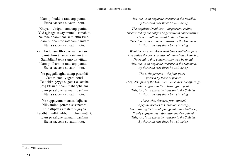Idam pi buddhe ratanam panītam Etena saccena suvatthi hotu.

Khayam virāgam amatam panītam Yad ajjhagā sakayamunī [47](#page-50-0) samāhito Na tena dhammena sam'atthi kiñci. Idam pi dhamme ratanam panītam Etena saccena suvatthi hotu.

Yam buddha-settho parivannayī sucim Samādhim ānantarikaññam āhu Samādhinā tena samo na vijjati. Idam pi dhamme ratanam panītam Etena saccena suvatthi hotu.

Ye puggalā attha satam pasatthā Cattāri etāni yugāni honti Te dakkhineyyā sugatassa sāvakā [28] Etesu dinnāni mahapphalāni. Idam pi sanghe ratanam panītam Etena saccena suvatthi hotu.

Ye suppayuttā manasā dalhena Nikkāmino gotama-sāsanamhi Te pattipattā amatam vigayha Laddhā mudhā nibbutim bhuñjamānā. Idam pi sanghe ratanam panītam Etena saccena suvatthi hotu.

*This, too, is an exquisite treasure in the Buddha. By this truth may there be well-being.* 

*The exquisite Deathless − dispassion, ending − Discovered by the Sakyan Sage while in concentration: There is nothing equal to that Dhamma. This, too, is an exquisite treasure in the Dhamma. By this truth may there be well-being.* 

<span id="page-50-0"></span>*What the excellent Awakened One extolled as pure And called the concentration of unmediated knowing: No equal to that concentration can be found. This, too, is an exquisite treasure in the Dhamma. By this truth may there be well-being.* 

*The eight persons − the four pairs − praised by those at peace: They, disciples of the One Well-Gone, deserve offerings. What is given to them bears great fruit. This, too, is an exquisite treasure in the Saïgha. By this truth may there be well-being.* 

*Those who, devoted, firm-minded, Apply themselves to Gotama's message, On attaining their goal, plunge into the Deathless, Freely enjoying the Liberation they've gained. This, too, is an exquisite treasure in the Saïgha. By this truth may there be well-being.* 

. . .

 $\overline{\phantom{a}}$ <sup>47</sup> CGI, VRI: *sakyamunī*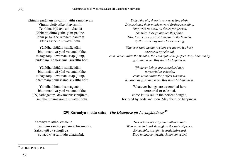Khīnam purānam navam n' atthi sambhavam Viratta-cittāyatike bhavasmim Te khīna-bījā avirulhi-chandā Nibbanti dhīrā yathā'yam-padīpo. Idam pi sanghe ratanam panītam Etena saccena suvatthi hotu.

> Yānīdha bhūtāni samāgatāni, bhummāni vā yāni va antalikkhe; thatāgatam devamanussapūjitam, buddham namassāma suvatthi hotu.

Yānīdha bhūtāni samāgatāni, bhummāni vā yāni va antalikkhe; tathāgatam devamanussapūjitam, dhammam namassāma suvatthi hotu.

Yānīdha bhūtāni samāgatāni, bhummāni vā yāni va antalikkhe; [29] tathāgatam devamanussapūjitam, sangham namassāma suvatthi hotu.

*Ended the old, there is no new taking birth. Dispassioned their minds toward further becoming, They, with no seed, no desire for growth, The wise, they go out like this flame. This, too, is an exquisite treasure in the Saïgha. By this truth may there be well-being.* 

*Whatever (non-human) beings are assembled here, terrestrial or celestial, come let us salute the Buddha, the Tathāgata (the perfect One), honored by gods and men. May there be happiness.* 

> <span id="page-51-0"></span>*Whatever beings are assembled here terrestrial or celestial, come let us salute the perfect Dhamma, honored by gods and men. May there be happiness.*

Whatever beings are assembled here terrestrial or celestial, come let us salute the perfect Sangha, honored by gods and men. May there be happiness.

## **[29] Karanīya-metta-sutta** *The Discourse on Lovingkindness*<sup>[48](#page-51-0)</sup>

Karanīyam attha-kusalena yan tam santam padam abhisamecca, Sakko ujū ca suhujū ca suvaco c' assa mudu anatimānī,

*This is to be done by one skilled in aims Who wants to break through to the state of peace: Be capable, upright, & straightforward, Easy to instruct, gentle, & not conceited,* 

 $\overline{\phantom{a}}$  $^{48}$  Cf. BCI; PCT p. 15 f.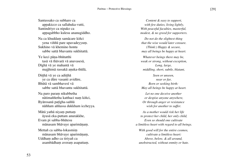Santussako ca subharo ca appakicco ca sallahuka-vutti, Santindriyo ca nipako ca appagabbho kulesu ananugiddho. Na ca khuddam samācare kiñci yena viññū pare upavadeyyum. Sukhino vā khemino hontu sabbe sattā bhavantu sukhitattā. Ye keci pāna-bhūtatthi tasā vā thāvarā vā anavasesā, Dīghā vā ye mahantā vā majjhimā rassakā anuka-thūlā, Ditthā vā ye ca aditthā ye ca dūre vasanti avidūre, Bhūtā vā sambhavesī vā sabbe sattā bhavantu sukhitattā. Na paro param nikubbetha nātimaññetha katthaci nam kiñci, Byārosanā pañīgha-saññā nāññam aññassa dukkham iccheyya. Mātā yathā niyam puttam āyusā eka-puttam anurakkhe, Evam pi sabba-bhūtesu mānasam bhāvaye aparimānam. Mettañ ca sabba-lokasmim mānasam bhāvaye aparimānam, Uddham adho ca tiriyañ ca asambādham averam asapattam.

*Content & easy to support, with few duties, living lightly, With peaceful faculties, masterful, modest, & no greed for supporters.* 

*Do not do the slightest thing that the wise would later censure. (Think:) Happy & secure, may all beings be happy at heart.* 

*Whatever beings there may be, weak or strong, without exception, Long, large, middling, short, subtle, blatant,* 

*Seen or unseen, near or far, Born or seeking birth: May all beings be happy at heart.* 

*Let no one deceive another or despise anyone anywhere, Or through anger or resistance wish for another to suffer.* 

*As a mother would risk her life to protect her child, her only child, Even so should one cultivate a limitless heart with regard to all beings.* 

*With good will for the entire cosmos, cultivate a limitless heart: Above, below, & all around, unobstructed, without enmity or hate.*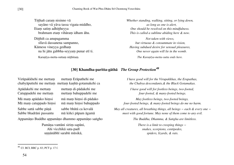Titthañ caram nisinno vā sayāno vā yāva tassa vigata-middho, Etam satim adhittheyya brahmam etam vihāram idham āhu.

Ditthiñ ca anupagamma sīlavā dassanena sampanno, Kāmesu vineyya gedham na hi jātu gabbha-seyyam punar etī ti.

*Whether standing, walking, sitting, or lying down, as long as one is alert, One should be resolved on this mindfulness. This is called a sublime abiding here & now.* 

<span id="page-53-0"></span>*Not taken with views, but virtuous & consummate in vision, Having subdued desire for sensual pleasures, One never again will lie in the womb.* 

Karañ<sup>†</sup>ya-metta-suttam nithitam. **The** *Karañ†ya-metta-sutta ends here. The Karañ†ya-metta-sutta ends**here.* 

# **[30] Khandha-paritta-gāthā** *The Group Protection***[49](#page-53-0)**

Virūpakkhehi me mettam mettam Erāpathehi me chabyāputtehi me mettam mettam kanhā-gotamakehi ca Apādakehi me mettam mettam di-pādakehi me Catuppadehi me mettam mettam bahuppadehi me Mā mam apādako himsi mā mam himsi di-pādako Mā mam catuppado himsi mā mam himsi bahuppado Sabbe sattā sabbe pāñā sabbe bhūtā ca kevalā Sabbe bhadrāni passantu mā kiñci pāpam āgamā

Appamāõo Buddho appamāõo dhammo appamāõo saïgho *The Buddha, Dhamma, & Saïgha are limitless.* 

Pamāna-vantāni sirim-sapāni, Ahi vicchikā sata-padī unnānābhī sarabū mūsikā,

*I have good will for the Virupakkhas, the Erapathas, the Chabya descendants,& the Black Gotamakas.* 

*I have good will for footless beings, two-footed, four-footed, & many-footed beings.* 

*May footless beings, two-footed beings, four-footed beings, & many-footed beings do me no harm.* 

*May all creatures, all breathing things, all beings − each & every one − meet with good fortune. May none of them come to any evil.* 

*There is a limit to creeping things − snakes, scorpions, centipedes, spiders, lizards, & rats.* 

 $\overline{\phantom{a}}$ <sup>49</sup> Cf. BCI; BBC p. 83; PCT p. 17 f.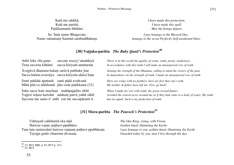Katā me rakkhā, Katā me parittā, Patikkamantu bhūtāni.

So 'ham namo Bhagavato, Namo sattannam Sammā-sambuddhānam. *I have made this protection, I have made this spell. May the beings depart.* 

<span id="page-54-1"></span><span id="page-54-0"></span>*I pay homage to the Blessed One, homage to the seven Perfectly Self-awakened Ones.* 

## **[30] Vattaka-paritta** *The Baby Quail's Protection*<sup>[50](#page-54-0)</sup>

Atthi loke sīla-guno saccam soceyy'anuddayā Tena saccena kāhāmi sacca-kiriyam-anuttaram Āvajjitvā dhamma-balam saritvā pubbake jine Sacca-balam-avassāya sacca-kiriyam-akāsa'ham Santi pakkhā apattanā santi pādā avañcanā

Mātā pitā ca nikkhantā jāta-veda patikkama [31]

Saha sacce kate mayham mahāpajjalito sikhī Vajjesi solasa karīsāni udakam patvā yathā sikhī Saccena me samo n' atthi esā me saccapāramī ti.

*There is in this world the quality of virtue, truth, purity, tenderness. In accordance with this truth I will make an unsurpassed vow of truth.* 

*Sensing the strength of the Dhamma, calling to mind the victors of the past, In dependence on the strength of truth, I made an unsurpassed vow of truth:* 

*Here are wings with no feathers, here are feet that can't walk. My mother & father have left me. Fire, go back!* 

*When I made my vow with truth, the great crested flames Avoided the sixteen acres around me as if they had come to a body of water. My truth has no equal: Such is my perfection of truth.* 

## **[31] Mora-paritta** *The Peacock's Protection***[51](#page-54-1)**

 Udetayañ cakkhumā eka-rājā Harissa-vanno pathavi-ppabhāso Tam tam namassāmi harissa-vannam pathavi-ppabhāsam Tayajja guttā viharemu divasam.

*The One King, rising, with Vision, Golden-hued, illumining the Earth: I pay homage to you, golden-hued, illumining the Earth. Guarded today by you, may I live through the day.*

 $\overline{\phantom{a}}$  $^{50}_{54}$  Cf. BCI; BBC p. 83; PCT p. 18 f.  $51$  Cf. BCI;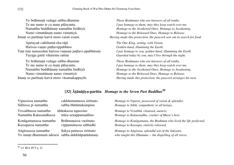| Ye brāhmanā vedagu sabba-dhamme                    | Those Brahmans who are knowers of all truths,                         |
|----------------------------------------------------|-----------------------------------------------------------------------|
| Te me namo te ca mam pālayantu.                    | I pay homage to them; may they keep watch over me.                    |
| Namatthu buddhānam namatthu bodhiyā.               | Homage to the Awakened Ones. Homage to Awakening.                     |
| Namo vimuttānam namo vimuttiyā.                    | Homage to the Released Ones. Homage to Release.                       |
| Imam so parittam katvā moro carati esanā.          | Having made this protection, the peacock sets out in search for food. |
| Apetayañ cakkhumā eka-rājā                         | The One King, setting, with Vision,                                   |
| Harissa-vanno pathavippabhāso                      | Golden-hued, illumining the Earth:                                    |
| Tam tam namassāmi harissa-vaņņam pathavi-ppabhāsam | I pay homage to you, golden-hued, illumining the Earth.               |
| Tayajja guttā viharemu rattim                      | Guarded today by you, may I live through the night.                   |
| Ye brāhmanā vedagu sabba-dhamme                    | Those Brahmans who are knowers of all truths,                         |
| Te me namo te ca mam pālayantu.                    | I pay homage to them; may they keep watch over me.                    |
| Namatthu buddhānam namatthu bodhiyā                | Homage to the Awakened Ones, Homage to Awakening.                     |
| Namo vimuttānam namo vimuttiyā                     | Homage to the Released Ones, Homage to Release.                       |
| Imam so parittam katvā moro vāsamakappayīti.       | Having made this protection, the peacock arranges his nest.           |

# <span id="page-55-0"></span>**[32] Āñānāñiya-paritta** *Homage to the Seven Past Buddhas***[52](#page-55-0)**

| Vipassissa namatthu    | cakkhumantassa sirīmato                                                   | Homage to Vipassi, possessed of vision & splendor.                                                           |
|------------------------|---------------------------------------------------------------------------|--------------------------------------------------------------------------------------------------------------|
| Sikhissa pi namatthu   | sabba-bhūtānukampino                                                      | Homage to Sikhi, sympathetic to all beings.                                                                  |
| Vessabhussa namatthu   | nhātakassa tapassino                                                      | Homage to Vesabhū, cleansed, austere.                                                                        |
| Namatthu Kakusandhassa | māra-senappamaddino                                                       | Homage to Kakusandha, crusher of Mara's host.                                                                |
| Konāgamanassa namatthu | Brāhmanassa vusīmato                                                      | Homage to Konāgamana, the Brahman who lived the life perfected.                                              |
| Kassapassa namatthu    | vippamuttassa sabbadhi                                                    | Homage to Kassapa, entirely released.                                                                        |
| Angīrasassa namatthu   | Sakya-puttassa sirīmato<br>Yo imam dhammam adesesi sabba-dukkhāpanūdanam. | Homage to Angirasa, splendid son of the Sakyans,<br>who taught this Dhamma $-$ the dispelling of all stress. |

 $\overline{a}$ <sup>52</sup> Cf. BCI; PCT p. 22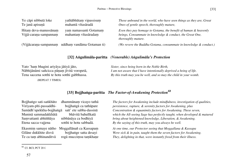| Ye cāpi nibbutā loke<br>Te janā apisunā         | yathābhūtam vipassisum<br>mahantā vītasāradā      | Those unbound in the world, who have seen things as they are, Great<br>Ones of gentle speech, thoroughly mature,                                          |
|-------------------------------------------------|---------------------------------------------------|-----------------------------------------------------------------------------------------------------------------------------------------------------------|
| Hitam deva-manussānam<br>Vijjā-carana-sampannam | yam namassanti Gotamam<br>mahantam vītasāradam    | Even they pay homage to Gotama, the benefit of human & heavenly<br>beings, Consummate in knowledge & conduct, the Great One,<br><i>thoroughly mature.</i> |
|                                                 | (Vijjācaraņa-sampannam uddham vandāma Gotaman ti) | (We revere the Buddha Gotama, consummate in knowledge & conduct.)                                                                                         |

### **[32] Aïgulimāla-paritta** *(Venerable) Aïgulimāla's Protection*

Yato 'ham bhagini ariyāya jātiyā jāto, Nābhijānāmi sañcicca pānam jīvitā voropetā, Tena saccena sotthi te hotu sotthi gabbhassa.

(REPEAT 3 TIMES)

<span id="page-56-0"></span>*Sister, since being born in the Noble Birth, I am not aware that I have intentionally deprived a being of life. By this truth may you be well, and so may the child in your womb.*

## **[33] Bojjhaïga-paritta** *The Factor-of-Awakening Protection***[53](#page-56-0)**

Bojjhango sati-sankhāto dhammānam vicayo tathā Viriyam-pīti-passaddhi- bojihangā ca tathāpare Samādh'upekkha-bojjhangā satt' ete sabba-dassinā Muninā sammadakkhātā bhāvitā bahulīkatā Samvattanti abhiññāya nibbānāya ca bodhiyā Etena sacca-vajjena sotthi te hotu sabbadā.

Ekasmim samaye nātho Moggallānañ ca Kassapam Gilāne dukkhite disvā bojihange satta desayi Te ca tam abhinanditvā rogā muccimsu tamkhane *The factors for Awakening include mindfulness, investigation of qualities, persistence, rapture, & serenity factors for Awakening, plus Concentration & equanimity factors for Awakening. These seven, which the All-seeing Sage has perfectly taught, when developed & matured bring about heightened knowledge, Liberation, & Awakening. By the saying of this truth, may you always be well.*

*At one time, our Protector seeing that Moggallana & Kassapa Were sick & in pain, taught them the seven factors for Awakening. They, delighting in that, were instantly freed from their illness.* 

 $\overline{a}$ <sup>53</sup> Cf. BCI; PCT 20 f.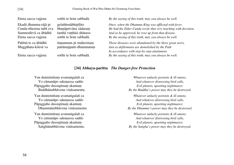| Etena sacca-vajiena                                                                            | sotthi te hotu sabbadā.                                                                         | By the saying of this truth, may you always be well.                                                                                                                                                                |
|------------------------------------------------------------------------------------------------|-------------------------------------------------------------------------------------------------|---------------------------------------------------------------------------------------------------------------------------------------------------------------------------------------------------------------------|
| Ekadā dhamma-rājā pi<br>Cunda-ttherena taññ eva<br>Sammoditvā ca ābādhā<br>Etena sacca-vajiena | gelaññenābhipīlito<br>bhanāpetvāna sādaram<br>tamhā vutthāsi thānaso<br>sotthi te hotu sabbadā. | Once, when the Dhamma King was afflicted with fe<br>He had the Elder Cunda recite that very teaching w<br>And as he approved, he rose up from that disease.<br>By the saying of this truth, may you always be well. |
| Pahīnā te ca ābādhā<br>Maggāhata-kilesā va                                                     | tinnannam pi mahesinam<br>pattānuppatti-dhammatam                                               | Those diseases were abandoned by the three great.<br>Just as defilements are demolished by the Path<br>In accordance with step-by-step attainment.                                                                  |
| Etena sacca-vajjena                                                                            | sotthi te hotu sabbadā.                                                                         | By the saying of this truth, may you always be well.                                                                                                                                                                |

*Once, when the Dhamma King was afflicted with fever, <i>Ketaber <i>Kery teaching* with *devotion. And as he approved, he rose up from that disease. By the saying of this truth, may you always be well.*

*Those diseases were abandoned by the three great seers, Just as defilements are demolished by the Path <i><u>Istep</u> attainment. By the saying of this truth, may you always be well.*

## **[34] Abhaya-paritta** *The Danger-free Protection*

Yan dunnimittam avamañgalañ ca Yo cāmanāpo sakunassa saddo Pāpaggaho dussupinam akantam Buddhānubhāvena vināsamentu.

Yan dunnimittam avamañgalañ ca Yo cāmanāpo sakunassa saddo Pāpaggaho dussupinam akantam Dhammānubhāvena vināsamentu.

Yan dunnimittam avamañgalañ ca Yo cāmanāpo sakunassa saddo Pāpaggaho dussupinam akantam Sanghānubhāvena vināsamentu.

*Whatever unlucky portents & ill omens, And whatever distressing bird calls, Evil planets, upsetting nightmares: By the Buddha's power may they be destroyed.* 

*Whatever unlucky portents & ill omens, And whatever distressing bird calls, Evil planets, upsetting nightmares: By the Dhamma's power may they be destroyed.* 

*Whatever unlucky portents & ill omens, And whatever distressing bird calls, Evil planets, upsetting nightmares: By the Saïgha's power may they be destroyed.*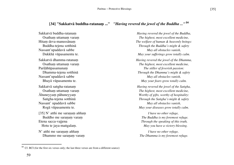**[34] "Sakkatvā buddha-ratanaü ..."** *"Having revered the jewel of the Buddha ..."* **[54](#page-58-0)**

Sakkatvā buddha-ratanam Osatham uttamam varam Hitam deva-manussānam Buddha-tejena sotthinā Nassant'upaddavā sabbe Dukkhā vūpasamentu te. Sakkatvā dhamma-ratanam Osatham uttamam varam Parilāhūpasamanam Dhamma-tejena sotthinā Nassant'upaddavā sabbe Bhayā vūpasamentu te. Sakkatvā sangha-ratanam Osatham uttamam varam Āhuneyyam pāhuneyyam Sangha-tejena sotthinā Nassant' upaddavā sabbe Rogā vūpasamentu te.  $[35]$  N' atthi me saranam aññam Buddho me saranam varam Etena sacca-vajjena Hotu te jaya-mangalam.

N' atthi me saranam aññam Dhammo me saranam varam

*Having revered the jewel of the Buddha, The highest, most excellent medicine, The welfare of human & heavenly beings: Through the Buddha's might & safety May all obstacles vanish, May your sufferings grow totally calm. Having revered the jewel of the Dhamma, The highest, most excellent medicine, The stiller of feverish passion: Through the Dhamma's might & safety May all obstacles vanish, May your fears grow totally calm.* 

*Having revered the jewel of the Saïgha, The highest, most excellent medicine, Worthy of gifts, worthy of hospitality: Through the Saïgha's might & safety May all obstacles vanish, May your diseases grow totally calm.* 

<span id="page-58-0"></span>*I have no other refuge, The Buddha is my foremost refuge. Through the speaking of this truth, May you have a victory blessing.* 

*I have no other refuge, The Dhamma is my foremost refuge.* 

 $\overline{a}$  $54$  Cf. BCI (for the first six verses only; the last three verses are from a different source)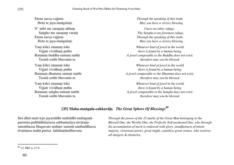| Etena sacca-vajjena         |
|-----------------------------|
| Hotu te jaya-mangalam.      |
| N' atthi me saranam aññam   |
| Sangho me saranam varam     |
| Etena sacca-vajjena         |
| Hotu te jaya-mangalam.      |
| Yam kiñci ratanam loke      |
| Vijjati vividham puthu      |
| Ratanam buddha-samam natthi |
| Tasmā sotthi bhavantu te.   |
| Yam kiñci ratanam loke      |
| Vijjati vividham puthu      |
| Ratanam dhamma-samam natthi |
| Tasmā sotthi bhavantu te.   |
| Yam kiñci ratanam loke      |
| Vijjati vividham puthu      |
| Ratanam sangha-samam natthi |
| Tasmā sotthi bhavantu te.   |

*Through the speaking of this truth, May you have a victory blessing.* 

<span id="page-59-0"></span>*I have no other refuge, The Saïgha is my foremost refuge. Through the speaking of this truth, May you have a victory blessing.* 

*Whatever kind of jewel in the world there is found by a human being, A jewel comparable to the Buddha does not exist; therefore may you be blessed.* 

*Whatever kind of jewel in the world there is found by a human being, A jewel comparable to the Dhamma does not exist; therefore may you be blessed.* 

*Whatever kind of jewel in the world there is found by a human being, A jewel comparable to the Saïgha does not exist; therefore may you be blessed.* 

## **[35] Maha-maïgala-cakkavāëa** *The Great Sphere Of Blessings***[55](#page-59-0)**

Siri-dhiti-mati-tejo-jayasiddhi-mahiddhi-mahāgunāparimita-puññādhikarassa sabbantarāya-nivāranasamatthassa bhagavato arahato sammā-sambuddhassa dvattimsa-mahā-purisa- lakkhanānubhavena

*Through the power of the 32 marks of the Great Man belonging to the Blessed One, the Worthy One, the Perfectly Self-awakened One, who through his accumulation of merit is endowed with glory, steadfastness of intent, majesty, victorious power, great might, countless great virtues, who resolves all dangers & obstacles,* 

 $\overline{a}$ <sup>55</sup> Cf. BBC p. 27 ff.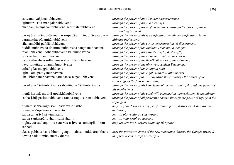| asītyānubyañjanānubhavena                                | through the power of his 80 minor characteristics,                             |
|----------------------------------------------------------|--------------------------------------------------------------------------------|
| atthuttara-sata-mangalānubhavena                         | through the power of his 108 blessings                                         |
| chabbanna-ramsiyānubhāvena ketumālānubhāvena             | through the power of his six-fold radiance, through the power of the aura      |
|                                                          | surrounding his head,                                                          |
| dasa-pāramitānubhāvena dasa-upapāramitānubhāvena dasa-   | through the power of his ten perfections, ten higher perfections, & ten        |
| paramattha-pāramitānubhāvena                             | ultimate perfections,                                                          |
| sīla-samādhi-paññānubhāvena                              | through the power of his virtue, concentration, & discernment;                 |
| buddhānubhāvena dhammānubhāvena saṅghānubhāvena          | through the power of the Buddha, Dhamma, & Sangha,                             |
| tejānubhāvena iddhānubhāvena balānubhāvena               | through the power of his majesty, might, & strength,                           |
| ñeyya-dhammānubhāvena                                    | through the power of the Dhammas that can be known,                            |
| caturāsīti-sahassa-dhamma-kkhandhānubhāvena              | through the power of the 84,000 divisions of the Dhamma,                       |
| nava-lokuttara-dhammānubhāvena                           | through the power of the nine transcendent Dhammas,                            |
| atthangika-maggānubhāvena                                | through the power of the eightfold path,                                       |
| attha-samāpattiyānubhāvena                               | through the power of the eight meditative attainments,                         |
| chaļabhiññānubhāvena catu-sacca-ñāṇānubhāvena            | through the power of the six cognitive skills; through the power of his        |
|                                                          | knowledge of the four noble truths,                                            |
| dasa-bala-ñāṇānubhāvena sabbaññuta-ñāṇānubhāvena         | through the power of his knowledge of the ten strength, through the power of   |
|                                                          | his omniscience,                                                               |
| mettā-karuņā-muditā-upekkhānubhāvena                     | through the power of his good will, compassion, appreciation, & equanimity,    |
| sabba-[36]-parittānubhāvena ratana-ttaya-saraṇānubhāvena | through the power of all protective chants, through the power of refuge in the |
|                                                          | triple gem,                                                                    |
| tuyham sabba-roga-sok'upaddava-dukkha-                   | may all your diseases, griefs, misfortunes, pains, distresses, & despairs be   |
| domanass'upāyāsā vinassantu                              | destroyed,                                                                     |
| sabba-antarāyā pi vinassantu                             | may all obstructions be destroyed,                                             |
| sabba-sankappā tuyham samijjhantu                        | may all your resolves succeed,                                                 |
| dīghāyutā tuyham hotu sata-vassa-jīvena samangiko hotu   | may you live long, always attaining 100 years.                                 |
| sabbadā.                                                 |                                                                                |
| ākāsa-pabbata-vana-bhūmi-gaṅgā-mahāsamuddā ārakkhakā     | May the protective devas of the sky, mountains, forests, the Ganges River, &   |
| devatā sadā tumhe anurakkhantu.                          | the great ocean always protect you.                                            |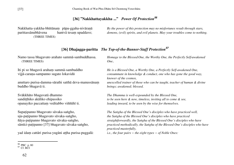# **[36] "Nakkhattayakkha ..."** *Power Of Protection***[56](#page-61-0)**

Nakkhatta-yakkha-bhūtānam pāpa-ggaha-nivāranā parittassānubhāvena hantvā tesam upaddave; (THREE TIMES)

<span id="page-61-1"></span><span id="page-61-0"></span>*By the power of this protection may no misfortunes result through stars, demons, (evil) spirits, and evil planets. May your troubles come to nothing.* 

# **[36] Dhajagga-paritta** *The Top-of-the-Banner-Staff Protection***[57](#page-61-1)**

Namo tassa bhagavato arahato sammā-sambuddhassa. (THREE TIMES)

anuttaro purisa-damma-sārathi satthā deva-manussānam buddho bhagavā ti.

uju-patipanno bhagavato sāvaka-sangho, ñāya-patipanno bhagavato sāvaka-sañgho, sāmīci-patipanno [37] bhagavato sāvaka-saṅgho,

yad idaü cattāri purisa-yugāni aññha purisa-puggalā: *i.e., the four pairs − the eight types − of Noble Ones:*

*Homage to the Blessed One, the Worthy One, the Perfectly Self-awakened One..* 

Iti pi so bhagavā araham sammā-sambuddho *He is a Blessed One, a Worthy One, a Perfectly Self-awakened One,* vijjā-caraña-sampanno sugato lokavidū *consummate in knowledge & conduct, one who has gone the good way, knower of the cosmos, unexcelled trainer of those who can be taught, teacher of human & divine*

*beings; awakened; blessed.*

Svākkhāto bhagavatā dhammo *The Dhamma is well-expounded by the Blessed One,*  sanditthiko akāliko ehipassiko *to be seen here & now, timeless, inviting all to come & see,* opanayiko paccattaü veditabbo viññūhī ti. *leading inward, to be seen by the wise for themselves.*

Supatipanno bhagavato sāvaka-saṅgho, *The Saṅgha of the Blessed One's disciples who have practiced well, the Saïgha of the Blessed One's disciples who have practiced straightforwardly, the Saïgha of the Blessed One's disciples who have practiced methodically, the Saïgha of the Blessed One's disciples who have practiced masterfully,*

 $^{56}_{57}$  PBC p. 80  $57$  Cf. BCI

 $\overline{\phantom{a}}$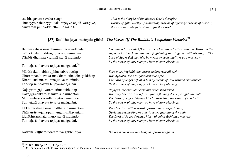esa bhagavato sāvaka-saïgho − *That is the Saïgha of the Blessed One's disciples −* anuttaram puñña-kkhettam lokassā ti. *the incomparable field of merit for the world.* 

## **[37] Buddha-jaya-maïgala-gāthā** *The Verses Of The Buddha's Auspicious Victories***[58](#page-62-0)**

Bāhum sahassam-abhinimmita-sāvudhantam Grīmekhalam udita-ghora-sasena-māram Dānādi-dhamma-vidhinā jitavā munindo

Tan-tejasā bhavatu te java-mangalāni.<sup>[59](#page-62-1)</sup>

Mārātirekam-abhiyujihita-sabba-rattim Ghorampan'ālavaka-makkham-athaddha-yakkham Khantī-sudanta-vidhinā jitavā munindo Tan-tejasā bhavatu te jaya-mangalāni.

Nālāgirim gaja-varam atimattabhūtam Dāvaggi-cakkam-asanīva sudārunantam Mett'ambuseka-vidhinā jitavā munindo Tan-tejasā bhavatu te jaya-mangalāni.

Ukkhitta-khaggam-atihattha sudārunantam Dhāvan-ti-yojana-path'anguli-mālavantam Iddhībhisaïkhata-mano jitavā munindo Tan-tejasā bhavatu te jaya-mangalāni.

āhuneyyo pāhuneyyo dakkhiõeyyo añjali-karaõīyo, *worthy of gifts, worthy of hospitality, worthy of offerings, worthy of respect,*

*Creating a form with 1,000 arms, each equipped with a weapon, Mara, on the elephant Girimekhala, uttered a frightening roar together with his troops. The Lord of Sages defeated him by means of such qualities as generosity: By the power of this, may you have victory blessings.* 

<span id="page-62-0"></span>*Even more frightful than Mara making war all night Was Āëavaka, the arrogant unstable ogre. The Lord of Sages defeated him by means of well-trained endurance: By the power of this, may you have victory blessings.*

*Nāëāgiri, the excellent elephant, when maddened, Was very horrific, like a forest fire, a flaming discus, a lightning bolt. The Lord of Sages defeated him by sprinkling the water of good will: By the power of this, may you have victory blessings.*

<span id="page-62-1"></span>*Very horrific, with a sword upraised in his expert hand, Garlanded-with-Fingers ran three leagues along the path. The Lord of Sages defeated him with mind-fashioned marvels: By the power of this, may you have victory blessings.*

Katvāna kattham-udaram iva gabbhinīyā *Having made a wooden belly to appear pregnant,* 

 $\overline{\phantom{a}}$  $^{58}$  Cf. BCI; BBC p. 22 ff.; PCT p. 26 ff.

<sup>59</sup> Or: Tan-tejasā bhavatu te jaya-maïgalaggaü *By the power of this, may you have the highest victory blessing.* (BCI)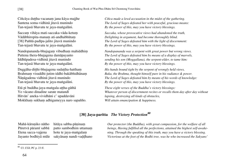Ciñcāya duttha-vacanam jana-kāya-majjhe Santena soma-vidhinā jitavā munindo Tan-tejasā bhavatu te jaya-mangalāni.

Saccam vihāya mati-saccaka-vāda-ketum Vādābhiropita-manam ati-andhabhūtam [38] Paññā-padīpa-jalito jitavā munindo Tan-tejasā bhavatu te jaya-mangalāni.

Nandopananda-bhujagam vibudham mahiddhim Puttena thera-bhujagena damāpayanto Iddhūpadesa-vidhinā jitavā munindo Tan-tejasā bhavatu te jaya-mangalāni.

Duggāha-ditthi-bhujagena sudattha-hattham Brahmam visuddhi-jutim-iddhi-bakābhidhānam Ñāõāgadena vidhinā jitavā munindo Tan-tejasā bhavatu te jaya-mangalāni.

Etā pi buddha-jaya-maṅgala-attha-gāthā Yo vācano dinadine sarate matandī Hitvān' aneka-vividhāni c' upaddavāni Mokkham sukham adhigameyya naro sapañño. *Ciñca made a lewd accusation in the midst of the gathering. The Lord of Sages defeated her with peaceful, gracious means: By the power of this, may you have victory blessings.*

*Saccaka, whose provocative views had abandoned the truth, Delighting in argument, had become thoroughly blind. The Lord of Sages defeated him with the light of discernment: By the power of this, may you have victory blessings.*

<span id="page-63-0"></span>*Nandopananda was a serpent with great power but wrong views. The Lord of Sages defeated him by means of a display of marvels, sending his son (Moggallana), the serpent-elder, to tame him: By the power of this, may you have victory blessings.*

*His hands bound tight by the serpent of wrongly held views, Baka, the Brahma, thought himself pure in his radiance & power. The Lord of Sages defeated him by means of his words of knowledge: By the power of this, may you have victory blessings.*

*These eight verses of the Buddha's victory blessings: Whatever person of discernment recites or recalls them day after day without lapsing, destroying all kinds of obstacles, Will attain emancipation & happiness.* 

# **[38] Jaya-paritta** *The Victory Protection***[60](#page-63-0)**

Mahā-kāruniko nātho hitāya sabba-pāninam Pūretvā pāramī sabbā patto sambodhim uttamam Etena sacca-vajjena hotu te jaya-mangalam

*Our protector (the Buddha), with great compassion, for the welfare of all beings, Having fulfilled all the perfections, attained the highest self-awakening. Through the speaking of this truth, may you have a victory blessing.* Jayanto bodhiyā mūle sakyānam nandi-vaddhano *Victorious at the foot of the Bodhi tree, was he who increased the Sakyans'* 

 $\overline{\phantom{0}}$  $60$  Cf. CGI; PC p. 23 ff.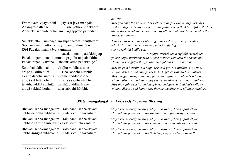Evam tvam vijayo hohi jayassu jaya-mangale; Aparājita-pallanke sīse pathavi-pokkhare Abhiseke sabba-buddhānam aggappatto pamodati.

Sunakkhattam sumangalam supabhātam suhutthitam Sukhano sumuhutto ca suyittham brahmacārisu [39] Padakkhinam kāya-kammam

vācākammam padakkhinam

Padakkhinam mano-kammam panidhī te padakkhinā Padakkhināni katvāna labhant' atthe padakkhine.<sup>[61](#page-64-0)</sup>

So atthaladdho sukhito virulho buddhasāsane sā atthaladdhā sukhitā virulhā buddhasāsane arogā sukhitā hohi saha sabbehi ñātibhi te atthaladdhā sukhitā virulhā buddhasāsane arogā sukhitā hotha saha sabbehi ñātibhi.

arogo sukhito hohi saha sabbehi ñātibhi;

#### *delight.*

*May you have the same sort of victory, may you win victory blessings. In the undefeated cross-legged sitting posture with (his) head (like) the lotus above the ground, and consecrated by all the Buddhas, he rejoiced in the utmost attainment.*

*A lucky star it is, a lucky blessing, a lucky dawn, a lucky sacrifice, a lucky instant, a lucky moment, a lucky offering: (i.e.) a rightful bodily act,* 

 *a rightful verbal act, a rightful mental act, your rightful intentions with regard to those who lead the chaste life. Doing these rightful things, your rightful aims are achieved.*

<span id="page-64-0"></span>*May he gain benefits and happiness and grow in Buddha's religion, without disease and happy may he be together with all his relatives. May she gain benefits and happiness and grow in Buddha's religion, without disease and happy may she be together with all her relatives. May they gain benefits and happiness and grow in Buddha's religion, without disease and happy may they be together with all their relatives.* 

### **[39] Sumaïgala-gāthā** *Verses Of Excellent Blessing*

| Bhavatu sabba-mangalam rakkhantu sabba-devatā                                                            |  |
|----------------------------------------------------------------------------------------------------------|--|
| Sabba- <b>buddhā</b> nubhāvena sadā sotthī bhavantu te.                                                  |  |
| Bhavatu sabba-mangalam rakkhantu sabba-devatā<br>Sabba- <b>dhammā</b> nubhāvena sadā sotthī bhavantu te. |  |
| Bhavatu sabba-mangalam rakkhantu sabba-devatā                                                            |  |

Sabba-**saïghā**nubhāvena sadā sotthī bhavantu te.

*May there be every blessing. May all heavenly beings protect you. Through the power of all the Buddhas, may you always be well.*

*May there be every blessing. May all heavenly beings protect you. Through the power of all the Dhammas, may you always be well.*

*May there be every blessing. May all heavenly beings protect you. Through the power of all the Saïghas, may you always be well.*

 $\overline{\phantom{0}}$  $61$  This chant might optionally end here.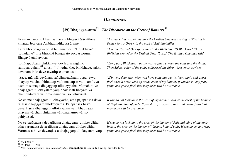# *Discourses*

# **[ 39] Dhajagga-sutta<sup>62</sup>** *The Discourse on the Crest of Banners***[63](#page-65-1)**

Evam me sutam. Ekam samayam bhagavā Sāvatthiyam viharati Jetavane Anāthapindikassa ārame.

Tatra kho bhagavā bhikkhū āmantesi: "Bhikkhavo" ti "Bhadante" ti te bhikkhū bhagavato paccassosum. Bhagavā etad avoca:

"Bhūtapubbam, bhikkhave, devāsurasangāmo samupabyulaho<sup>[64](#page-65-2)</sup> ahosi. [40] Atha kho, bhikkhave, sakko devānam indo deve tāvatimse āmantesi:

'Sace, mārisā, devānam saṅgāmagatānam uppajjeyya bhayam vā chambhitattam vā lomahamso vā, mam' eva tasmim samaye dhajaggam ullokeyyātha. Mamañ hi vo dhajaggam ullokayatam yam bhavissati bhayam vā chambhitattam vā lomahamso vā, so pahīyissati.

No ce me dhajaggam ullokeyyātha, atha pajāpatissa devarājassa dhajaggam ullokeyyātha. Pajāpatissa hi vo devarājassa dhajaggam ullokayatam yam bhavissati bhayam vā chambhitattam vā lomahamso vā, so pahīyissati.

No ce pajāpatissa devarājassa dhajaggam ullokeyyātha, atha varunassa deva-rājassa dhajaggam ullokeyyātha. Varunassa hi vo devarājassa dhajaggam ullokayatam yam <span id="page-65-1"></span><span id="page-65-0"></span>*Thus have I heard. At one time the Exalted One was staying at Sāvatthi in Prince Jeta's Grove, in the park of An* $\bar{a}$ *thapindika.* 

*Then the Exalted One spoke thus to the Bhikkhus: "O Bhikkhus." Those Bhikkhus replied to the Exalted One: "Lord." The Exalted One then said:* 

*"Long ago, Bhikkhus, a battle was raging between the gods and the titans. Then Sakka, ruler of the gods, addressed the thirty-three gods, saying:*

*'If in you, dear sirs, when you have gone into battle, fear, panic and gooseflesh should arise, look up at the crest of my banner. If you do so, any fear, panic and goose-flesh that may arise will be overcome.*

*If you do not look up to the crest of my banner, look at the crest of the banner of Pajāpati, king of gods. If you do so, any fear, panic and goose-flesh that may arise will be overcome.* 

<span id="page-65-2"></span>*If you do not look up to the crest of the banner of Pajāpati, king of the gods, look at the crest of the banner of Varuna, king of gods. If you do so, any fear, panic and goose-flesh that may arise will be overcome.* 

 $\overline{\phantom{a}}$ SN i 218 ff.

<sup>63</sup> Cf. Pūjā p. 109 ff.

<sup>64</sup> VRI: *samupabyūëho*; Pūjā: *samupabyuëho.* **samupabbūëha** *Adj* in full swing; crowded (cPED);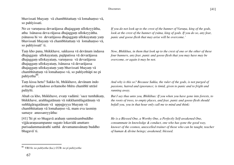bhavissati bhayam vā chambhitattam vā lomahamso vā, so pahīyissati.

No ce varunassa devarājassa dhajaggam ullokeyyātha, atha īsānassa deva-rājassa dhajaggam ullokeyyātha. rsānassa hi vo devarājassa dhajaggam ullokayatam yam bhavissati bhayam vā chambhitattam vā lomahamso vā, so pahīyissatī' ti.

Tam kho pana, bhikkhave, sakkassa vā devānam indassa dhajaggam ullokayatam, pajāpatissa vā devarājassa dhajaggam ullokayatam, varunassa vā devarājassa dhajaggam ullokayatam, īsānassa vā devarājassa dhajaggam ullokayatam yam bhavissati bhayam vā chambhitattam vā lomahamso vā, so pahīyethāpi no pi pahīyetha<sup>[65](#page-66-0)</sup>.

Tam kissa hetu? Sakko hi, bhikkhave, devānam indo avītarāgo avītadoso avītamoho bhīru chambhī utrāsī palāyīti.

Ahañ ca kho, bhikkhave, evam vadāmi: 'sace tumhākam, bhikkhave, araññagatānam vā rukkhamūlagatānam vā suññāgāragatānam vā uppajjeyya bhayam vā chambhitattam vā lomahamso vā, mam eva tasmim samaye anussareyyātha:

 $[41]$  'Iti pi so bhagavā araham sammāsambuddho vijjācaranasampanno sugato lokavidū anuttaro purisadammasārathi satthā devamanussānam buddho bhagavā' ti.

*If* you do not look up to the crest of the banner of Varuna, king of the gods, *look at the crest of the banner of rsana, king of gods. If you do so, any fear, panic and goose-flesh that may arise will be overcome.'* 

*Now, Bhikkhus, in them that look up to the crest of one or the other of these four banners, any fear, panic and goose-flesh that you may have may be overcome, or again it may be not.*

<span id="page-66-0"></span>*And why is this so? Because Sakka, the ruler of the gods, is not purged of passions, hatred and ignorance; is timid, given to panic and to fright and running away.*

*But I say thus unto you, Bhikkhus: If you when you have gone into forests, to the roots of trees, to empty places, and fear, panic and goose-flesh should befall you, you in that hour only call me to mind and think:* 

*He is a Blessed One, a Worthy One, a Perfectly Self-awakened One, consummate in knowledge & conduct, one who has gone the good way, knower of the cosmos, unexcelled trainer of those who can be taught, teacher of human & divine beings; awakened; blessed.* 

 $\overline{\phantom{0}}$ <sup>65</sup> VRI fn: *no pahīyetha* (ka.); CCB: *no pi pahiyyetha*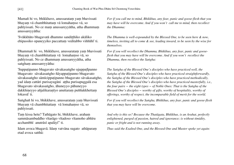Mamañ hi vo, bhikkhave, anussaratam yam bhavissati bhayam vā chambhitattam vā lomahamso vā, so pahīyissati. No ce mam anussareyyātha, atha dhammam anussareyyātha:

'Svākkhāto bhagavatā dhammo sandițthiko akāliko ehipassiko opaneyyiko paccattam veditabbo viññūhī' ti.

Dhammañ hi vo, bhikkhave, anussaratam yam bhavissati bhayam vā chambhitattam vā lomahamso vā, so pahīyissati. No ce dhammam anussareyyātha, atha sangham anussareyyātha:

'Suppatipanno bhagavato sāvakasañgho ujuppatIpanno bhagavato sāvakasangho ñāyappatipanno bhagavato sāvakasangho sāmīcippatipanno bhagavato sāvakasangho, yad idam cattāri purisayugāni at tha purisapuggalā esa bhagavato sāvakasaṅgho, āhuneyyo pāhuneyyo dakkhineyyo añjalikaranīyo anuttaram puññakkhettam lokassā' ti.

Sanghañ hi vo, bhikkhave, anussaratam yam bhavissati bhayam vā chambhitattam vā lomahamso vā, so pahīyissati.

Tam kissa hetu? Tathāgato hi, bhikkhave, araham sammāsambuddho vītarāgo vītadoso vītamoho abhīru acchambhī anutrāsī apalāyī" ti.

Idam avoca bhagavā. Idam vatvāna sugato athāparam etad avoca satthā:

*For if you call me to mind, Bhikkhus, any fear, panic and goose-flesh that you may have will be overcome. And if you won't call me to mind, then recollect the Dhamma:* 

*The Dhamma is well-expounded by the Blessed One, to be seen here & now, timeless, inviting all to come & see, leading inward, to be seen by the wise for themselves.* 

*For if you will recollect the Dhamma, Bhikkhus, any fear, panic and gooseflesh that you may have will be overcome. And if you won't recollect the Dhamma, then recollect the Saïgha:* 

*The Saïgha of the Blessed One's disciples who have practiced well, the Saïgha of the Blessed One's disciples who have practiced straightforwardly, the Saïgha of the Blessed One's disciples who have practiced methodically, the Saïgha of the Blessed One's disciples who have practiced masterfully, i.e., the four pairs − the eight types − of Noble Ones: That is the Saïgha of the Blessed One's disciples − worthy of gifts, worthy of hospitality, worthy of offerings, worthy of respect, the incomparable field of merit for the world.* 

*For if you will recollect the Saïgha, Bhikkhus, any fear, panic and goose-flesh that you may have will be overcome.* 

*And why is this so? Because the Thatāgata, Bhikkhus, is an Arahat, perfectly enlightened, purged of passion, hatred and ignorance; is without timidity, panic or fright and is not running away.* 

*Thus said the Exalted One, and the Blessed One and Master spoke yet again:*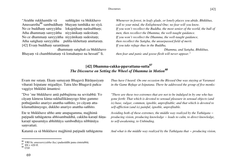"Araññe rukkhamūle vā suññāgāre va bhikkhavo Anussaretha<sup>[66](#page-68-0)</sup> sambuddham bhayam tumhāka no siyā. No ce buddham sareyyātha lokajettham narāsabham; Atha dhammam sareyyātha niyyānikam sudesitam. No ce dhammam sareyyātha niyyānikam sudesitam; Atha sangham sareyyātha puñña-kkhettam anuttaram. [42] Evam buddham sarantānam

dhammam sanghañ ca bhikkhavo

Bhayam vā chambhitattam vā lomahamso na hessatī" ti.

<span id="page-68-2"></span>*Whenever in forest, in leafy glade, or lonely places you abide, Bhikkhus, call to your mind, the Enlightened One; no fear will you know. If you won't recollect the Buddha, the most senior of the world, the bull of men, then recollect the Dhamma, the well-taught guidance. If you won't recollect the Dhamma, the well-taught guidance, then recollect the Saïgha, the unsurpassed field of merit. If you take refuge thus in the Buddha,* 

<span id="page-68-1"></span> *Dhamma, and Saïgha, Bhikkhus, then fear and panic and goose-flesh will never appear."* 

# **[42] Dhamma-cakka-ppavattana-sutta[67](#page-68-1)**  *The Discourse on Setting the Wheel of Dhamma in Motion***<sup>68</sup>**

Evam me sutam. Ekam samayam Bhagavā Bārānasiyam viharati Isipatane migadāye. Tatra kho Bhagavā pañcavaggiye bhikkhū āmantesi:

"Dve 'me bhikkhave antā pabbajitena na sevitabbā: Yo cāyam kāmesu kāma-sukhallikānuvogo hīno gammo pothujianiko anariyo anattha-sañhito, yo cāyam attakilamathānuyogo, dukkho anariyo anattha-sañhito.

Ete te bhikkhave ubho ante anupagamma, majjhimā patipadā tathāgatena abhisambuddhā, cakkhu-karanī ñānakaranī upasamāya abhiññāya sambodhāya nibbānāya samvattati.

*Thus have I heard: On one occasion the [Bl](#page-68-2)essed One was staying at Varanasi in the Game Refuge at Isipatana. There he addressed the group of five monks:*

<span id="page-68-0"></span>*"There are these two extremes that are not to be indulged in by one who has gone forth: That which is devoted to sensual pleasure in sensual objects (and is) base, vulgar, common, ignoble, unprofitable; and that which is devoted to self-affliction (and is) painful, ignoble, unprofitable.* 

*Avoiding both of these extremes, the middle way realized by the Tathāgata − producing vision, producing knowledge − leads to calm, to direct knowledge, to self-awakening, to Unbinding.*

Katamā ca sā bhikkhave majjhimā patipadā tathāgatena And what is the middle way realized by the Tathāgata that – producing vision,

 $\overline{\phantom{a}}$ 

<sup>66</sup> VRI fn: *anussareyyātha* (ka.) padasiddhi pana cintetabbā;

 $^{67}_{62}$  SN v 420 ff.

<sup>68</sup> CGI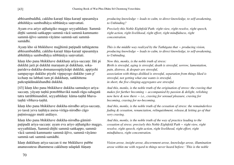abhisambuddhā, cakkhu-karanī ñāna-karanī upasamāya abhiññāya sambodhāya nibbānāya samvattati.

Ayam eva ariyo atthangiko maggo seyyathīdam: Sammāditthi sammā-saṅkappo sammā-vācā sammā-kammanto sammā-ājīvo sammā-vāyāmo sammā-sati sammāsamādhi.

Ayam kho sā bhikkhave majjhimā patipadā tathāgatena abhisambuddhā, cakkhu-karanī ñāna-karanī upasamāya abhiññāya sambodhāya nibbānāya samvattati.

Idam kho pana bhikkhave dukkham ariya-saccam: Jāti pi dukkhā jarā pi dukkhā maranam pi dukkham, sokaparideva-dukkha-domanassupāyāsāpi dukkhā, appiyehi sampayogo dukkho piyehi vippayogo dukkho yam p' iccham na labhati tam pi dukkham, sankhittena pañcupādānakkhandhā dukkhā.

[43] Idam kho pana bhikkhave dukkha-samudayo ariyasaccam, yāyam tanhā ponobbhavikā nandi-rāga-sahagatā tatra tatrābhinandinī, seyyathīdam: kāma-tanhā bhavatanhā vibhava-tanhā.

Idam kho pana bhikkhave dukkha-nirodho ariya-saccam, yo tassā yeva tanhāya asesa-virāga-nirodho cāgo patinissaggo mutti anālayo.

Idam kho pana bhikkhave dukkha-nirodha-gāminīpatipadā ariya-saccam: ayam eva ariyo atthañgiko maggo, seyyathīdam, Sammā-ditthi sammā-saṅkappo, sammāvācā sammā-kammanto sammā-ājīvo, sammā-vāyāmo sammā-sati sammā-samādhi.

Idam dukkham ariya-saccan ti me bhikkhave pubbe ananussutesu dhammesu cakkhum udapādi ñānam

*producing knowledge − leads to calm, to direct knowledge, to self-awakening, to Unbinding?*

*Precisely this Noble Eightfold Path: right view, right resolve, right speech, right action, right livelihood, right effort, right mindfulness, right concentration.*

*This is the middle way realized by the Tathāgata that − producing vision, producing knowledge − leads to calm, to direct knowledge, to self-awakening, to Unbinding.*

*Now this, monks, is the noble truth of stress: Birth is stressful, aging is stressful, death is stressful, sorrow, lamentation, pain, distress, & despair are stressful, association with things disliked is stressful, separation from things liked is stressful, not getting what one wants is stressful, in short, the five clinging-aggregates are stressful.*

*And this, monks, is the noble truth of the origination of stress: the craving that makes for further becoming − accompanied by passion & delight, relishing now here & now there − i.e., craving for sensual pleasure, craving for becoming, craving for no-becoming.*

*And this, monks, is the noble truth of the cessation of stress: the remainderless fading & cessation, renunciation, relinquishment, release,& letting go of that very craving.*

*And this, monks, is the noble truth of the way of practice leading to the cessation of stress: precisely this Noble Eightfold Path − right view, right resolve, right speech, right action, right livelihood, right effort, right mindfulness, right concentration.*

*Vision arose, insight arose, discernment arose, knowledge arose, illumination arose within me with regard to things never heard before: 'This is the noble*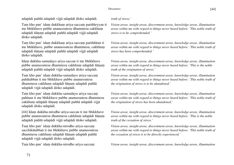udapādi paññā udapādi vijjā udapādi āloko udapādi. *truth of stress.'*

Tam kho pan' idam dukkham ariya-saccam pariññeyyan ti me bhikkhave pubbe ananussutesu dhammesu cakkhum udapādi ñānam udapādi paññā udapādi vijjā udapādi āloko udapādi.

Tam kho pan' idam dukkham ariya-saccam pariññātan ti me bhikkhave, pubbe ananussutesu dhammesu, cakkhum udapādi ñānam udapādi paññā udapādi vijjā udapādi āloko udapādi.

Idam dukkha-samudayo ariya-saccan ti me bhikkhave pubbe ananussutesu dhammesu cakkhum udapādi ñānam udapādi paññā udapādi vijjā udapādi āloko udapādi.

Tam kho pan' idam dukkha-samudayo ariya-saccam pahātabban ti me bhikkhave pubbe ananussutesu dhammesu cakkhum udapādi ñānam udapādi paññā udapādi vijjā udapādi āloko udapādi.

Tam kho pan' idam dukkha-samudayo ariya-saccam pahīnan ti me bhikkhave pubbe ananussutesu dhammesu cakkhum udapādi ñānam udapādi paññā udapādi vijjā udapādi āloko udapādi.

[44] Idam dukkha-nirodho ariya-saccan ti me bhikkhave pubbe ananussutesu dhammesu cakkhum udapādi ñānam udapādi paññā udapādi vijjā udapādi āloko udapādi.

Tam kho pan' idam dukkha-nirodho ariya-saccam sacchikātabban ti me bhikkhave pubbe ananussutesu dhammesu cakkhum udapādi ñānam udapādi paññā udapādi vijjā udapādi āloko udapādi.

*Vision arose, insight arose, discernment arose, knowledge arose, illumination arose within me with regard to things never heard before: 'This noble truth of stress is to be comprehended.'*

*Vision arose, insight arose, discernment arose, knowledge arose, illumination arose within me with regard to things never heard before: 'This noble truth of stress has been comprehended.'*

*Vision arose, insight arose, discernment arose, knowledge arose, illumination arose within me with regard to things never heard before: 'This is the noble truth of the origination of stress.'*

*Vision arose, insight arose, discernment arose, knowledge arose, illumination arose within me with regard to things never heard before: 'This noble truth of the origination of stress is to be abandoned.'*

*Vision arose, insight arose, discernment arose, knowledge arose, illumination arose within me with regard to things never heard before: 'This noble truth of the origination of stress has been abandoned.'*

*Vision arose, insight arose, discernment arose, knowledge arose, illumination arose within me with regard to things never heard before: 'This is the noble truth of the cessation of stress.'*

*Vision arose, insight arose, discernment arose, knowledge arose, illumination arose within me with regard to things never heard before: 'This noble truth of the cessation of stress is to be directly experienced.'*

Taü kho pan' idaü dukkha-nirodho ariya-saccaü *Vision arose, insight arose, discernment arose, knowledge arose, illumination*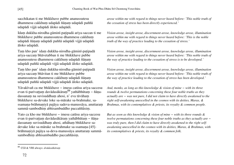sacchikatan ti me bhikkhave pubbe ananussutesu dhammesu cakkhum udapādi ñānam udapādi paññā udapādi vijjā udapādi āloko udapādi.

Idam dukkha-nirodha-gāminī-patipadā ariya-saccan ti me bhikkhave pubbe ananussutesu dhammesu cakkhum udapādi ñānam udapādi paññā udapādi vijjā udapādi āloko udapādi.

Tam kho pan' idam dukkha-nirodha-gāminī-patipadā ariya-saccam bhāvetabban ti me bhikkhave pubbe ananussutesu dhammesu cakkhum udapādi ñānam udapādi paññā udapādi vijjā udapādi āloko udapādi.

Tam kho pan' idam dukkha-nirodha-gāminī-patipadā ariya-saccam bhāvitan ti me bhikkhave pubbe ananussutesu dhammesu cakkhum udapādi ñānam udapādi paññā udapādi vijjā udapādi āloko udapādi.

Yāvakīvañ ca me bhikkhave − imesu catūsu ariya-saccesu evan ti-parivaṭṭaṃ davādasākāraṃ<sup>[69](#page-71-0)</sup> yathābhūtaṃ − ñāṇadassanam na suvisuddham ahosi, n' eva tāvāham bhikkhave sa-devake loke sa-mārake sa-brahmake, sassamana-brāhmaniyā pajāya sadeva-manussāya, anuttaram sammā-sambodhim abhisambuddho paccaññāsim.

Yato ca kho me bhikkhave − imesu catūsu ariya-saccesu evan ti-parivattam davādasākāram yathābhūtam − ñānadassanam suvisuddham ahosi, athāham bhikkhave sadevake loke sa-mārake sa-brahmake sa-ssamana-[45]brāhmaniyā pajāya sa-deva-manussāya anuttaram sammāsambodhim abhisambuddho paccaññāsim.

*arose within me with regard to things never heard before: 'This noble truth of the cessation of stress has been directly experienced.'*

*Vision arose, insight arose, discernment arose, knowledge arose, illumination arose within me with regard to things never heard before: 'This is the noble truth of the way of practice leading to the cessation of stress.'*

*Vision arose, insight arose, discernment arose, knowledge arose, illumination arose within me with regard to things never heard before: 'This noble truth of the way of practice leading to the cessation of stress is to be developed.'*

<span id="page-71-0"></span>*Vision arose, insight arose, discernment arose, knowledge arose, illumination arose within me with regard to things never heard before: 'This noble truth of the way of practice leading to the cessation of stress has been developed.'*

*And, monks, as long as this knowledge & vision of mine − with its three rounds & twelve permutations concerning these four noble truths as they actually are − was not pure, I did not claim to have directly awakened to the right self-awakening unexcelled in the cosmos with its deities, Maras, & Brahmas, with its contemplatives & priests, its royalty & common people.*

*But as soon as this knowledge & vision of mine − with its three rounds & twelve permutations concerning these four noble truths as they actually are − was truly pure, then I did claim to have directly awakened to the right selfawakening unexcelled in the cosmos with its deities, Maras, & Brahmas, with its contemplatives & priests, its royalty & common folk.*

 $\overline{\phantom{0}}$ <sup>69</sup> CGI & VRI always: *dvādasākāraü*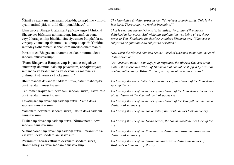Ñānañ ca pana me dassanam udapādi: akuppā me vimutti, ayam antimā jāti, n' atthi dāni punabbhavo" ti.

Idam avoca Bhagavā; attamanā pañca-vaggiyā bhikkhū Bhagavato bhāsitam abhinandum. Imasmiñ ca pana veyyā-karanasmim bhaññamāne āyasmato Kondaññassa virajam vītamalam dhamma-cakkhum udapādi: Yankiñci samudaya-dhammam sabban-tam nirodha-dhamman ti.

Pavattite ca Bhagavatā dhamma-cakke, bhummā devā saddam anussāvesum:

"Etam Bhagavatā Bārānasiyam Isipatane migadāye anuttaram dhamma-cakkam pavattitam, appativattiyam samanena vā brāhmanena vā devena vā mārena vā brahmunā vā kenaci vā lokasmin ti."

Bhummānam devānam saddam sutvā, cātummahārājikā devā saddam anussāvesum.

Cātummahārājikānam devānam saddam sutvā, Tāvatimsā devā saddam anussāvesum.

Tāvatimsānam devānam saddam sutvā, Yāmā devā saddam anussāvesum.

Yāmānam devānam saddam sutvā, Tusitā devā saddam anussāvesum.

Tusitānam devānam saddam sutvā, Nimmānaratī devā saddam anussāvesum.

Nimmānaratīnam devānam saddam sutvā, Paranimmitavasavattī devā saddam anussāvesum.

Paranimmita-vasavattīnam devānam saddam sutvā, Brahma-kāyikā devā saddam anussāvesum.

*The knowledge & vision arose in me: 'My release is unshakable. This is the last birth. There is now no further becoming.'"*

*That is what the Blessed One said. Gratified, the group of five monks delighted at his words. And while this explanation was being given, there arose to Ven. Kondañña the dustless, stainless Dhamma eye: "Whatever is subject to origination is all subject to cessation."*

*Now when the Blessed One had set the Wheel of Dhamma in motion, the earth deities cried out:*

*"At Varanasi, in the Game Refuge at Isipatana, the Blessed One has set in motion the unexcelled Wheel of Dhamma that cannot be stopped by priest or contemplative, deity, Māra, Brahma, or anyone at all in the cosmos."*

*On hearing the earth deities' cry, the deities of the Heaven of the Four Kings took up the cry.*

*On hearing the cry of the deities of the Heaven of the Four Kings, the deities of the Heaven of the Thirty-three took up the cry.*

*On hearing the cry of the deities of the Heaven of the Thirty-three, the Yama deities took up the cry.*

*On hearing the cry of the Yama deities, the Tusita deities took up the cry.*

*On hearing the cry of the Tusita deities, the Nimmanarati deities took up the cry.*

*On hearing the cry of the Nimmanarati deities, the Paranimmita-vasavatti deities took up the cry.*

*On hearing the cry of the Paranimmita-vasavatti deities, the deities of Brahma's retinue took up the cry:*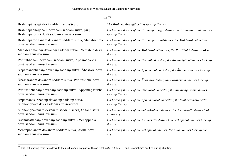#### $***$  [70](#page-73-0)

Brahmapārisajjā devā saddam anussāvesum. *The Brahmapārisajjā deities took up the cry.* 

Brahmapārisajjānam devānam saddam sutvā, [46] Brahmaparohitā devā saddam anussāvesum.

Brahmaparohitānam devānam saddam sutvā, Mahābrahmā devā saddam anussāvesum.

Mahābrahmānam devānam saddam sutvā, Parittābhā devā saddam anussāvesum.

Parittābhānam devānam saddam sutvā, Appamānābhā devā saddam anussāvesum.

Appamānābhānam devānam saddam sutvā, Ābassarā devā saddam anussāvesum.

Ābassarānam devānam saddam sutvā, Parittasubhā devā saddam anussāvesum.

Parittasubhānam devānam saddam sutvā, Appamānasubhā devā saddam anussāvesum.

Appamānasubhānam devānam saddam sutvā, Subhakinhakā devā saddam anussāvesum.

Subhakinhakānam devānam saddam sutvā, (Asaññisattā devā saddam anussāvesum.

Asaññisattānam devānam saddam sutvā,) Vehapphalā devā saddam anussāvesum.

Vehapphalānam devānam saddam sutvā, Avihā devā saddam anussāvesum.

*On hearing the cry of the Brahmapārisajjā deities, the Brahmaparohitā deities took up the cry.*

*On hearing the cry of the Brahmaparohitā deities, the Mahābrahmā deities took up the cry.*

*On hearing the cry of the Mahābrahmā deities, the Parittābhā deities took up the cry.*

*On hearing the cry of the Parittābhā deities, the Appamāõābhā deities took up the cry.*

*On hearing the cry of the Appamāõābhā deities, the Ābassarā deities took up the cry.*

*On hearing the cry of the Ābassarā deities, the Parittasubhā deities took up the cry.*

*On hearing the cry of the Parittasubhā deities, the Appamāõasubhā deities took up the cry.*

*On hearing the cry of the Appamāõasubhā deities, the Subhakiõhakā deities took up the cry.*

*On hearing the cry of the Subhakiõhakā deities, (the Asaññisattā deities took up the cry.*

*On hearing the cry of the Asaññisattā deities,) the Vehapphalā deities took up the cry.*

<span id="page-73-0"></span>*On hearing the cry of the Vehapphalā deities, the Avihā deities took up the cry.*

 $\overline{a}$ <sup>70</sup> The text starting from here down to the next stars is not part of the original *sutta* (CGI, VRI) and is sometimes omitted during chanting.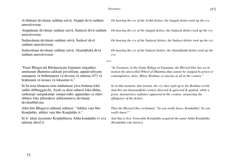#### Discourses [47]

Avihānam devānam saddam sutvā, Atappā devā saddam anussāvesum.

Atappānam devānam saddam sutvā, Sudassā devā saddam anussāvesum.

Sudassānam devānam saddam sutvā, Sudassī devā saddam anussāvesum.

Sudassīnam devānam saddam sutvā, Akanitthakā devā saddam anussāvesum:

"Etam Bhagavatā Bārānasiyam Isipatane migadāye anuttaram dhamma-cakkam pavattitam, appativattiyam samanena vā brāhmanena vā devena vā mārena [47] vā brahmunā vā kenaci vā lokasmin ti."

Iti ha tena khanena tena muhuttena yāva brahma-lokā saddo abbhuggacchi. Ayañ ca dasa-sahassī loka-dhātu, sankampi sampakampi sampavedhi; appamāno ca olāro obhāso loke pāturahosi atikkammeva devānam devānubhāvam.

Atha kho Bhagavā udānam udānesi: "Aññāsi vata bho Kondañño, aññāsi vata bho Kondañño ti."

Iti h' idam āyasmato Kondaññassa Añña-kondañño tv eva nāmam ahosī ti.

*On hearing the cry of the Avihā deities, the Atappā deities took up the cry.*

*On hearing the cry of the Atappā deities, the Sudassā deities took up the cry.*

*On hearing the cry of the Sudassā deities, the Sudassī deities took up the cry.*

*On hearing the cry of the Sudassī deities, the Akanithakā deities took up the cry:*

 $***$ 

*"At Varanasi, in the Game Refuge at Isipatana, the Blessed One has set in motion the unexcelled Wheel of Dhamma that cannot be stopped by priest or contemplative, deity, Māra, Brahma, or anyone at all in the cosmos."*

*So in that moment, that instant, the cry shot right up to the Brahma world. And this ten-thousandfold cosmos shivered & quivered & quaked, while a great, measureless radiance appeared in the cosmos, surpassing the effulgence of the deities.*

*Then the Blessed One exclaimed: "So you really know, Kondañña? So you really know?"*

*And that is how Venerable Kondañña acquired the name Añña-Kondañña (Kondañña who knows).*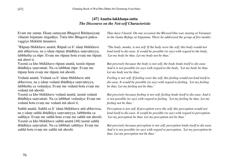### **[47] Anatta-lakkhaõa-sutta**  *The Discourse on the Not-self Characteristic*

Evam me sutam. Ekam samayam Bhagavā Bārānasiyam viharati Isipatane migadāye. Tatra kho Bhagavā pañcavaggiye bhikkhū āmantesi.

"Rūpam bhikkhave anattā. Rūpañ ca h' idam bhikkhave attā abhavissa, na y-idam rūpam ābādhāya samvatteyya, labbhetha ca rūpe: Evam me rūpam hotu evam me rūpam mā ahosī ti.

Yasmā ca kho bhikkhave rūpam anattā, tasmā rūpam ābādhāya samvattati. Na ca labbhati rūpe: Evam me rūpam hotu evam me rūpam mā ahosīti.

Vedanā anattā. Vedanā ca h' idam bhikkhave attā abhavissa, na y-idam vedanā ābādhāya samvatteyya, labbhetha ca vedanāya: Evam me vedanā hotu evam me vedanā mā ahosīti.

Yasmā ca kho bhikkhave vedanā anattā, tasmā vedanā ābādhāya samvattati. Na ca labbhati vedanāya: Evam me vedanā hotu evam me vedanā mā ahosī ti.

Saññā anattā. Saññā ca h' idam bhikkhave attā abhavissa, na y-idam saññā ābādhāya samvatteyya, labbhetha ca saññāya: Evam me saññā hotu evam me saññā mā ahosīti. Yasmā ca kho bhikkhave saññā anattā [48] tasmā saññā ābādhāya samvattati. Na ca labbhati saññāya: Evam me saññā hotu evam me saññā mā ahosīti.

*Thus have I heard: On one occasion the Blessed One was staying at Varanasi in the Game Refuge at Isipatana. There he addressed the group of five monks:*

*"The body, monks, is not self. If the body were the self, this body would not lend itself to dis-ease. It would be possible (to say) with regard to the body, 'Let my body be thus. Let my body not be thus.'* 

*But precisely because the body is not self, the body lends itself to dis-ease. And it is not possible (to say) with regard to the body, 'Let my body be thus. Let my body not be thus.'*

*Feeling is not self. If feeling were the self, this feeling would not lend itself to dis-ease. It would be possible (to say) with regard to feeling, 'Let my feeling be thus. Let my feeling not be thus.'* 

*But precisely because feeling is not self, feeling lends itself to dis-ease. And it is not possible (to say) with regard to feeling, 'Let my feeling be thus. Let my feeling not be thus.'*

*Perception is not self. If perception were the self, this perception would not lend itself to dis-ease. It would be possible (to say) with regard to perception, 'Let my perception be thus. Let my perception not be thus.'* 

*But precisely because perception is not self, perception lends itself to dis-ease. And it is not possible (to say) with regard to perception, 'Let my perception be thus. Let my perception not be thus.'*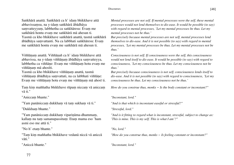Sankhārā anattā. Sankhārā ca h' idam bhikkhave attā abhavissamsu, na y-idam sankhārā ābādhāya samvatteyyum, labbhetha ca sankhāresu: Evam me sankhārā hontu evam me sankhārā mā ahesun ti. Yasmā ca kho bhikkhave sankhārā anattā, tasmā sankhārā ābādhāya samvattanti. Na ca labbhati sankhāresu: Evam me sankhārā hontu evam me sankhārā mā ahesun ti.

Viññānam anattā. Viññānañ ca h' idam bhikkhave attā abhavissa, na y-idam viññānam ābādhāya samvatteyya, labbhetha ca viññāne: Evam me viññānam hotu evam me viññānam mā ahosīti.

Yasmā ca kho bhikkhave viññānam anattā, tasmā viññānam ābādhāya samvattati, na ca labbhati viññāne: Evam me viññānam hotu evam me viññānam mā ahosī ti.

Tam kim maññatha bhikkhave rūpam niccam vā aniccam vā ti."

"Aniccaü bhante." *"Inconstant, lord."*

"Yam panāniccam dukkham vā tam sukham vā ti." *"And is that which is inconstant easeful or stressful?"* 

"Dukkhaü bhante." *"Stressful, lord."*

"Yam panāniccam dukkham viparināma-dhammam, kallam nu tam samanupassitum: Etam mama eso 'ham asmi eso me attā ti."

"No h' etam bhante." *"No, lord."* 

"Tam kim maññatha bhikkhave vedanā niccā vā aniccā vāti."

"Aniccā bhante." *"Inconstant, lord."*

*Mental processes are not self. If mental processes were the self, these mental processes would not lend themselves to dis-ease. It would be possible (to say) with regard to mental processes, 'Let my mental processes be thus. Let my mental processes not be thus.'* 

*But precisely because mental processes are not self, mental processes lend themselves to dis-ease. And it is not possible (to say) with regard to mental processes, 'Let my mental processes be thus. Let my mental processes not be thus.'*

*Consciousness is not self. If consciousness were the self, this consciousness would not lend itself to dis-ease. It would be possible (to say) with regard to consciousness, 'Let my consciousness be thus. Let my consciousness not be thus.'* 

*But precisely because consciousness is not self, consciousness lends itself to dis-ease. And it is not possible (to say) with regard to consciousness, 'Let my consciousness be thus. Let my consciousness not be thus.'*

*How do you construe thus, monks − Is the body constant or inconstant?"*

*"And is it fitting to regard what is inconstant, stressful, subject to change as: 'This is mine. This is my self. This is what I am'?"* 

*"How do you construe thus, monks − Is feeling constant or inconstant?"*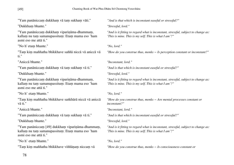|  |  |  | "Yam panāniccam dukkham vā tam sukham vāti." |  |  |
|--|--|--|----------------------------------------------|--|--|
|  |  |  |                                              |  |  |

"Dukkhaü bhante." *"Stressful, lord."*

"Yam panāniccam dukkham viparināma-dhammam, kallam nu tam samanupassitum: Etam mama eso 'ham asmi eso me attā ti."

"No h' etam bhante." *"No, lord."* 

"Tam kim maññatha bhikkhave saññā niccā vā aniccā vā ti."

"Yam panāniccam dukkham vā tam sukham vā ti." *"And is that which is inconstant easeful or stressful?"* 

"Dukkhaü bhante." *"Stressful, lord."*

"Yam panāniccam dukkham viparināma-dhammam, kallam nu tam samanupassitum: Etam mama eso 'ham asmi eso me attā ti."

"No h' etam bhante." *"No, lord."* 

"Tam kim maññatha bhikkhave sankhārā niccā vā aniccā vā ti."

"Yam panāniccam dukkham vā tam sukham vā ti." *"And is that which is inconstant easeful or stressful?"* 

"Dukkhaü bhante." *"Stressful, lord."*

"Yam panāniccam [49] dukkham viparināma-dhammam, kallam nu tam samanupassitum: Etam mama eso 'ham asmi eso me attā ti."

"No h' etam bhante." *"No, lord.*"

"And is that which is inconstant easeful or stressful?"

*"And is it fitting to regard what is inconstant, stressful, subject to change as: 'This is mine. This is my self. This is what I am'?"* 

*"How do you construe thus, monks − Is perception constant or inconstant?"*

"Aniccā bhante." *"Inconstant, lord."*

*"And is it fitting to regard what is inconstant, stressful, subject to change as: 'This is mine. This is my self. This is what I am'?"* 

*"How do you construe thus, monks − Are mental processes constant or inconstant?"*

"Aniccā bhante." *"Inconstant, lord."*

*"And is it fitting to regard what is inconstant, stressful, subject to change as: 'This is mine. This is my self. This is what I am'?"* 

"Tam kim maññatha bhikkhave viññānam niccam vā *"How do you construe thus, monks* − *Is consciousness constant or*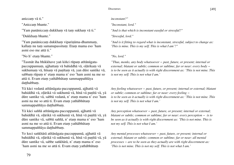aniccam vā ti." *inconstant?"* 

"Aniccaü bhante." *"Inconstant, lord."*

"Yam panāniccam dukkham vā tam sukham vā ti." *"And is that which is inconstant easeful or stressful?"* 

"Dukkhaü bhante." *"Stressful, lord."*

"Yam panāniccam dukkham viparināma-dhammam, kallam nu tam samanupassitum: Etam mama eso 'ham asmi eso me attā ti."

"No h' etam bhante." *"No, lord."* 

"Tasmāt iha bhikkhave yan kiñci rūpam atītānāgatapaccuppannam, ajjhattam vā bahiddhā vā, olārikam vā sukhumam vā, hīnam vā panītam vā, yan dūre santike vā, sabbam rūpam n' etam mama n' eso 'ham asmi na me so attā ti. Evam etam yathābhūtam sammappaññāya datthabbam.

Yā kāci vedanā atītānāgata-paccuppannā, ajjhattā vā bahiddhā vā, olārikā vā sukhumā vā, hīnā vā panītā vā, yā dūre santike vā, sabbā vedanā, n' etam mama n' eso 'ham asmi na me so attā ti. Evam etam yathābhūtam sammappaññāya datthabbam.

Yā kāci saññā atītānāgata-paccuppannā, ajjhattā vā bahiddhā vā, olārikā vā sukhumā vā, hīnā vā panītā vā, yā dūre santike vā, sabbā saññā, n' etam mama n' eso 'ham asmi na me so attā ti. Evam etam yathābhūtam sammappaññāya datthabbam.

Ye keci sankhārā atītānāgata-paccuppannā, ajjhattā vā bahiddhā vā, olārikā vā sukhumā vā, hīnā vā panītā vā, yā dūre santike vā, sabbe sankhārā, n' etam mama n' eso 'ham asmi na me so attā ti. Evam etam yathābhūtam

*"And is it fitting to regard what is inconstant, stressful, subject to change as: 'This is mine. This is my self. This is what I am'?"* 

*"Thus, monks, any body whatsoever − past, future, or present; internal or external; blatant or subtle; common or sublime; far or near: every body − is to be seen as it actually is with right discernment as: 'This is not mine. This is not my self. This is not what I am.'*

*Any feeling whatsoever − past, future, or present; internal or external; blatant or subtle; common or sublime; far or near: every feeling − is to be seen as it actually is with right discernment as: 'This is not mine. This is not my self. This is not what I am.'*

*Any perception whatsoever − past, future, or present; internal or external; blatant or subtle; common or sublime; far or near: every perception − is to be seen as it actually is with right discernment as: 'This is not mine. This is not my self. This is not what I am.'*

*Any mental processes whatsoever − past, future, or present; internal or external; blatant or subtle; common or sublime; far or near: all mental processes − are to be seen as they actually are with right discernment as: 'This is not mine. This is not my self. This is not what I am.'*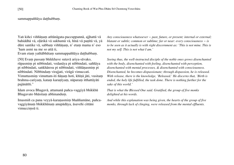sammappaññāya datthabbam.

Yan kiñci viññānam atītānāgata-paccuppannā, ajjhattā vā bahiddhā vā, olārikā vā sukhumā vā, hīnā vā panītā vā, yā dūre santike vā, sabbam viññānam, n' etam mama n' eso 'ham asmi na me so attā ti,

Evam etam yathābhūtam sammappaññāya datthabbam.

[50] Evam passam bhikkhave sutavā ariya-sāvako, rūpasmim pi nibbindati, vedanāya pi nibbindati, saññāya pi nibbindati, sankhāresu pi nibbindati, viññānasmim pi nibbindati. Nibbindam virajjati, virāgā vimuccati. Vimuttasmim vimuttam-iti ñānam hoti, khīnā jāti, vusitam brahma-cariyam, katam karanīyam, nāparam itthattāyāti pajānātīti."

Idam avoca Bhagavā, attamanā pañca-vaggiyā bhikkhū Bhagavato bhāsitam abhinandum.

Imasmiñ ca pana veyyā-karanasmim bhaññamāne, pañcavaggiyānam bhikkhūnam anupādāya, āsavehi cittāni vimuccimsū ti.

*Any consciousness whatsoever − past, future, or present; internal or external; blatant or subtle; common or sublime; far or near: every consciousness − is to be seen as it actually is with right discernment as: 'This is not mine. This is not my self. This is not what I am.'*

*Seeing thus, the well-instructed disciple of the noble ones grows disenchanted with the body, disenchanted with feeling, disenchanted with perception, disenchanted with mental processes, & disenchanted with consciousness. Disenchanted, he becomes dispassionate; through dispassion, he is released. With release, there is the knowledge, 'Released.' He discerns that, 'Birth is ended, the holy life fulfilled, the task done. There is nothing further for the sake of this world.'*

*That is what the Blessed One said. Gratified, the group of five monks delighted at his words.*

*And while this explanation was being given, the hearts of the group of five monks, through lack of clinging, were released from the mental effluents.*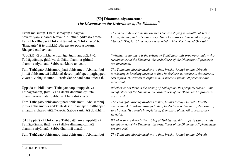### **[50] Dhamma-niyāma-sutta**  *The Discourse on the Orderliness of the Dhamma***<sup>71</sup>**

Evam me sutam. Ekam samayam Bhagavā Sāvatthiyam viharati Jetavane Anāthapindikassa ārāme. Tatra kho Bhagavā bhikkhū āmantesi: "bhikkhavo" ti. "Bhadante" ti te bhikkhū Bhagavato paccassosum. Bhagavā etad avoca:

"Uppādā vā bhikkhave Tathāgatānam anuppādā vā Tathāgatānam, thitā 'va sā dhātu dhamma-tthitatā dhamma-niyāmatā: Sabbe sankhārā aniccā ti.

Tam Tathāgato abhisambujjhati abhisameti. Abhisambujjhitvā abhisametvā ācikkhati deseti, paññapeti patthappeti, vivarati vibhajati uttānī-karoti: Sabbe sankhārā aniccā ti.

Uppādā vā bhikkhave Tathāgatānam anuppādā vā Tathāgatānam, thitā 'va sā dhātu dhamma-tthitatā dhamma-niyāmatā: Sabbe sankhārā dukkhā ti.

Tam Tathāgato abhisambujjhati abhisameti. Abhisambujjhitvā abhisametvā ācikkhati deseti, paññapeti patthappeti, vivarati vibhajati uttānī-karoti: Sabbe sankhārā dukkhā ti.

[51] Uppādā vā bhikkhave Tathāgatānam anuppādā vā Tathāgatānam, thitā 'va sā dhātu dhamma-tthitatā dhamma-niyāmatā: Sabbe dhammā anattā ti.

*Thus have I. At one time the Blesse[d](#page-80-0) One was staying in Savatthi at Jeta's Grove, Anathapindika's monastery. There he addressed the monks, saying "ñonks." "Yes, lord," the monks responded to him. The Blessed One said:*

<span id="page-80-0"></span>*"Whether or not there is the arising of Tathāgatas, this property stands − this steadfastness of the Dhamma, this orderliness of the Dhamma: All processes are inconstant.*

*The Tathāgata directly awakens to that, breaks through to that. Directly awakening & breaking through to that, he declares it, teaches it, describes it, sets it forth. He reveals it, explains it, & makes it plain: All processes are inconstant.*

*Whether or not there is the arising of Tathāgatas, this property stands − this steadfastness of the Dhamma, this orderliness of the Dhamma: All processes are stressful.*

*The Tathāgata directly awakens to that, breaks through to that. Directly awakening & breaking through to that, he declares it, teaches it, describes it, sets it forth. He reveals it, explains it, & makes it plain: All processes are stressful.*

*Whether or not there is the arising of Tathāgatas, this property stands − this steadfastness of the Dhamma, this orderliness of the Dhamma: All phenomena are non-self.*

Taü Tathāgato abhisambujjhati abhisameti. Abhisambuj- *The Tathāgata directly awakens to that, breaks through to that. Directly*

 $\overline{a}$  $71$  Cf. BCI; PCT 40 ff.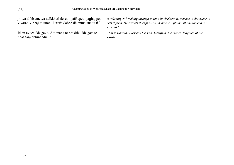jhitvā abhisametvā ācikkhati deseti, paññapeti pațțhappeti, vivarati vibhajati uttānī-karoti: Sabbe dhammā anattā ti."

Idam avoca Bhagavā. Attamanā te bhikkhū Bhagavato bhāsitam abhinandun ti.

*awakening & breaking through to that, he declares it, teaches it, describes it, sets it forth. He reveals it, explains it, & makes it plain: All phenomena are not-self."*

*That is what the Blessed One said. Gratified, the monks delighted at his words.*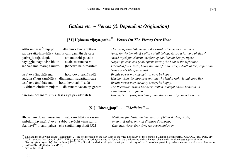# *Gāthās etc. − Verses (& Dependent Origination)*

# <span id="page-82-2"></span>**[51] Uõhassa vijaya-gāthā [72](#page-82-0)** *Verses On The Victory Over Heat*

| Atthi unhassa $^{73}$ vijayo                     | dhammo loke anuttaro   | The unsurpassed dhamma in the world is the victory over heat                                    |
|--------------------------------------------------|------------------------|-------------------------------------------------------------------------------------------------|
| sabba-satta-hitatthāya tam tavam ganhāhi deva te |                        | (and) for the benefit & welfare of all beings. Grasp it for you, oh deity!                      |
| parivajje rāja-dande                             | amanussehi pāvake      | Avoid royal punishment, the fires of non-human beings, tigers,                                  |
| bayagghe nāge vise bhūte                         | akāla-maranena vā      | Nāgas, poisons and (evil) spirits having died not at the right time.                            |
| sabba-samā maranā mutto                          | thapetvā kāla-māritam  | Liberated from death, being the same for all, except death at the proper time                   |
|                                                  |                        | (when one's life span is $up$ ).                                                                |
| tass' eva ānubhāvena                             | hotu devo sukhī sadā   | By this power may the deity always be happy.                                                    |
| suddha-sīlam samādāya                            | dhammam sucaritam care | Having taken the pure precepts, may he lead a right & and good live.                            |
| tass' eva ānubhāvena                             | hotu devo sukhī sadā   | By this power may the deity always be happy.                                                    |
| likkhitam cintitam pūjam                         | dhāranam vācanam garum | The Recitation, which has been written, thought about, honored $\&$<br>maintained, is profound. |
| paresam desanam sutvā tassa āyu pavaddhatī ti.   |                        | Having heard (this) teaching from others, one's life span increases.                            |

### **[51] "Bhesajjam"** ... *"Medicine"* ...

Bhesajjam devamanussānam katukam tittikam rasam *Medicine for deities and humans is of bitter & sharp taste*, ambilam lavanañ c' eva sabba-bayādhi vinassantu; eka davi<sup>[74](#page-82-2)</sup> ti catu pañca cha sattādinam thatā [52] *One, two, three, four, five, six, seven and so on* 

<span id="page-82-1"></span><span id="page-82-0"></span>*or sour & salty; may all diseases disappear.* 

 $\overline{a}$  $^{72}_{72}$  This and the following chant ("Bhesajjam" ...) are not included on the CD-Rom of the VRI, nor in any of the consulted Chanting Books (BBC, CG, CGI, PBC, Pūja, SP).

<sup>73</sup> CCB: *uõhissa* (not found in cPED, PED) is probably a misprint, as it was not found in the dictionaries and as the next chant ends: *Atthi uõhassa vijayo niññhito. Gen. sg. from* **unha** *Adj.* hot; *n.* heat (cPED). The literal translation of *unhassa vijayo* is 'victory of heat'. Another possibility, which seems to make even less sense: 74 **uņhīsa** [Sk. uÉņīÉa] turban (PED)<br>davi = dvi (two)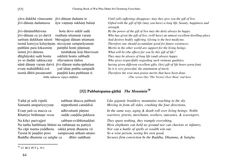yāva dukkhā vinassantu jīvi-dānaü dadantu te *Until (all) sufferings disappear; may they give you the gift of live.* jīvi-dānaü dadantassa āyu vaõõaü sukhaü balaü *Gifted with the gift of life (may you have) a long life, beauty, happiness and strength.* 

jīvi-dānānubhāvena hotu devo sukhī sadā *By the power of the gift of live may the deity always be happy.*  jīvi-dānam ca yo datvā osatham uttamam varam *Who has given the gift of live, (will have) an utmost excellent dwelling-place* sarīram dukkham nāseti bhesajjam dānam uttamam *And destroy bodily suffering. Giving is the best medicine.* tasmā kareyya kalayānam niccayam samparāyanam *Therefore one should accumulate good for future existences.* puññāni para-lokasmim patitthā honti pāninam *Merits in* the *other* world are *support* for the living beings. iminā jīvi-dānena tumhākam kim bhavissati *What will be (the effect)* for *you by this gift of life?* dhīghāyukā sadā hontu sukhitā hontu sabbadā *They may be always of long life (and) always happy.*  yo so dadāti sakkaccaü sīlavantesu tādisu *Who gives respectfully regarding such virtuous qualities,* nānā dānam varam datvā jīvi-dānam maha-pphalam *having given different excellent gifts, (his) gift of life bears great fruit.* evam mahiddhikā esā yad idam puñña-sampadā So it is very *powerful, the attainment of merit.* tasmā dhīrā pasamsanti panditā kata-puññatan ti. *Therefore the wise men praise merits that have been done.* Atthi unhassa vijayo nitthito. *(The verses On) The Victory Over Heat' end here. (The verses On) Atthi* 

## **[52] Pabbatopama-gāthā** *The Mountain***[75](#page-83-0)**

Yathā pi selā vipulā nabham āhacca pabbatā Samantā anupariyeyyum nippothentā catuddisā

Evam jarā ca maccu ca adhivattanti pānino Khattiye brāhmane vesse sudde candāla-pukkuse

Na kiñci parivajjeti sabbam-evābhimaddati Na tattha hatthīnam bhūmi na rathānam na pattiyā Na cāpi manta-yuddhena sakkā jetum dhanena vā Tasmā hi pandito poso sampassam attham-attano Buddhe dhamme ca sanghe ca dhīro saddham

<span id="page-83-0"></span>*Like gigantic boulders, mountains reaching to the sky Moving in from all sides, crushing the four directions,*

*In the same way, aging & death roll over living beings: Noble warriors, priests, merchants, workers, outcastes, & scavengers.*

*They spare nothing, they trample everything. Here elephants can hold no ground nor can chariots or infantry. Nor can a battle of spells or wealth win out. So a wise person, seeing his own good, Secures firm conviction In the Buddha, Dhamma, & Saïgha.*

 $\overline{a}$ <sup>75</sup> Cf. BCI; PCT p. 39 f.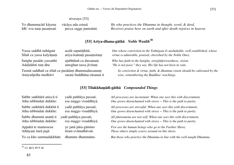#### nivesaye [53]

Yo dhammacārī kāyena vācāya uda cetasā Idh' eva nam pasamsati pecca sagge pamodati.

<span id="page-84-0"></span>*He who practices the Dhamma in thought, word, & deed, Receives praise here on earth and after death rejoices in heaven.*

# **[53] Ariya-dhana-gāthā** *Noble Wealth***[76](#page-84-0)**

| acalā supatit thitā,                             | One whose conviction in the Tathagata Is unshakable, well-established, whose                                            |
|--------------------------------------------------|-------------------------------------------------------------------------------------------------------------------------|
| ariya-kantam pasamsitam                          | virtue is admirable, praised, cherished by the Noble Ones,                                                              |
| ujubhūtañ ca dassanam                            | Who has faith in the Sangha, straightforwardness, vision:                                                               |
| amoghan tassa jīvitam                            | "He is not poor," they say. His life has not been in vain.                                                              |
| Tasmā saddhañ ca sīlañ ca pasādam dhammadassanam | So conviction & virtue, faith, & dhamma-vision should be cultivated by the<br>wise, remembering the Buddhas' teachings. |
|                                                  | saram buddhāna-sāsanan ti                                                                                               |

### **[53] Tilakkhaõādi-gāthā** *Compounded Things*

| Sabbe saṅkhārā aniccā ti | yadā paññāya passati, | All processes are inconstant: When one sees this with discernment,     |
|--------------------------|-----------------------|------------------------------------------------------------------------|
| Atha nibbindati dukkhe:  | esa maggo visuddhiyā. | One grows disenchanted with stress $-$ This is the path to purity.     |
| Sabbe saṅkhārā dukkhā ti | yadā paññāya passati, | All processes are stressful: When one sees this with discernment,      |
| Atha nibbindati dukkhe:  | esa maggo visuddhiyā. | One grows disenchanted with stress $-$ This is the path to purity.     |
| Sabbe dhammā anattā ti   | yadā paññāya passati, | All phenomena are not-self: When one sees this with discernment,       |
| Atha nibbindati dukkhe:  | esa maggo visuddhiyā. | One grows disenchanted with stress $-$ This is the path to purity.     |
| Appakā te manussesu      | ye janā pāra-gāmino   | Few are the human beings who go to the Further Shore,                  |
| Athāyam itarā pajā       | tīram evānudhāvati.   | These others simply scurry around on this shore.                       |
| Ye ca kho sammadakkhāte  | dhamme dhammānu-      | But those who practice the Dhamma in line with the well-taught Dhamma, |

 $\overline{a}$ <sup>76</sup> Cf. BCI; PCT 40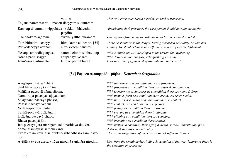| Te janā pāramessanti                                                | vattino<br>maccu-dheyyam suduttaram.                                     | They will cross over Death's realm, so hard to transcend.                                                                                                                          |  |  |
|---------------------------------------------------------------------|--------------------------------------------------------------------------|------------------------------------------------------------------------------------------------------------------------------------------------------------------------------------|--|--|
| Kanham dhammam vippahāya                                            | sukkam bhāvetha<br>pandito                                               | Abandoning dark practices, the wise person should develop the bright,                                                                                                              |  |  |
| Okā anokam-āgamma                                                   | viveke yattha dūramam.                                                   | Having gone from home to no-home in seclusion, so hard to relish.                                                                                                                  |  |  |
| Tatrābhiratim iccheyya<br>Pariyodapeyya attānam                     | hitvā kāme akiñcano. [54]<br>citta-klesehi pandito.                      | There he should wish for delight, having discarded sensuality, he who has<br>nothing. He should cleanse himself, the wise one, of mental defilement.                               |  |  |
| Yesam sambodhiyangesu<br>Adāna-patinissagge<br>Khīn'āsavā jutimanto | sammā cittam subhāvitam<br>anupādāya ye ratā,<br>te loke parinibbutā ti. | Whose minds are well-developed in the factors for Awakening,<br>Who delight in non-clinging, relinquishing grasping,<br>Glorious, free of effluent: they are unbound in the world. |  |  |

#### **[54] Pañicca-samuppāda-pāñha** *Dependent Origination*

Avijjā-paccayā saïkhārā, *With ignorance as a condition there are processes.* Sankhāra-paccayā viññānam, *With processes as a condition there is (sensory) consciousness.* Viññāna-paccayā nāma-rūpam, *With (sensory) consciousness as a condition there are name & form.* Nāma-rūpa-paccayā saëāyatanaü, *With name & form as a condition there are the six sense media.* Saëāyatana-paccayā phasso, *With the six sense media as a condition there is contact.* Phassa-paccayā vedanā, *With contact as a condition there is feeling.* Vedanā-paccayā tanhā, *With feeling as a condition there is craving.* Tanhā-paccayā upādānam, *With craving as a condition there is clinging.* Upādāna-paccayā bhavo, *With clinging as a condition there is becoming.* Bhava-paccayā jāti, *With becoming as a condition there is birth.* Jāti-paccayā jara-maranam soka-parideva-dukkhadomanassupāyāsā sambhavanti. *distress, & despair come into play.* Evam etassa kevalassa dukkha-kkhandhassa samudayo hoti. Avijjāya tv eva asesa-virāga-nirodhā saïkhāra-nirodho, *Now from the remainderless fading & cessation of that very ignorance there is*

*With birth as a condition, then aging & death, sorrow, lamentation, pain, Thus is the origination of this entire mass of suffering & stress.*

*the cessation of processes.*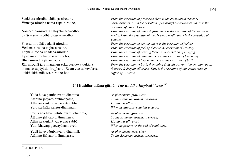Sankhāra-nirodhā viññāna-nirodho, Viññāõa-nirodhā nāma-rūpa-nirodho,

Nāma-rūpa-nirodhā salāyatana-nirodho, Salāyatana-nirodhā phassa-nirodho,

Jāti-nirodhā jara-maranam soka-parideva-dukkhadomanassupāyāsā nirujjhanti. Evam etassa kevalassa dukkhakkhandhassa nirodho hoti.

*From the cessation of processes there is the cessation of (sensory) consciousness. From the cessation of (sensory) consciousness there is the cessation of name & form.*

<span id="page-86-0"></span>*From the cessation of name & form there is the cessation of the six sense media. From the cessation of the six sense media there is the cessation of contact.*

Phassa-nirodhā vedanā-nirodho, *From the cessation of contact there is the cessation of feeling.* Vedanā-nirodhā tanhā-nirodho, *From the cessation of feeling there is the cessation of craving.* Taõhā-nirodhā upādāna-nirodho, *From the cessation of craving there is the cessation of clinging.* Upādāna-nirodhā bhava-nirodho, *From the cessation of clinging there is the cessation of becoming.* Bhava-nirodhā jāti-nirodho, *From the cessation of becoming there is the cessation of birth. From the cessation of birth, then aging & death, sorrow, lamentation, pain, distress, & despair all cease. Thus is the cessation of this entire mass of suffering & stress.*

### **[54] Buddha-udāna-gāthā** *The Buddha Inspired Verses***[77](#page-86-0)**

Yadā have pātubhavanti dhammā, Ātāpino jhāyato brāhmanassa, Athassa kaïkhā vapayanti sabbā, Yato pajānāti sahetu-dhammam.

[55] Yadā have pātubhavanti dhammā, Ātāpino jhāyato brāhmanassa, Athassa kankhā vapayanti sabbā, Yato khayam paccayānam avedi.

Yadā have pātubhavanti dhammā, Ātāpino jhāyato brāhmanassa,

*As phenomena grow clear To the Brahman, ardent, absorbed, His doubts all vanish When he discerns what has a cause.*

*As phenomena grow clear To the Brahman, ardent, absorbed, His doubts all vanish When he penetrates the end of conditions.*

*As phenomena grow clear To the Brahman, ardent, absorbed,* 

 $\overline{a}$  $77$  Cf. BCI; PCT 43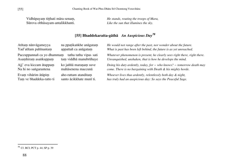Vidhūpayam tiṭṭhati māra-senam, Sūrova obhāsayam-antalikkhanti.

<span id="page-87-0"></span>*He stands, routing the troops of Mara, Like the sun that illumines the sky.*

# **[55] Bhaddekaratta-gāthā** *An Auspicious Day***[78](#page-87-0)**

| Atītam nānvāgameyya        | na ppatikankhe anāgatam  | He would not range after the past, nor wonder about the future.           |
|----------------------------|--------------------------|---------------------------------------------------------------------------|
| Yad'atītam pahīnantam      | appattañ ca anāgatam     | What is past has been left behind, the future is as yet unreached.        |
| Paccuppannañ ca yo dhammam | tatha tatha vipas sati   | Whatever phenomenon is present, he clearly sees right there, right there. |
| Asamhiram asankuppam       | tam viddhā manubrūhaye   | Unvanquished, unshaken, that is how he develops the mind.                 |
| Ajj' eva kiccam ātappam    | ko jañña maranam suve    | Doing his duty ardently, today, for $-$ who knows? $-$ tomorrow death may |
| Na hi no sangarantena      | mahāsenena maccunā       | come. There is no bargaining with Death & his mighty horde.               |
| Evam vihārim ātāpim        | aho-rattam atanditam     | Whoever lives thus ardently, relentlessly both day & night,               |
| Tam ve bhaddeka-ratto ti   | santo ācikkhate munī ti. | has truly had an auspicious day: So says the Peaceful Sage.               |

 $\overline{a}$ <sup>78</sup> Cf. BCI; PCT p. 44; SP p. 39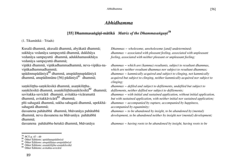# *Abhidhamma*

### **[55] Dhammasaïgiõī-mātikā** *Matrix of the Dhammasaïgaõī* **[79](#page-88-0)**

(1. Tikamātikā - Triads)

Kusalā dhammā, akusalā dhammā, abyākatā dhammā; *Dhammas − wholesome, unwholesome [and] undetermined;*  sukhāya vedanāya sampayuttā dhammā, dukkhāya vedanāya sampayuttā dhammā, adukkhamasukhāya vedanāya sampayuttā dhammā;

vipākā dhammā, vipākadhammadhammā, neva-vipāka-navipākadhammadhammā;

upādinnupādāniyā<sup>[80](#page-88-1)</sup> dhammā, anupādinnupādāniyā dhammā, anupādinnānu-[56]-pādāniyā [81](#page-88-2) dhammā;

samkilittha-samkilesikā dhammā, asamkilittha-samkilesikā dhammā, asamkilitthāsamkilesikā <sup>[82](#page-88-3)</sup> dhammā; savitakka-savicārā dhammā, avitakka-vicāramattā dhammā, avitakkāvicārā<sup>[83](#page-88-4)</sup> dhammā;

pīti-sahagatā dhammā, sukha-sahagatā dhammā, upekkhāsahagatā dhammā;

dassanena pahātabbā dhammā, bhāvanāya pahātabbā dhammā, neva dassanena na bhāvanāya pahātabbā dhammā;

<span id="page-88-0"></span>*dhammas − associated with pleasant feeling, associated with unpleasant feeling, associated with neither pleasant or unpleasant feeling;*

<span id="page-88-4"></span><span id="page-88-3"></span><span id="page-88-2"></span><span id="page-88-1"></span>*dhammas − which are (kamma) resultants, subject to resultant dhammas, which are neither resultant dhammas nor subject to resultant dhammas; dhammas − kammically acquired and subject to clinging, not kammically acquired but subject to clinging, neither kammically acquired nor subject to clinging;* 

*dhammas − defiled and subject to defilements, undefiled but subject to defilements, neither defiled nor subject to defilements;* 

*dhammas − with initial and sustained application, without initial application, but with sustained application, with neither initial nor sustained application; dhammas − accompanied by rapture, accompanied by happiness, accompanied by equanimity;* 

*dhammas − to be abandoned by insight, to be abandoned by (mental) development, to be abandoned neither by insight nor (mental) development;* 

dassanena pahātabba-hetukā dhammā, bhāvanāya *dhammas − having roots to be abandoned by insight, having roots to be* 

 $\overline{a}$  $^{79}_{20}$  PCT p. 47 - 49

<sup>80</sup> Other Editions: *upādiõõupādāniyā*

<sup>81</sup> Other Editions: *anupādiõõa-anupādāniyā*

<sup>82</sup> Other Editions: *asamkilittha-asamkilesikā* 

<sup>83</sup> Other Editions: *avitakka-avicārā*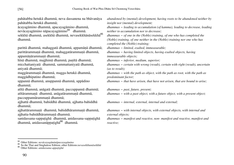pahātabba-hetukā dhammā, neva dassanena na bhāvanāya pahātabba-hetukā dhammā;

ācayagāmino dhammā, apacayagāmino dhammā, nevācayagāmino nāpacayagāmino [84](#page-89-0) dhammā. sekkhā dhammā, asekkhā dhammā, nevasekkhānāsekkhā [85](#page-89-1)

dhammā.

parittā dhammā, mahaggatā dhammā, appamāõā dhammā; *dhammas − limited, exalted, immeasurable;*  parittārammanā dhammā, mahaggatārammanā dhammā, appamānārammanā dhammā;

hīnā dhammā, majjhimā dhammā, paõītā dhammā; *dhammas − inferior, medium, superior;*  micchattaniyatā dhammā, sammattaniyatā dhammā, aniyatā dhammā;

maggārammaõā dhammā, magga-hetukā dhammā, maggādhipatino dhammā;

uppannā dhammā, anuppannā dhammā, uppādino dhammā;

atītā dhammā, anāgatā dhammā, paccuppannā dhammā; *dhammas − past, future, present;*  atītārammanā dhammā, anāgatārammanā dhammā, paccuppannārammanā dhammā;

ajjhattā dhammā, bahiddhā dhammā, ajjhatta-bahiddhā dhammā;

ajjhattārammanā dhammā, bahiddhārammanā dhammā, ajjhatta-bahiddhārammanā dhammā.

sanidassana-sappatighā dhammā, anidassana-sappatighā dhammā, anidassanāppaṭighā<sup>[86](#page-89-2)</sup> dhammā.

*abandoned by (mental) development, having roots to be abandoned neither by insight nor (mental) development;* 

*dhammas − leading to accumulation (of kamma), leading to decrease, leading neither to accumulation nor to decrease;* 

*dhammas − of one in the (Noble) training, of one who has completed the (Noble) training, of one neither in the (Noble) training nor one who has completed the (Noble) training;* 

*dhammas − having limited objects, having exalted objects, having immeasurable objects;* 

<span id="page-89-2"></span>

*dhammas − certain with wrong (result), certain with right (result), uncertain (as to result);* 

<span id="page-89-0"></span>*dhammas − with the path as object, with the path as root, with the path as predominant factor;* 

*dhammas − that have arisen, that have not arisen, that are bound to arise;* 

*dhammas − with a past object, with a future object, with a present object;* 

<span id="page-89-1"></span>*dhammas − internal, external, internal and external;* 

*dhammas − with internal objects, with external objects, with internal and external objects;* 

*dhammas − manifest and reactive, non- manifest and reactive, manifest and reactive;* 

 $\overline{\phantom{a}}$ 

<sup>84</sup> Other Editions: *nevācayagāmināpacayagāmino*

<sup>85</sup> So the Thai and Singhalese Edition; other Editions:*nevasekkhanāsekkhā*

<sup>86</sup> Other Editions: *anidassana-appañighā*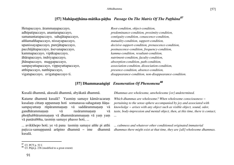### **[57] Mahāpaññhāna-mātika-pāñha** *Passage On The Matrix Of The Paññhāna* **[87](#page-90-0)**

Hetupaccayo,  $\bar{a}$ rammanapaccayo, *Root-condition, object-condition, abject-condition, abject-condition,* samanantarapaccayo, sahajātapaccayo, *contiguity-condition, conascence-condition,*  aññamaññapaccayo, nissayapaccayo, *mutuality-condition, support-condition,*  pacchājātapaccayo, āsevanapaccayo, *postnascence-condition, frequency-condition,*  kammapaccayo, vipākapaccayo, *kamma-condition, resultant-condition,*  āhārapaccayo, indriyapaccayo, *nutriment-condition, faculty-condition,*  jhānapaccayo, maggapaccayo, *absorption-condition, path-condition,*  atthipaccayo, natthipaccayo, *presence-condition, absence-condition,* 

adhipatipaccayo, anantarapaccayo, *predominance-condition, proximity-condition,* upanissayapaccayo, purejātapaccayo, *decisive-support-condition, prenascence-condition,*  sampayuttapaccayo, vippayuttapaccayo, *association-condition, dissociation-condition,*  vigatapaccayo, avigatapaccayo ti. *disappearance-condition, non-disappearance-condition.* 

### **[57] Dhammasaïgiõī** *Enumeration Of Phenomena***[88](#page-90-1)**

Katame dhammā kusalā? Yasmim samaye kāmāvacaram kusalam cittam uppannam hoti somanassa-sahagatam ñānasampayuttam rūpārammanam vā saddārammanam vā gandhārammanam vā rasārammanam vā photthabbārammanam vā dhammārammanam vā yam yam vā panārabbha, tasmim samaye phasso hoti, ...

... avikkhepo hoti; ye vā pana tasmim samaye aññe pi atthi ... *calmness and whatever other conditioned originated immaterial* kusalā.

Kusalā dhammā, akusalā dhammā, abyākatā dhammā. *Dhammas are wholesome, unwholesome [or] undetermined.* 

<span id="page-90-1"></span><span id="page-90-0"></span>*Which dhammas are wholesome? When wholesome consciousness − pertaining to the sense-sphere accompanied by joy and associated with knowledge − arises with any object such as visible object, sound, odor, taste, body-impression and mental object, then, at this time, there is contact, ...* 

pañicca-samuppannā arūpino dhammā − ime dhammā *dhammas there might exist at that time, they are [all] wholesome dhammas.* 

 $\overline{\phantom{a}}$  $_{0.9}^{87}$  Cf. PCT p. 52 f.

 $88$  Cf. Pūjā p. 236 (modified to a great extent)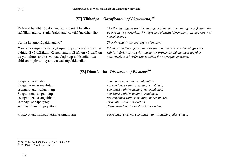## **[57] Vibhaïga** *Classification (of Phenomena)***[89](#page-91-0)**

Pañca-kkhandhā rūpakkhandho, vedanākkhandho, saññākkhandho, saṅkhārakkhandho, viññānakkhandho.

Tattha katamo rūpakkhandho?

Yam kiñci rūpam atītānāgata-paccuppannam ajjhattam vā bahiddhā vā olārikam vā sukhumam vā hīnam vā panītam vā yam dūre santike vā, tad ekajjham abhisaññūhitvā abhisankhipitvā – ayam vuccati rūpakkhandho.

*The five aggregates are: the aggregate of matter, the aggregate of feeling, the aggregate of perception, the aggregate of mental formations, the aggregate of consciousness.* 

*Therein what is the aggregate of matter?* 

<span id="page-91-1"></span><span id="page-91-0"></span>*Whatever matter is past, future or present, internal or external, gross or subtle, inferior or superior, distant or proximate, taking these together collectively and briefly, this is called the aggregate of matter.* 

## **[58] Dhātukathā** *Discussion of Elements***[90](#page-91-1)**

Sangaho asangaho *combination and non-combination*, sampayogo vippayogo *association and dissociation,*  sampayuttena vippayuttam ...

Sangahitena asangahitam *not combined with (something) combined*, asangahitena sangahitam *combined with (something) not combined,* Sangahitena sangahitam *combined with (something) combined*, asangahitena asangahitam asama *not combined with (something) not combined*, *dissociated from (something) associated, ...* 

vippayuttena sampayuttam asangahitam. *associated* (and) not combined with (something) dissociated.

 $\overline{\phantom{a}}$  $\frac{89}{20}$  Or: "The Book Of Treatises", cf. Pūjā p. 236

<sup>90</sup> Cf. Pūjā p. 236 ff. (modified)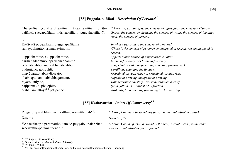## **[58] Puggala-paññati** *Description Of Persons***[91](#page-92-0)**

Cha paññattiyo: khandhapaññatti, āyatanapaññatti, dhātupaññatti, saccapaññatti, indriyapaññatti, puggalapaññattīti.

puthujjano, gotrabhū, *wordlings, changing the lineage,*  arahā, arahattāya<sup>[92](#page-92-1)</sup> paṭipanno.

<span id="page-92-2"></span><span id="page-92-0"></span>*(There are) six concepts: the concept of aggregates, the concept of (sense- )bases, the concept of elements, the concept of truths, the concept of faculties, (and) the concept of persons.* 

Kittāvatā puggalānam puggalapaññatti? *In what ways is there the concept of persons?* samayavimutto, asamayavimutto, *(There is the concept of persons) emancipated in season, not emancipated in season,*  kuppadhammo, akuppadhammo, *of perturbable nature, of imperturbable nature,*  parihānadhammo, aparihānadhammo, *liable to fall away, not liable to fall away,*  cetanābhabbo, anurakkhaõābhabbo, *competent in will, competent in protecting (themselves),*  bhayūparato, abhayūparato, *restrained through fear, not restrained through fear,*  bhabbāgamano, abhabbāgamano, *capable of arriving, incapable of arriving,*  niyato, aniyato, *with determined destiny, with undetermined destiny,*  patipannako, phalethito, ... *(path-)attainers, established in fruition, ... Arahants, (and persons) practicing for Arahantship.* 

### **[58] Kathāvatthu** *Points Of Controversy***[93](#page-92-2)**

Puggalo upalabbhati saccikattha-paramatthenāti<sup>[94](#page-92-3)</sup>? Āmantā.

Yo saccikattho paramattho, tato so puggalo upalabbhati saccikattha-paramatthenā ti?

<span id="page-92-1"></span>*(Thera:) Can there be found any person in the real, absolute sense? (Heretic:) Yes.* 

<span id="page-92-3"></span>*(Thera:) Can the person be found in the real, absolute sense, in the same way as a real, absolute fact is found?* 

. . .

 $\overline{\phantom{0}}$  $^{91}_{20}$  Cf. Pūjā p. 238 (modified)

<sup>92</sup> Other editions: *arahattaphalasacchikiriyāya* 

 $^{93}_{\circ}$  Cf. Pūjā p. 238 ff.

VRI fn: saccikatthaparamatthenāti (syā. pī. ka. sī.); saccikatthaparamatthenāti (Chomtong)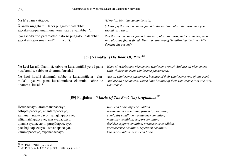Ājānāhi niggahaü. Hañci puggalo upalabbhati saccikattha-paramatthena, tena vata re vattabbe: "...

'yo saccikattho paramattho, tato so puggalo upalabbhati saccikatthaparamatthenā"ti micchā.

Na h' evam vattabbe. *(Heretic:) No, that cannot be said. (Heretic:) No, that cannot be said.* 

*(Thera:) If the person can be found in the real and absolute sense then you should also say ...* 

<span id="page-93-0"></span>*that the person can be found in the real, absolute sense, in the same way as a real absolute fact is found. Thus, you are wrong (in affirming the first while denying the second).* 

### **[59] Yamaka** *(The Book Of) Pairs***[95](#page-93-0)**

kusalamūlā, sabbe te dhammā kusalā?

Ye keci kusalā dhammā, sabbe te kusalamūlena ekamūlā? ye vā pana kusalamūlena ekamūlā, sabbe te dhammā kusalā?

Ye keci kusalā dhammā, sabbe te kusalamūlā? ye vā pana *Have all wholesome phenomena wholesome roots? And are all phenomena with wholesome roots wholesome phenomena?* 

> <span id="page-93-1"></span>*Are all wholesome phenomena because of their wholesome root of one root? And are all phenomena, which have because of their wholesome root one root, wholesome?*

### **[59] Patthana** *(Matrix Of The Book On) Origination*<sup>[96](#page-93-1)</sup>

Hetupaccayo, ārammaõapaccayo, *Root condition, object condition,*  aññamaññapaccayo, nissayapaccayo, *mutuality condition, support condition,*  kammapaccayo, vipākapaccayo, *kamma condition, result condition,* 

adhipatipaccayo, anantarapaccayo, *predominance condition, proximity condition,*  samanantarapaccayo, sahajātapaccayo, *contiguity condition, conascence condition,*  upanissayapaccayo, purejātapaccayo, *decisive support condition, prenascence condition,*  pacchājātapaccayo, āsevanapaccayo, *postnascence condition, repetition condition,* 

 $\overline{\phantom{a}}$  $^{95}_{\circ}$  Cf. Pūjā p. 240 f. (modified)

<sup>96</sup> Cf. PCT p. 52 f.; CMAbh p. 303 − 324; Pūjā p. 240 f.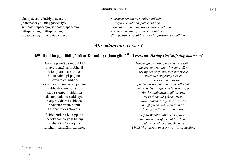āhārapaccayo, indriyapaccayo, *nutriment condition, faculty condition,*  jhānapaccayo, maggapaccayo, *absorption condition, path condition,*  atthipaccayo, natthipaccayo, *presence condition, absence condition,* 

sampayuttapaccayo, vippayuttapaccayo, *association condition, dissociation condition,*  vigatapaccayo, avigatapaccayo ti. *disappearance condition, non-disappearance condition.* 

## *Miscellaneous Verses I*

# [59] Dukkha-ppattādi-gāthā or Devatā-uyyojana-gāthā<sup>[97](#page-94-0)</sup> *Verses on 'Having Got Suffering and so on'*

Dukkha-ppattā ca niddukkhā bhaya-ppattā ca nibbhayā soka-ppattā ca nissokā hontu sabbe pi pānino. Ettāvatā ca amhehi sambhatam puñña-sampadam sabbe devānumodantu sabba-sampatti-siddhiya dānam dadantu saddhāya sīlam rakkhantu sabbadā, bhāvanābhiratā hontu gacchantu devatā-gatā. Sabbe buddhā bala-ppattā paccekānañ ca yam balam,

arahantānañ ca tejena rakkham bandhāmi sabbaso. <span id="page-94-0"></span>*Having got suffering, may they not suffer, having got fear, may they not suffer, having got grief, may they not grieve, (thus) all beings may they be. To the extent that by us puñña has been attained and collected, may all devas rejoice in (and share) it for the attainment of all fortune. By faith should gifts be given, virtue should always be protected, delightful should meditation be, (thus) go to the state of a devatā.* 

*By all Buddhas attained to power and the power of the Solitary Ones and by the might of the Arahants I bind (this thread) in every way for protection.* 

 $\overline{\phantom{0}}$  $^{97}$  Cf. PCT p. 25 f.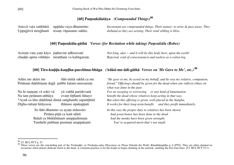### *[60]* **<b>Pamsukūlatāva** *(Compounded Things)*<sup>[98](#page-95-0)</sup>

Aniccā vata saïkhārā uppāda-vaya-dhammino Uppajiitvā nirujihanti tesam vūpasamo sukho.

*Inconstant are compounded things. Their nature: to arise & pass away. They disband as they are arising. Their total stilling is bliss.*

### **[60] Pamsukūla-gāthā** *Verses (for Recitation while taking) Pamsukūla (Robes)*

Aciram vata yam kāyo pathavim adhisessati *Not long, alas* − *and it will lie this body here, upon the earth!* chuddo apeta-viññāno nirattham va kalingaram. *Rejected, void of consciousness and useless as a rotten log.* 

<span id="page-95-0"></span>

### [60] Tiro-kudda-kandha-pacchima-bhāga (Adāsi-me-ādi-gāthā *Verses on 'He Gave to Me', etc.*)<sup>[99](#page-95-1)</sup>

Adāsi me akāsi me ñāti-mittā sakhā ca me Petānam dakkhinam dajjā pubbe katam-anussaram

Na hi runnam vā soko vā vā vaññā paridevanā Na tam petānam-atthāya evam tithanti ñātayo \*Ayañ ca kho dakkhinā dinnā sanghamhi supatithitā Dīgha-rattam hitāyassa hānaso upakappati

> So ñāti-dhammo ca ayam nidassito. Petāna-pūjā ca katā ulārā Balañ ca bhikkhūnam anuppadinnam Tumhehi puññam pasutam anappakanti.

*"He gave to me, he acted on my behalf, and he was my relative, companion, friend." Offerings should be given for the dead when one reflects (thus) on what was done in the past.* 

*For no weeping or sorrowing or any kind of lamentation benefit the dead whose relatives keep acting in that way. But when this offering is given, well-placed in the Saïgha, It works for their long-term benefit and they profit immediately.* 

<span id="page-95-1"></span>*In this way the proper duty to relatives has been shown And great honor has been done to the dead And the monks have been given strength: You've acquired merit that's not small.* 

 $\overline{\phantom{a}}$  $^{98}_{20}$  Cf. BCI; PCT p. 53

<sup>99</sup> These verses are the concluding part of the Tirokuḍḍa- or Tirokuṭṭa-sutta (Discourse on Those Outside the Wall), Khuddakapāṭha p. 6 (PTS). They are often chanted on occasions when donors dedicate merit to the dead. A common practice is for the leader to begin chanting at the asterisk, omitting the first four lines. (Cf. BCI; PCT 53 f.)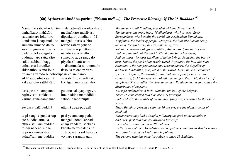### **[ 0 60] Aññhavīsati-buddha-paritta ("Namo me" ...)** *The Protective Blessing Of The 28 Buddhas***[10](#page-96-0)**

|                                           | Namo me sabba-buddhānam davattimsā vara-lakkhano | My homage to all Buddhas, provided with the 32 best marks:                                         |  |  |
|-------------------------------------------|--------------------------------------------------|----------------------------------------------------------------------------------------------------|--|--|
| tanhankaro mahāvīro                       | medhankaro mahāyaso                              | Tanhankara, the great hero, Medhankara, who has great fame,                                        |  |  |
| saranankaro loka-hito                     | dīpankaro jutindharo [61]                        | Saranankara, who benefits the world, the resplendent Dīpankara,                                    |  |  |
| kondañño janapāmokkho                     | mangalo purisāsabho                              | Kondañña, the leader of people, Mangala, the bull-like human being,                                |  |  |
| sumano sumano dhiro                       | revato rati-vaddhano                             | Sumana, the glad wise, Revata, enhancing love,                                                     |  |  |
| sobhito guna-sampanno                     | anomadassī januttamo                             | Sobhita, endowed with good qualities, Anomadassi, the best of men,                                 |  |  |
| padumo loka-pajjoto                       | nārado vara-sārathi                              | Paduma, the light of the world, Nārada, the best charioteer,                                       |  |  |
| pudumuttaro satta-sāro                    | sumedho agga-puggalo                             | Padumuttara, the most excellent of living beings, Sumedha, the best of                             |  |  |
| sujāto sabba-lokaggo                      | piyadassī narāsabho                              | men, Sujāta, the peak of the whole world, Piyadassī, the bull-like man,                            |  |  |
| atthadassī kāruniko                       | dhammadassī tamonudo                             | Atthadass <sub>L</sub> , the compassionate one, Dhammadassi, the dispeller of                      |  |  |
| siddhattho asamo loke                     | tisso ca vadatam varo                            | darkness, Siddhattha, unequaled in the world, Tissa, the most eloquent                             |  |  |
| pusso ca varado buddho vipassi ca anūpamo |                                                  | speaker, P(h)ussa, the wish-fulfilling Buddha, Vipassī, who is without                             |  |  |
| sikhī sabba-hito satthā                   | vessabhū sukha-dāyako                            | comparison, Sikhī, the teacher with all advantages, Vessabhū, the giver of                         |  |  |
| kakusandho satthāvāho                     | konāgamano ranañjaho                             | happiness, Kakusandha, the caravan leader, Konāgamana, who avoided the<br>disturbance of passions, |  |  |
| kassapo siri-sampanno                     | gotamo sakayapungavo.                            | Kassapa endowed with luck, Gotama, the bull of the Sākyans,                                        |  |  |
| Atthavīsati sankhātā                      | ime buddhā mahiddhikā                            | These 28 enumerated Buddhas are very powerful.                                                     |  |  |
| karuņā-guņa-sampannā                      | sabba-lokābhipūjitā                              | Endowed with the quality of compassion (they are) venerated by the whole<br>world.                 |  |  |
| ete dasa-balā buddhā                      | uttamā agga-puggalā                              | These Buddhas, provided with the 10 powers, are the highest peaks of<br>mankind.                   |  |  |
| te pi sangha-gunā āsum                    | pī ti ye amatam padam                            | Furthermore they had a Sangha following the path to the deathless;                                 |  |  |
| ete buddhā atītā ca                       | mangalā honti sabbadā                            | And these past Buddhas are always a blessing;                                                      |  |  |
| atthavīsati 'me buddhe                    | aham vandāmi sabbadā                             | I will always venerate these 28 Buddhas;                                                           |  |  |
| tesam ñānena sīlena                       | khantī-mettā-balena ca                           | By the power of their knowledge, virtue, patience, and loving-kindness they                        |  |  |
| te pi no anurakkhantu                     | ārogayena sukhena ca                             | may care for us, with health and happiness.                                                        |  |  |
| atthavīsati 'me buddhe                    | yo naro saranam gato                             | The person, who has gone for refuge to these 28 Buddhas,                                           |  |  |
|                                           |                                                  |                                                                                                    |  |  |

<span id="page-96-0"></span>j <sup>100</sup> This chant is not included on the CD-Rom of the VRI, nor in any of the consulted Chanting Books (BBC, CG, CGI, PBC, Pūja, SP).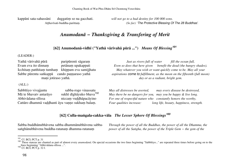kappāni sata-sahassāni duggatiü so na gacchati. *will not go to a bad destiny for 100 000 eons.* Atthavīsati-buddha-parittam. *(So far) 'The Protective Blessing Of The 28 Buddhas'.* 

# *Anumodanā − Thanksgiving & Transfering of Merit*

### [62] Anumodanā-vidhī (''Yathā vārivahā pūrā ...'') *Means Of Blessing <sup>1[0](#page-97-0)1</sup>*

#### (LEADER:)

| Yathā vārivahā pūrā                          | paripūrenti sāgaram    | Just as rivers full of water<br>fill the ocean full,                             |
|----------------------------------------------|------------------------|----------------------------------------------------------------------------------|
| Evam eva ito dinnam                          | petānam upakappati     | Even so does that here given benefit the dead (the hungry shades).               |
| Icchitam patthitam tumham                    | khippam eva samijihatu | May whatever you wish or want quickly come to be. May all your                   |
| Sabbe pūrentu sankappā cando pannaraso yathā |                        | aspirations <b>come to</b> fulfillment, as the moon on the fifteenth (full moon) |
| mani jotiraso yathā.                         |                        | day or as a radiant, bright gem.                                                 |

 $(ALL:$ 

| Sabbītiyo vivajjantu                             | sabba-rogo vinassatu                 | May all distres |
|--------------------------------------------------|--------------------------------------|-----------------|
| Mā te bhavatv antarāyo                           | sukhī dīghāyuko bhava <sup>102</sup> | May there be r  |
| Abhivādana-sīlissa                               | niccam vuddhāpacāyino                | For one of res  |
| Cattāro dhammā vaddhanti āyu vanno sukham balam. |                                      | Four qualities  |

<span id="page-97-2"></span><span id="page-97-0"></span>*May all distresses be averted, may every disease be destroyed, May there be no dangers for you, may you be happy & live long. For one of respectful nature who constantly honors the worthy, Four qualities increase: long life, beauty, happiness, strength.*

## **[62] Culla-maïgala-cakka-vāla** *The Lesser Sphere Of Blessings***[103](#page-97-2)**

Sabba-buddhānubhāvena sabba-dhammānubhāvena sabbasanghānubhāvena buddha-ratanam dhamma-ratanam

<span id="page-97-1"></span>*Through the power of all the Buddhas, the power of all the Dhamma, the power of all the Saïgha, the power of the Triple Gem − the gem of the*

j  $^{101}_{100}$  Cf. BCI; PCT p. 31

<sup>102</sup> These stanzas are chanted as part of almost every *anumodanā*. On special occasions the two lines beginning "Sabbītiyo..." are repeated three times before going on to the lines beginning "Abhivādana-sīlissa ...". <sup>103</sup> Cf. BCI; PCT p. 32 f.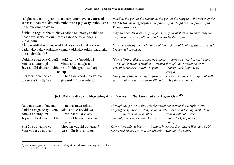<span id="page-98-1"></span>*Buddha, the gem of the Dhamma, the gem of the Saïgha − the power of the*

| sangha-ratanam tinnam ratanānam ānubhāvena caturāsīti-<br>sahassa-dhamma-kkhandhānubhāvena pitaka-tyānubhāvena<br>jina-sāvakānubhāvena: | Buddha, the gem of the Dhamma, the gem of the Sangha $-$ the power of the<br>84,000 Dhamma aggregates, the power of the Tripitaka, the power of the<br>Victor's disciples: |  |  |
|-----------------------------------------------------------------------------------------------------------------------------------------|----------------------------------------------------------------------------------------------------------------------------------------------------------------------------|--|--|
| Sabbe te rogā sabbe te bhaya sabbe te antarāyā sabbe te<br>upaddavā sabbe te dunnimittā sabbe te avamangalā<br>vinassantu.              | May all your diseases, all your fears, all your obstacles, all your dangers,<br>all your bad visions, all your bad omens be destroyed.                                     |  |  |
| *Ayu-vaddhako dhana-vaddhako siri-vaddhako yasa-<br>vaddhako bala-vaddhako vanna-vaddhako sukha-vaddhako<br>hotu sabbadā. [63]          | May there always be an increase of long life, wealth, glory, status, strength,<br>beauty, & happiness.                                                                     |  |  |
| Dukkha-roga-bhayā verā<br>sokā sattu c'upaddavā<br>Anekā antarāyā pi<br>vinassantu ca tejasā                                            | May suffering, disease, danger, animosity, sorrow, adversity, misfortune<br>$-$ obstacles without number $-$ vanish through their radiant energy.                          |  |  |
| Jaya-siddhi dhanam lābham sotthi bhāgyam sukham                                                                                         | Triumph, success, wealth, & gain,<br>safety, luck, happiness,                                                                                                              |  |  |
| balam                                                                                                                                   | strength,                                                                                                                                                                  |  |  |
| bhogam vuddhī ca yasavā<br>Siri āyu ca vanno ca                                                                                         | Glory, long life, & beauty, fortune, increase, & status, A lifespan of 100                                                                                                 |  |  |
| jīva-siddhī bhavantu te.<br>Sata-vassā ca āyū ca                                                                                        | years, and success in your livelihood: May they be yours.                                                                                                                  |  |  |
|                                                                                                                                         |                                                                                                                                                                            |  |  |

## <span id="page-98-0"></span>**[ 63] Ratana-ttayānubhavādi-gāthā** *Verses on the Power of the Triple Gem***[104](#page-98-1)**

| Ratana-ttayānubhāvena<br>ratana-ttaya-tejasā |                                                 | Through the power & through the radiant energy of the (Triple) Gem,        |                          |  |
|----------------------------------------------|-------------------------------------------------|----------------------------------------------------------------------------|--------------------------|--|
| Dukkha-roga-bhayā verā sokā sattu c'upaddavā |                                                 | May suffering, disease, danger, animosity, sorrow, adversity, misfortune   |                          |  |
| Anekā antarāyā pi                            | vinassantu asesato                              | $-$ obstacles without number $-$                                           | vanish without a trace.  |  |
|                                              | Jaya-siddhi dhanam lābham sotthi bhāgyam sukham | Triumph, success, wealth, & gain,                                          | safety, luck, happiness, |  |
|                                              | balam                                           |                                                                            | strength,                |  |
| Siri āyu ca vanno ca                         | bhogam vuddhī ca yasavā                         | Glory, long life, & beauty, fortune, increase, & status, A lifespan of 100 |                          |  |
| Sata-vassā ca āyū ca                         | jīva-siddhī bhavantu te.                        | years, and success in your livelihood: May they be yours.                  |                          |  |

I \* A common practice is to begin chanting at the asterisk, omitting the first lines. <sup>104</sup> Cf. BCI; PCT p. 34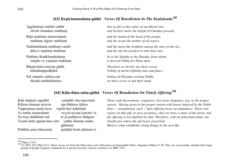### [63] Keņiyānumodana-gāthā *Verses Of Benediction In The Keņīyāsutta<sup>1[0](#page-99-0)5</sup>*

| Aggihuttam mukhā yaññā    | Just as fire is the center of sacrificial rites        |
|---------------------------|--------------------------------------------------------|
| sāvitti chandaso mukham   | and Savitric metre the height of Chandas prosody,      |
| Rājā mukham manussānam    | and the monarch the head of his people,                |
| nadīnam sāgaro mukham     | and the ocean the mother of all waters,                |
| Nakkhattānam mukham cando | and the moon the brightest among the stars in the sky, |
| ādicco tapatam mukham     | and the sun the greatest to emit heat rays,            |
| Puññam ākankhamānānam     | So is the Sangha to the Dayaka, from whom              |
| sangho ve yajatam mukham. | is derived Puñña for Dāna done.                        |
| Bhanissāma mayam gāthā    | Therefore we hereby say these verses                   |
| kāladānappadīpikā         | Telling of merits befitting time and place;            |
| Etā sunantu sakkaccam     | Asking all Dayakas seeking Puñña                       |
| dāyakā puññakāmino.       | on these verses to put their mind.                     |

### **[64] Kāla-dāna-sutta-gāthā** *Verses Of Benediction On Timely Offering***1[06](#page-99-1)**

Kāle dadanti sapaññā vadaññū vīta-maccharā Kālena dinnam ariyesu uju-bhūtesu tādisu Vippasanna-manā tassa vipulā hoti dakkhinā Ye tattha anumodanti veyyāvaccam karonti vā Na tena dakkhinā onā te pi puññassa bhāgino Tasmā dade appativāna-citto vattha dinnam mahapphalam

Puññāni para-lokasmim patit ha honti pāṇinan ti.

<span id="page-99-0"></span>*Those with discernment, responsive, free from stinginess, give in the proper season. Having given in the proper season with hearts inspired by the Noble Ones − straightened, such − their offering bears an abundance. Those who rejoice in that gift, or give assistance, they too have a share of the merit, and the offering is not depleted by that. Therefore, with an unhesitant mind, one should give where the gift bears great fruit.* 

<span id="page-99-1"></span>*Merit is what establishes living beings in the next life.*

 $\overline{a}$ 

 $^{105}_{100}$  Pūjā p. 218 f.

<sup>&</sup>lt;sup>106</sup> Cf. BCI; CG; Pūjā 214 f. These verses are from the *Kāla-dāna-sutta* (Discourse on Seasonable Gifts), Anguttara-Nikāya V.36. They are occasionally chanted when large groups of people organize a donation for a special occasion, such as a *kathina.* (cf. BBC, CG)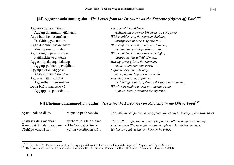### [64] Aggappasāda-sutta-gāthā *The Verses from the Discourse on the Supreme (Objects of) Faith <sup>1[0](#page-100-0)7</sup>*

Aggato ve pasannānam Aggam dhammam vijānatam Agge buddhe pasannānam Dakkhineyye anuttare Agge dhamme pasannānam Virāgūpasame sukhe Agge sanghe pasannānam Puññakkhette anuttare Aggasmim dānam dadatam Aggam puññam pavaddhati Aggam āyu ca vanno ca Yaso kitti sukham balam Aggassa dātā medhāvī Agga-dhamma-samāhito Deva-bhūto manusso vā Aggappatto pamodatīti.

*For one with confidence, realizing the supreme Dhamma to be supreme, With confidence in the supreme Buddha, unsurpassed in deserving offerings, With confidence in the supreme Dhamma, the happiness of dispassion & calm, With confidence in the supreme Saïgha, unsurpassed as a field of merit, Having given gifts to the supreme, one develops supreme merit, Supreme long life & beauty, status, honor, happiness, strength. Having given to the supreme, the intelligent person, firm in the supreme Dhamma, Whether becoming a deva or a human being, rejoices, having attained the supreme.*

### [64] Bhojana-dānānumodana-gāthā *Verses (of the Discourse) on Rejoicing in the Gift of Food<sup>[10](#page-100-1)8</sup>*

| Ayudo balado dhīro                               | vannado patibhānado                             | The enlightened person, having given life, strength, beauty, quick-wittedness                                                                   |
|--------------------------------------------------|-------------------------------------------------|-------------------------------------------------------------------------------------------------------------------------------------------------|
|                                                  |                                                 |                                                                                                                                                 |
| Sukhassa dātā medhāvī<br>Ayum datvā balam vannam | sukham so adhigacchati<br>sukhañ ca patibhānado | The intelligent person, a giver of happiness, attains happiness himself.<br>Having given life, strength, beauty, happiness, & quick-wittedness, |
| Dīghāyu yasavā hoti                              | yattha yatthupapajjatī ti.                      | He has long life & status wherever he arises.                                                                                                   |

<span id="page-100-1"></span><span id="page-100-0"></span>j <sup>107</sup> Cf. BCI; PCT 32. These verses are from the Aggappasāda-sutta (Discourse on Faith in the Supreme), Anguttara-Nikāya v 32. (BCI) <sup>108</sup> These verses are from the Bhojana-dānānumodana-sutta (Discourse on Rejoicing in the Gift of Food), Anguttara- Nikāya v 37. (BCI)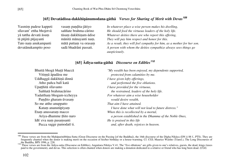### **[ 65] Devatādissa-dakkhiõānumodana-gāthā** *Verses for Sharing of Merit with Devas***[109](#page-101-0)**

Yasmim padese kappeti vasam pandita-jātiyo sīlavant' ettha bhojetvā saññate brahma-cārino yā tattha devatā āsum tāsam dakkhinam-ādise tā pūjitā pūjayanti mānitā mānayanti nam. Tato nam anukampanti mātā puttam va orasam devatānukampito poso sadā bhadrāni passati.

*In whatever place a wise person makes his dwelling, He should feed the virtuous leaders of the holy life. Whatever deities there are who report this offering, They will pay him respect and honor for this. As a result, they will feel sympathy for him, as a mother for her son. A person with whom the deities sympathize always sees things go auspiciously.*

### **[ 65] Ādiya-sutta-gāthā** *Discourse on Edibles***[110](#page-101-1)**

Bhuttā bhogā bhatā bhaccā Vitinnā āpadāsu me Uddhaggā dakkhinā dinnā Atho pañca balī katā Upatthitā sīlavanto Saññatā brahmacārino Yadattham bhogam-iccheyya Pandito gharam-āvasam So me attho anuppatto Katam ananutāpiyam Etam anussaram macco Ariya-dhamme thito naro Idh' eva nam pasamsanti Pecca sagge pamodatī ti.

*"My wealth has been enjoyed, my dependents supported, protected from calamities by me. I have given lofty offerings, and performed the five oblations. I have provided for the virtuous, the restrained, leaders of the holy life. For whatever aim a wise householder would desire wealth, That aim I have attained. I have done what will not lead to future distress." When this is recollected by a mortal, a person established in the Dhamma of the Noble Ones, He is praised in this life and, after death, rejoices in heaven.*

 $\overline{a}$ These verses are from the Mahāparinibbāna-Sutta (Great Discourse on the Passing [of the Buddha]), the 16th discourse of the Dīgha-Nikāya (DN ii 88 f., PTS). They are frequently chanted when the donor is making merit on the occasion of his/her birthday or a house-warming. Cf. CGI; Maurice Walshe (Transl.), The Long Discourses of the Buddha, BPS 1996, p. 238.

<span id="page-101-1"></span><span id="page-101-0"></span><sup>110</sup> These verses are from the Ādiya-sutta (Discourse on Edibles), Anguttara-Nikāya V.41. The "five oblations" are gifts given to one's relatives, guests, the dead, kings (taxes paid to the government), and devas. This selection is often chanted when donors are making a donation dedicated to a relative or friend who has long been dead. (CGI)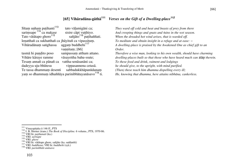# <span id="page-102-7"></span><span id="page-102-6"></span><span id="page-102-5"></span><span id="page-102-4"></span><span id="page-102-3"></span><span id="page-102-2"></span><span id="page-102-1"></span><span id="page-102-0"></span>**[ 2 65] Vihāradāna-gāthā 1[11](#page-102-0)** *Verses on the Gift of a Dwelling-place***[11](#page-102-1)**

| Sītam unham paṭihanti <sup>113</sup>                            | tato vālamigāni ca;                 | They ward off cold and heat and beasts of prey from there                 |
|-----------------------------------------------------------------|-------------------------------------|---------------------------------------------------------------------------|
| sarimsape <sup>114</sup> ca makase                              | sisire cāpi vutthiyo.               | And creeping things and gnats and rains in the wet season.                |
| Tato vātātapo ghoro <sup>115</sup>                              | sañjato <sup>116</sup> patihaññati. | When the dreaded hot wind arises, that is warded off.                     |
| lenatthañ ca sukhatthañ ca jhāyituñ ca vipassitum.              |                                     | To meditate and obtain insight in a refuge and at ease: $-$               |
| Vihāradānam saṅghassa                                           | aggam buddhehi <sup>117</sup>       | A dwelling-place is praised by the Awakened One as chief gift to an       |
|                                                                 | vannitam; [66]                      | Order.                                                                    |
| tasmā hi pandito poso                                           | sampassam attham attano.            | Therefore a wise man, looking to his own wealth, should have charming     |
| Vihāre kāraye ramme                                             | vāsayettha bahu-ssute;              | dwelling-places built so that those who have heard much can stay therein. |
| Tesam annañ ca pānañ ca                                         | vattha-senāsanāni ca;               | To these food and drink, raiment and lodgings                             |
| dadeyya uju-bhūtesu                                             | vippasannena cetasā.                | he should give, to the upright, with mind purified.                       |
| Te tassa dhammam desenti                                        | sabbadukkhāpanūdanam                | (Then) these teach him dhamma dispelling every ill;                       |
| yam so dhammam idhaññāya parinibbātayanāsavo <sup>118</sup> ti. |                                     | He, knowing that dhamma, here attains nibbāna, cankerless.                |
|                                                                 |                                     |                                                                           |

- $\frac{116}{117}$  VRI fn: vātātape ghore, sañjāte (ka. saddanīti)
- <sup>117</sup> VRI: *buddhena*; VRI fn: *buddhehi* (syā.)

j  $^{111}_{110}$  Vinayapiṭaka ii 146 ff., PTS

<sup>112</sup> I. B. Horner (trans.) *The Book of Discipline.* 6 volums., PTS, 1970-86.

<sup>113</sup> VRI fn: *pañihanati* (ka.)

<sup>114</sup> VRI: *sarīsape* 

<sup>115</sup> VRI: *ghore*

<sup>118</sup> VRI: *parinibbāti anāsavo*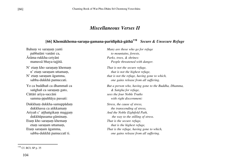# *Miscellaneous Verses II*

# **[ 66] Khemākhema-saraõa-gamana-paridīpikā-gāthā [119](#page-103-0)** *Secure & Unsecure Refuge*

Bahum ve saranam yanti pabbatāni vanāni ca, Ārāma-rukkha-cetyāni manussā bhaya-tajjitā.

N' etam kho saranam khemam n' etam saranam uttamam, N' etam saranam āgamma, sabba-dukkhā pamuccati.

Yo ca buddhañ ca dhammañ ca sanghañ ca saranam gato, Cāttāri ariya-saccāni samma-ppaññāya passati:

Dukkham dukkha-samuppādam dukkhassa ca atikkamam Ariyañ c' atthaṅgikam maggam dukkhūpasama-gāminam. Etam kho saranam khemam etam saranam uttamam, Etam saranam āgamma, sabba-dukkhā pamuccatī ti.

<span id="page-103-0"></span>*Many are those who go for refuge to mountains, forests, Parks, trees, & shrines: People threatened with danger.*

*That is not the secure refuge, that is not the highest refuge, that is not the refuge, having gone to which, one gains release from all suffering.*

*But a person who, having gone to the Buddha, Dhamma, & Saïgha for refuge, sees the four Noble Truths with right discernment:*

*Stress, the cause of stress, the transcending of stress, And the Noble Eightfold Path, the way to the stilling of stress. That is the secure refuge, that is the highest refuge, That is the refuge, having gone to which, one gains release from all suffering.*

j <sup>119</sup> Cf. BCI; SP p. 35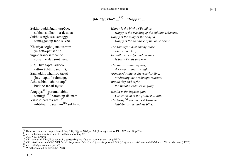# **[ 66] "Sukho" ... [120](#page-104-0)** *"Happy" ...*

Sukho buddhānam uppādo, sukhā saddhamma-desanā; Sukhā saṅghassa sāmaggī, samaggānam tapo sukho.

Khattiyo settho jane tasmim ye gotta-patisārino; vijjā-carana-sampanno so settho deva-mānuse.

Ārogaya<sup>[12](#page-104-2)2</sup>-paramā lābhā, santuṭṭhī<sup>[12](#page-104-3)3</sup> paramaṃ dhanaṃ; [67] Divā tapati ādicco rattim ābhāti candimā; Sannaddho khattiyo tapati jhāyī tapati brāhmano. Atha sabbam ahorattam $121$  $121$  buddho tapati tejasā.  $V$ issāsā paramā ñātī<sup>[12](#page-104-4)4</sup>,

nibbānam paramam<sup>[12](#page-104-5)5</sup> sukham.

*Happy is the birth of Buddhas. Happy is the teaching of the sublime Dhamma. Happy is the unity of the Saïgha. Happy is the radiance of the united ones.* 

<span id="page-104-2"></span>*The Khattiya's best among those who value clan; He with knowledge and conduct is best of gods and men.* 

<span id="page-104-6"></span><span id="page-104-5"></span>*The sun is radiant by day; the moon shines by night. Armoured radiates the warrior king. Meditating the Brāhmana radiates. But all day and night the Buddha radiates in glory.* 

<span id="page-104-4"></span><span id="page-104-3"></span><span id="page-104-1"></span><span id="page-104-0"></span>*Health is the highest gain. Contentment is the greatest wealth.*  [12](#page-104-6)6 *The trusty are the best kinsmen. Nibbāna is the highest bliss.* 

j <sup>120</sup> These verses are a compilation of Dhp 194, Dīgha- Nikāya i 99 (Ambaṭṭhasutta), Dhp 387, and Dhp 204.

<sup>&</sup>lt;sup>121</sup> VRI: sabbamahorattim; VRI fn: sabbamahorattam  $(?)$ ;

<sup>122</sup> CGI, VRI: *arogyā*

<sup>123</sup> VRI: *santutthi;* Dhp(Na): *santutthi;* **santutthi** *f* satisfaction, contentment, joy (cPED)

<sup>124</sup> VRI: vissāsaparamā ñāti; VRI fn: vissāsaparamo ñāti (ka. sī.), vissāsaparamā ñātī (sī. aṭṭha.), vissāsā paramā ñāti (ka.). **nāti** m kinsman (cPED)

 $^{125}_{125}$  VRI: nibbāṇaparamaṃ (ka. sī.)

 $126$  'Whether related or not' (Dhp (Na))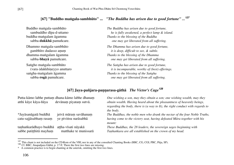### **[ 67] "Buddho maïgala-sambhūto" ...** *"The Buddha has arisen due to good fortune" ...* **[127](#page-105-0)**

Buddho mangala-sambhūto sambuddho dīpa-d-uttamo buddha-maïgalam āgamma sabba-**dukkhā** pamuñcare.

Dhammo mangala-sambhūto gambhīro dudasso anum dhamma-maïgalam āgamma sabba-**bhayā** pamuñcare.

Sangho mangala-sambhūto (vara-)dakkhineyyo anuttaro sangha-mangalam āgamma sabba-**rogā** pamuñcare.

*The Buddha has arisen due to good fortune, he is fully awakened, a perfect lamp & island. Thanks to the blessing of the Buddha one may get liberated from all suffering.* 

*The Dhamma has arisen due to good fortune, it is deep, difficult to see, & subtle. Thanks to the blessing of the Dhamma one may get liberated from all suffering.* 

<span id="page-105-2"></span><span id="page-105-1"></span>*The Saïgha has arisen due to good fortune, it is incomparable, worthy of (best) offerings. Thanks to the blessing of the Saïgha one may get liberated from all suffering.* 

## <span id="page-105-0"></span>**[ 67] Jaya-pañjara-paõõarasa-gāthā** *The Victor's Cage***[128](#page-105-1)**

| Putta-kāmo labhe puttam dhana-kāmo labhe dhanam<br>devānam piyatam sutvā.<br>atthi kāye kāya-ñāya |                                               | One wishing a son, may they obtain a son; one wishing wealth, may they<br>obtain wealth. Having heard about the pleasantness of heavenly beings,<br>regarding the body, there is (a way to $It$ ), the right conduct with regards to<br>the body. |  |
|---------------------------------------------------------------------------------------------------|-----------------------------------------------|---------------------------------------------------------------------------------------------------------------------------------------------------------------------------------------------------------------------------------------------------|--|
| *Jayāsanāgatā buddhā<br>catu-sajjāsabham rasam                                                    | jetvā māram savāhanam<br>ye pivinsu narāsabhā | The Buddhas, the noble men who drank the nectar of the four Noble Truths,<br>having come to the victory seat, having defeated Māra together with his<br><i>mount:</i>                                                                             |  |
| tanhankarādhayo buddhā<br>sabbe patitthita mayham                                                 | attha-vīsati nāyakā<br>matthake te munissara  | These Buddhas, the 28 leaders, the sovereign sages beginning with<br>Tanhankara are all established on the crown of my head.                                                                                                                      |  |

<sup>127</sup> <sup>127</sup> This chant is not included on the CD-Rom of the VRI, nor in any of the consulted Chanting Books (BBC, CG, CGI, PBC, Pūja, SP).

<sup>128</sup> Cf. BBC, Jinapañjara Gāthā, p. 17 ff. There the first two lines are missing.

<sup>\*</sup> A common practice is to begin chanting at the asterisk, omitting the first two lines.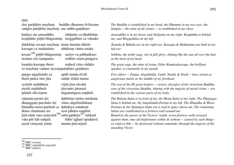#### [68]

sīse patit thito may hammo dvilocane buddho dhammo dvilocane sangho patithito mayham ure sabba-gunākaro

hadaye me anuruddho sārīputto ca dhakkhine

kondañño pitthi-bhāgasmim moggallāno ca vāmake

dakkhine savane mayham āsum ānanda-rāhulo kassapo ca mahānāmo ubhāsum vāma-sotake

kesato<sup>[12](#page-106-0)9</sup> pitthi-bhāgasmim nisinno siri-sampanno sobhito muni-pungavo

suriyo va pabhankaro

kumāra-kassapo thero mahesī citta-vādako so mayham vadane niccampatithāsi gunākaro

punno angulimālo ca upālī nanda-sīvalī therā pañca ime jāta nalāte tilakā mama

sesāsīti mahāthera vijitā jina-sāvakā etesīti mahātherā *jitavanto jinorasā* 

jinā nānā vara-saṃyuttā<sup>[13](#page-106-1)0</sup> satta-ppākāra<sup>131</sup>-laṅkatā ratanam purato āsi dakkhine metta-suttakam dhajaggam pacchato āsi vāme angulimālakam khandha-mora-parittañ ca ātānātiya-suttakam ākāse chadanam āsi sesā pākāra-santhitā vāta-pitt'ādi-sañjatā bāhir'ajjhatt'upaddavā asesā vinayam yantu ananta-jina-tejasā

jalantā sīla-tejena angamangesu santhitā

*The Buddha is established in my head, the Dhamma in my two eyes, the Saïgha − the mine of all virtues − is established in my chest.* 

*Anuruddha is in my heart, and Sārīputta on my right. Koõóañña is behind me, and Moggallāna on my left.* 

<span id="page-106-2"></span><span id="page-106-0"></span>*Ānanda & Rāhula are in my right ear, Kassapa & Mahānāma are both in my left ear.* 

<span id="page-106-1"></span>*Sobhita, the noble sage, sits in full glory, shining like the sun all over the hair at the back of my head.* 

*The great sage, the mine of virtue, Elder Kumārakassapa, the brilliant speaker, is constantly in my mouth.* 

*Five elders − Puõõa, Aïgulimāla, Upāli, Nanda & Sīvalī − have arisen as auspicious marks at the middle of my forehead.*

*The rest of the 80 great leaders − victors, disciples of the victorious Buddha, sons of the victorious Buddha, shining with the majesty of moral virtue − are established in the various parts of my body.* 

*The Ratana-Sutta is in front of me, the Metta-Sutta to my right. The Dhajagga-Sutta is behind me, the Aïgulimāla-Paritta to my left. The Khandha & Mora-Parittas & the Āñānāñiya-Sutta are a roof in space above me. The remaining Suttas are established as a fortress wall around me.* 

*Bound by the power of the Victors' realm, seven fortress walls arrayed against them, may all misfortunes within & without − caused by such things as wind or bile − be destroyed without remainder through the majesty of the unending Victor.* 

j <sup>129</sup> BBC: *kesante*

<sup>130</sup> BBC: *jināõābala-saüyuttā*

<sup>131</sup> BBC: *pākāra*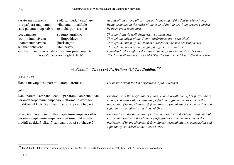| vasato me sakijjena                   | sadā sambuddha-pañjare | As $I$ $a$   |
|---------------------------------------|------------------------|--------------|
| jina-pañjara-majjhamhi                | viharantam mahītale    | living       |
| sadā pālentu mam sabbe                | te mahā-purisāsabhā    | by the       |
| iccevamanto                           | sugutto surakkho       | <i>Thus</i>  |
| [69] jinānubhāvena                    | jitupaddavo            | <b>Throu</b> |
| dhammānubhāvena                       | jitārisangho           | Throu        |
| saṅghānubhāvena                       | jitantarāyo            | <b>Throu</b> |
| saddhammānubhāva-pālito               | carāmi jina-pañjareti  | Guard        |
| Jaya-pañjara-pannarasa-gāthā nițțhitā | The J                  |              |
|                                       |                        |              |

*As I dwell, in all my affairs, always in the cage of the Self-awakened one, living grounded in the midst of the cage of the Victors, I am always guarded by those great noble men.* 

*Thus am I utterly well-sheltered, well-protected. Through the might of the Victor, misfortunes are vanquished. Through the might of the Dhamma, hordes of enemies are vanquished. Through the might of the Saïgha, dangers are vanquished. Guarded by the might of the True Dhamma, I live in the Victor's Cage.*  Iaya-pañjara-pannarasa-gāthā (The 15 verses on the Victor's Cage) ends here.

## **2 [−] Pāramī** *The (Ten) Perfections (Of The Buddha)***1[3](#page-107-0)**

#### (LEADER:)

Handa mayam dasa-pāramī-kāram karomase. *Let us now chant the ten perfections* (of the Buddha).

#### $(ALL:$

Dāna-pāramī-sampanno dāna-upapāramī-sampanno dānaparamattha-pāramī-sampanno mettā-maitrī-karunāmuditā-upekkhā-pāramī-sampanno iti pi so bhagavā.

Sīla-pāramī-sampanno sīla-upapāramī-sampanno sīlaparamattha-pāramī-sampanno mettā-maitrī-karunāmuditā-upekkhā-pāramī-sampanno iti pi so bhagavā.

*Endowed with the perfection of giving, endowed with the higher perfection of giving, endowed with the ultimate perfection of giving, endowed with the perfection of loving kindness & friendliness, sympathetic joy, compassion and equanimity, so indeed is the Blessed One.*

<span id="page-107-0"></span>*Endowed with the perfection of virtue, endowed with the higher perfection of virtue, endowed with the ultimate perfection of virtue, endowed with the perfection of loving kindness & friendliness, sympathetic joy, compassion and equanimity, so indeed is the Blessed One.*

 132 This Chant is taken from a Chanting Book (in Thai Script, p. 178), the nuns use in Wat Phra Dhātu Srī Chomtong Voravihāra.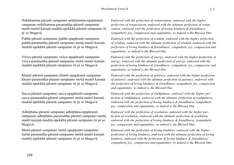Nekkhamma-pāramī-sampanno nekkhamma-upapāramīsampanno nekkhamma-paramattha-pāramī-sampanno mettā-maitrī-karunā-muditā-upekkhā-pāramī-sampanno iti pi so bhagavā.

Paññā-pāramī-sampanno paññā-upapāramī-sampanno paññā-paramattha-pāramī-sampanno mettā-maitrī-karunāmuditā-upekkhā-pāramī-sampanno iti pi so bhagavā.

Viriya-pāramī-sampanno viriya-upapāramī-sampanno viriya-paramattha-pāramī-sampanno mettā-maitrī-karunāmuditā-upekkhā-pāramī-sampanno iti pi so bhagavā.

Khanti-pāramī-sampanno khanti-upapāramī-sampanno khanti-paramattha-pāramī-sampanno mettā-maitrī-karunāmuditā-upekkhā-pāramī-sampanno iti pi so bhagavā.

Sacca-pāramī-sampanno sacca-upapāramī-sampanno sacca-paramattha-pāramī-sampanno mettā-maitrī-karunāmuditā-upekkhā-pāramī-sampanno iti pi so bhagavā.

Adhitthāna-pāramī-sampanno adhitthāna-upapāramīsampanno adhitthāna-paramattha-pāramī-sampanno mettāmaitrī-karunā-muditā-upekkhā-pāramī-sampanno iti pi so bhagavā.

Mettā-pāramī-sampanno mettā-upapāramī-sampanno mettā-paramattha-pāramī-sampanno mettā-maitrī-karunāmuditā-upekkhā-pāramī-sampanno iti pi so bhagavā.

*Endowed with the perfection of renunciation, endowed with the higher perfection of renunciation, endowed with the ultimate perfection of renunciation, endowed with the perfection of loving kindness & friendliness, sympathetic joy, compassion and equanimity, so indeed is the Blessed One.*

*Endowed with the perfection of wisdom, endowed with the higher perfection of wisdom, endowed with the ultimate perfection of wisdom, endowed with the perfection of loving kindness & friendliness, sympathetic joy, compassion and equanimity, so indeed is the Blessed One.*

*Endowed with the perfection of energy, endowed with the higher perfection of energy, endowed with the ultimate perfection of energy, endowed with the perfection of loving kindness & friendliness, sympathetic joy, compassion and equanimity, so indeed is the Blessed One.*

*Endowed with the perfection of patience, endowed with the higher perfection of patience, endowed with the ultimate perfection of patience, endowed with the perfection of loving kindness & friendliness, sympathetic joy, compassion and equanimity, so indeed is the Blessed One.*

*Endowed with the perfection of truthfulness, endowed with the higher perfection of truthfulness, endowed with the ultimate perfection of truthfulness, endowed with the perfection of loving kindness & friendliness, sympathetic joy, compassion and equanimity, so indeed is the Blessed One.*

*Endowed with the perfection of resolution, endowed with the higher perfection of resolution, endowed with the ultimate perfection of resolution, endowed with the perfection of loving kindness & friendliness, sympathetic joy, compassion and equanimity, so indeed is the Blessed One.*

*Endowed with the perfection of loving kindness, endowed with the higher perfection of loving kindness, endowed with the ultimate perfection of loving kindness, endowed with the perfection of loving kindness & friendliness, sympathetic joy, compassion and equanimity, so indeed is the Blessed One.*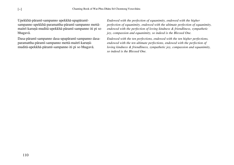Upekkhā-pāramī-sampanno upekkhā-upapāramīsampanno upekkhā-paramattha-pāramī-sampanno mettāmaitrī-karunā-muditā-upekkhā-pāramī-sampanno iti pi so bhagavā.

Dasa-pāramī-sampanno dasa-upapāramī-sampanno dasaparamattha-pāramī-sampanno mettā-maitrī-karunāmuditā-upekkhā-pāramī-sampanno iti pi so bhagavā.

*Endowed with the perfection of equanimity, endowed with the higher perfection of equanimity, endowed with the ultimate perfection of equanimity, endowed with the perfection of loving kindness & friendliness, sympathetic joy, compassion and equanimity, so indeed is the Blessed One.*

*Endowed with the ten perfections, endowed with the ten higher perfections, endowed with the ten ultimate perfections, endowed with the perfection of loving kindness & friendliness, sympathetic joy, compassion and equanimity, so indeed is the Blessed One.*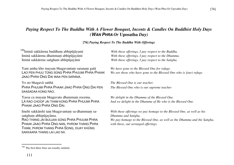## *Paying Respect To The Buddha With A Flower Bouquet, Incents & Candles On Buddhist Holy Days (***WAN PHRA** *Or* **Uposatha** *Day)*

<span id="page-110-0"></span>**[76]** *Paying Respect To The Buddha With Offerings*

| <sup>133</sup> Iminā sakkārena buddham abhipūjāyami<br>Iminā sakkārena dhammam abhipūjayāmi<br>Iminā sakkārena sangham abhipūjayāmi      | With these offerings, I pay respect to the Buddha.<br>With these offerings, I pay respect to the Dhamma.<br>With these offerings, I pay respect to the Sangha. |
|------------------------------------------------------------------------------------------------------------------------------------------|----------------------------------------------------------------------------------------------------------------------------------------------------------------|
| Yam amha kho mayam bhagavantam saranam gatā<br>LAO PEN PHUU TÜNG SÜNG PHRA PHUUMI PHRA PHAAK<br><b>JAAO PHRA ONG DAI WAA PEN SARANA.</b> | We have gone to the Blessed One for refuge.<br>We are those who have gone to the Blessed One who is (our) refuge.                                              |
| Yo no bhagavā satthā                                                                                                                     | The Blessed One is our teacher.                                                                                                                                |
| PHRA PHUUMI PHRA PHAAK JAAO PHRA ONG DAI PEN<br>SAASADAA KONG RAO.                                                                       | The Blessed One who is our supreme teacher                                                                                                                     |
| Yassa ca mayam bhagavato dhammam rocema.                                                                                                 | We delight in the Dhamma of the Blessed One.                                                                                                                   |
| LÄ RAO CHOOP JAI THAM KONG PHRA PHUUMI PHRA<br>PHAAK JAAO PHRA ONG DAI.                                                                  | And we delight in the Dhamma of He who is the Blessed One.                                                                                                     |
| Imehi sakkārehi tam bhagavantam sa-dhammam sa-                                                                                           | With these offerings we pay homage to the Blessed One, as well as his                                                                                          |
| sangham abhipūjayāma.<br>RAO THANG JAI BUUJAA SÜNG PHRA PHUUMI PHRA                                                                      | Dhamma and Sangha.<br>We pay homage to the Blessed One, as well as the Dhamma and the Sangha,                                                                  |
| PHAAK JAAO PHRA ONG NAN, PHROM THANG PHRA                                                                                                | with these, our arranged offerings.                                                                                                                            |
| THAM, PHROM THANG PHRA SONG, DUAY KHÜNG                                                                                                  |                                                                                                                                                                |
| SAKKAARA THANG LAI LAO NII.                                                                                                              |                                                                                                                                                                |
|                                                                                                                                          |                                                                                                                                                                |

j <sup>133</sup> The first three lines are usually omitted.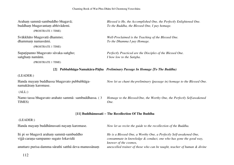| Araham sammā-sambuddho bhagavā;<br>buddham bhagavantam abhivādemi.<br>(PROSTRATE 1 TIME) | Blessed is He, the Accomplished One, the Perfectly Enlightened One.<br>To the Buddha, the Blessed One, I pay homage.                                            |
|------------------------------------------------------------------------------------------|-----------------------------------------------------------------------------------------------------------------------------------------------------------------|
| Svākkhāto bhagavatā dhammo;<br>dhammam namassāmi.<br>(PROSTRATE 1 TIME)                  | Well-Proclaimed is the Teaching of the Blessed One.<br>To the Dhamma I pay Homage.                                                                              |
| Supatipanno bhagavato sāvaka-saṅgho;<br>sangham namāmi.<br>(PROSTRATE 1 TIME)            | Perfectly Practiced are the Disciples of the Blessed One.<br>I bow low to the Sangha.                                                                           |
|                                                                                          | [2] Pubbabhāga-Namakāra-Pāṭha Preliminary Passage In Homage (To The Buddha)                                                                                     |
| (LEADER:)                                                                                |                                                                                                                                                                 |
| Handa mayam buddhassa bhagavato pubbabhāga-<br>namakāram karomase.                       | Now let us chant the preliminary (passage in) homage to the Blessed One.                                                                                        |
| (ALL)                                                                                    |                                                                                                                                                                 |
| Namo tassa bhagavato arahato sammā-sambuddhassa. (3)<br>TIMES)                           | Homage to the Blessed One, the Worthy One, the Perfectly Self-awakened<br>One.                                                                                  |
|                                                                                          | [11] Buddhānussati - The Recollection Of The Buddha                                                                                                             |
| (LEADER:)                                                                                |                                                                                                                                                                 |
| Handa mayam buddhānussati-nayam karomase.                                                | Now let us recite the guide to the recollection of the Buddha.                                                                                                  |
| Iti pi so bhagavā araham sammā-sambuddho<br>vijjā-caraņa-sampanno sugato lokavidū        | He is a Blessed One, a Worthy One, a Perfectly Self-awakened One,<br>consummate in knowledge & conduct, one who has gone the good way,<br>knower of the cosmos, |
| anuttaro purisa-damma-sārathi satthā deva-manussānam                                     | unexcelled trainer of those who can be taught, teacher of human & divine                                                                                        |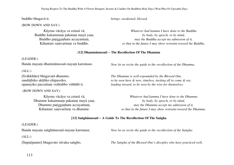#### Paying Respect To The Buddha With A Flower Bouquet, Incents & Candles On Buddhist Holy Days (Wan Phra Or Uposatha Day)

#### (BOW DOWN AND SAY:)

Kāyena vācāya va cetasā vā, Buddhe kukammam pakatam mayā yam, Buddho patigganhatu accayantam, Kālantare samvaritum va buddhe.

buddho bhagavā ti. *beings; awakened; blessed.*

*Whatever bad kamma I have done to the Buddha by body, by speech, or by mind, may the Buddha accept my admission of it, so that in the future I may show restraint toward the Buddha.* 

#### **[12] Dhammānussati − The Recollection Of The Dhamma**

(LEADER:)

Handa mayaü dhammānussati-nayaü karomase. *Now let us recite the guide to the recollection of the Dhamma.*

 $(ALL:$ 

(BOW DOWN AND SAY):

Kāyena vācāya va cetasā vā, Dhamme kukammam pakatam mayā yam, Dhammo patigganhatu accayantam, Kālantare samvaritum va dhamme.

[Svākkhāto] bhagavatā dhammo, *The Dhamma is well-expounded by the Blessed One,* sanditthiko akāliko ehipassiko, *to be seen here & now, timeless, inviting all to come & see,* opanayiko paccattaü veditabbo viññūhī ti. *leading inward, to be seen by the wise for themselves.*

> *Whatever bad kamma I have done to the Dhamma by body, by speech, or by mind, may the Dhamma accept my admission of it, so that in the future I may show restraint toward the Dhamma.*

#### **[13] Saïghānussati − A Guide To The Recollection Of The Saïgha**

#### (LEADER:)

 $(ALL:$ 

Handa mayam sanghānussati-nayam karomase. *Now let us recite the guide to the recollection of the Sangha: Now let us recite the guide to the recollection of the Sangha:* 

[Supañipanno] bhagavato sāvaka-saïgho, *The Saïgha of the Blessed One's disciples who have practiced well,*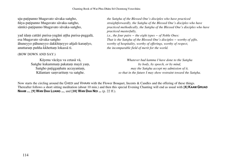uju-patipanno bhagavato sāvaka-sangho, ñāya-patipanno bhagavato sāvaka-sangho, sāmīci-patipanno bhagavato sāvaka-saṅgho,

yad idaü cattāri purisa-yugāni aññha purisa-puggalā, *i.e., the four pairs − the eight types − of Noble Ones:* anuttaram puñña-kkhettam lokass<del>ā ti. *the incomparable field of merit for the world.*</del>

#### (BOW DOWN AND SAY:)

Kāyena vācāya va cetasā vā, Sanghe kukammam pakatam mayā yam, Sangho patigganhatu accayantam, Kālantare samvaritum va sanghe.

*the Saïgha of the Blessed One's disciples who have practiced straightforwardly, the Saïgha of the Blessed One's disciples who have practiced methodically, the Saïgha of the Blessed One's disciples who have practiced masterfully,*

esa bhagavato sāvaka-saïgho *That is the Saïgha of the Blessed One's disciples − worthy of gifts,*  āhuneyyo pāhuneyyo dakkhiõeyyo añjali-karaõīyo, *worthy of hospitality, worthy of offerings, worthy of respect,*

> *Whatever bad kamma I have done to the Saïgha by body, by speech, or by mind, may the Saïgha accept my admission of it, so that in the future I may show restraint toward the Saïgha.*

Now starts the circling around the CHEDI and VIHAAN with the Flower Bouquet, Incents & Candles and the offering of these things. Thereafter follows a short sitting meditation (about 10 min.) and then this special Evening Chanting will end as usual with **[8] KAAM GRUAD NAAM ...**, **[9] WAN DAA LUANG ...**, and **[10] WAN DAA NOI ...** (p. 22 ff.).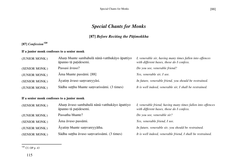## <span id="page-114-0"></span>*Special Chants for Monks*

### **[87]** *Before Reciting the Pāñimokkha*

### **4 [87]** *Confessio[n](#page-114-0)***<sup>13</sup>**

#### **If a junior monk confesses to a senior monk**

| (JUNIOR MONK:) | Aham bhante sambahulā nānā-vatthukāyo āpattiyo<br>āpanno tā patidesemi. | I, venerable sir, having many times fallen into offences<br>with different bases, those do I confess. |
|----------------|-------------------------------------------------------------------------|-------------------------------------------------------------------------------------------------------|
| (SENIOR MONK:) | Passasi āvuso?                                                          | Do you see, venerable friend?                                                                         |
| (JUNIOR MONK:) | Ama bhante passāmi. [88]                                                | Yes, venerable sir, I see.                                                                            |
| (SENIOR MONK:) | Āyatim āvuso samvareyyāsi.                                              | In future, venerable friend, you should be restrained.                                                |
| (JUNIOR MONK:) | Sādhu sutthu bhante samvarissāmi. (3 times)                             | It is well indeed, venerable sir, I shall be restrained.                                              |

### **If a senior monk confesses to a junior monk**

| (SENIOR MONK:) | Aham āvuso sambahulā nānā-vatthukāyo āpattiyo<br>āpanno tā patidesemi. | I, venerable friend, having many times fallen into offences<br>with different bases, those do I confess. |
|----------------|------------------------------------------------------------------------|----------------------------------------------------------------------------------------------------------|
| (JUNIOR MONK:) | Passatha bhante?                                                       | Do you see, venerable sir?                                                                               |
| (SENIOR MONK:) | Ama āvuso passāmi.                                                     | Yes, venerable friend, I see.                                                                            |
| (JUNIOR MONK:) | Ayatim bhante samvareyyatha.                                           | In future, venerable sir, you should be restrained.                                                      |
| (SENIOR MONK:) | Sādhu sutthu āvuso samvarissāmi. (3 times)                             | It is well indeed, venerable friend, I shall be restrained.                                              |

j  $134$  Cf. OP p. 43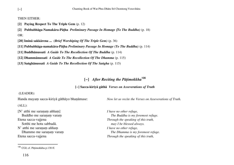#### THEN EITHER:

**[2] Paying Respect To The Triple Gem** (p. 12)

**[2] Pubbabhāga-Namakāra-Pāñha** *Preliminary Passage In Homage* **(***To The Buddha)* (p. 18)

#### OR:

**[20] Iminā sakkārena ...** *(Brief Worshiping Of The Triple Gem)* (p. 36)

**[11] Pubbabhāga-namakāra-Pāñha** *Preliminary Passage In Homage (To The Buddha)* (p. 114)

**[11] Buddhānussati** *A Guide To The Recollection Of The Buddha* (p. 114)

- **[12] Dhammānussati** *A Guide To The Recollection Of The Dhamma* (p. 115)
- **[13] Saïghānussati** *A Guide To The Recollection Of The Saïgha* (p. 115)

## **[ −]** *After Reciting the Pāñimokkha***[135](#page-115-0)**

#### **[−] Sacca-kiriyā gāthā** *Verses on Asseverations of Truth*

#### (LEADER):

Handa mayam sacca-kiriyā gāthāyo bhanāmase: *Now let us recite the Verses on Asseverations of Truth.* 

<span id="page-115-0"></span>

(ALL):

 $[N'$  atthi me saranam aññam] Buddho me saranam varam Etena sacca-vajjena Sotthi me hotu sabbadā.

N' atthi me saranam aññam Dhammo me saranam varam Etena sacca-vajjena

*I have no other refuge, The Buddha is my foremost refuge. Through the speaking of this truth, may I be blessed always. I have no other refuge, The Dhamma is my foremost refuge. Through the speaking of this truth,*

j <sup>135</sup> CGI; cf. Pāṭimokkha p.138 ff.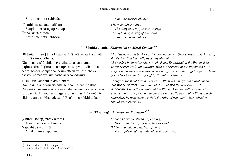Sotthi me hotu sabbadā. *may I be blessed always.*

N' atthi me saranam aññam Sangho me saranam varam Etena sacca-vajjena Sotthi me hotu sabbadā.

*I have no other refuge, The Saïgha is my foremost refuge. Through the speaking of this truth, may I be blessed always.*

### **[ −] Sīluddesa-pāñha** *Exhortation on Moral Conduct***[136](#page-116-0)**

[Bhāsitam idam] tena Bhagavatā jānatā passatā arahatā sammā-sambuddhena:

"Sampanna-sīlā bhikkhave viharatha sampannapātimokkhā. Pātimokkha-samvara-samvutā viharatha ācāra-gocara-sampannā. Anumattesu vajjesu bhayadassāvī samādāya sikkhatha sikkhāpadesūti."

Tasmā tih' amhehi sikkhitabbam:

"Sampanna-sīlā viharissāma sampanna-pātimokkhā. Pātimokkha-samvara-samvutā viharissāma ācāra-gocarasampannā. Anumattesu vajjesu bhaya-dassāvī samādāya sikkhissāma sikkhāpadesūti." Evañhi no sikkhitabbam.

*This has been said by the Lord, One-who-knows, One-who-sees, the Arahant, the Perfect Buddha, enlightened by himself:*

<span id="page-116-0"></span>*"Be perfect in moral conduct, o bhikkhus. Be* perfect *in the Pāñimokkha. Dwell restrained* in accordance *with the restraint of the Pāñimokkha. Be perfect in conduct and resort, seeing danger even in the slightest faults. Train yourselves by undertaking rightly the rules of training. "*

<span id="page-116-1"></span>*Therefore we should train ourselves: "We will be perfect in moral conduct!* We will b*e* perfect *in the Pāñimokkha.* We will d*well restrained* in accordance *with the restraint of the Pāñimokkha. We will be perfect in conduct and resort, seeing danger even in the slightest faults! We will train yourselves by undertaking rightly the rules of training!" Thus indeed we should train ourselves.*

### **7 [−] Tāyana-gāthā** *Verses on Protection***1[3](#page-116-1)**

[Chinda-sotam] parakkamma Kāme panūda brāhmana Nappahāya muni kāme N' ekattam upapajjati.

*Strive and cut the stream (of craving), Discard desires of sense, religious man!. Without abandoning desires of sense The sage's mind one-pointed never can arise.*

j  $^{136}_{127}$  Pāṭimokkha p. 138 f. (compare CGI)

 $137$  Pāṭimokkha p. 142 f. (SN i 48; compare CGI)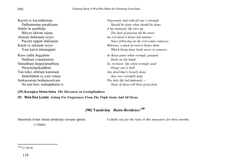| Kayirā ce kayirāthenam       | Vigorously and with all one's strength     |
|------------------------------|--------------------------------------------|
| Dalhamenam parakkame         | Should be done what should be done;        |
| Sithilo hi paribbajo         | A lax monastic life stirs up               |
| Bhiyyo ākirate rajam.        | The dust of passion all the more.          |
| Akatam dukkatam seyyo        | An evil deed is better left undone         |
| Pacchā tappati dukkatam      | Since following on the evil comes remorse; |
| Katañ ca sukatam seyyo       | Whereas, a deed of weal is better done     |
| Yam katvā nānutappati.       | Which being done leads never to remorse.   |
| Kuso yatha duggahito         | As Kusa-grass when wrongly grasped         |
| Hattham evānukantati         | Doth cut the hand:                         |
| Sāmaññam dupparāmattham      | So, recluses' life when wrongly used       |
| Nirayāyūpakaddhati.          | Drags one to hell.                         |
| Yan kiñci sithilam kammam    | Any deed that's loosely done,              |
| Sankilitthañ ca yam vatam    | Any vow corruptly kept,                    |
| Sankassaram brahmacariyam    | The holy life led dubiously $-$            |
| Na tam hoti, mahapphalan ti. | None of these will bear great fruit.       |

**[29] Karaõīya-Metta-Sutta** *The Discourse on Lovingkindness*

**[9] WAN DAA LUANG** *Asking For Forgiveness From The Triple Gems And All Devas*

## <span id="page-117-0"></span>**8 [90] Vassāvāsa** *Rains-Residence***1[3](#page-117-0)**

Imasmim āvāse imam temāsam vassam upemi. *I* (shall) stay for the rains in this monastery for three months.

<sup>(3</sup> TIMES)

j  $138$  Cf. OP 46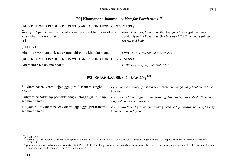## **[ 90] Khamāpana-kamma** *Asking for Forgiveness***[139](#page-118-0)**

### (BHIKKHU WHO IS / BHIKKHUS WHO ARE ASKING FOR FORGIVENESS:)

Ācāriye<sup>[14](#page-118-1)0</sup> pamādena d(a)vāra-ttayena kataṃ sabbaṃ aparādhaṃ khamatha me / no bhante. [91] *Forgive me / us, Venerable Teacher, for all wrong-doing done carelessly to the Venerable One by way of the three doors (of mind, speech and body).* 

(THERA:)

Aham te / vo khamāmi, tayā / tumhehi pi me khamitabbam. *I forgive you; you should forgive me.* 

<span id="page-118-2"></span><span id="page-118-0"></span>

(BHIKKHU WHO IS / BHIKKHUS WHO ARE ASKING FOR FORGIVENESS:)

Khamāmi / Khamāma bhante. *I / We forgive (you), Venerable Sir.* 

## **[92] KHAAM-LAA-Sikkhā** *Disrobing***[141](#page-118-2)**

| Sikkham paccakkhāmi; ajjatagge gihī <sup>142</sup> ti mam sangho | I give up the training; from today onwards the Sangha may hold me to be a   |
|------------------------------------------------------------------|-----------------------------------------------------------------------------|
| dhāretu.                                                         | layman.                                                                     |
| Dutiyam pi: Sikkham paccakkhāmi; ajjatagge gihī ti mam           | For a second time: I give up the training; from today onwards the Sangha    |
| sangho dharetu.                                                  | may hold me to be a layman.                                                 |
| Tatiyam pi: Sikkham paccakkhāmi; ajjatagge gihī ti mam           | For a third time: I give up the training; from today onwards the Sangha may |
| sangho dharetu.                                                  | hold me to be a layman.                                                     |

<sup>&</sup>lt;sup>139</sup>Cf. OP 47 f.<br><sup>140</sup> Acariye may be replaced by other more appropriate words, for instance *There, Mahathere*, or Ayasmante (a general word of respect for bhikkhus senior to oneself).<br><sup>142</sup> Gf. OP 85<br><sup>142</sup> gihī m layman

<span id="page-118-3"></span><span id="page-118-1"></span>In this case one has to replace 'gihī ti' by 'sāmanero ti'.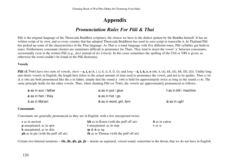# **Appendix**

## *Pronunciation Rules For Pāli & Thai*

Pāli is the original language of the Theravada Buddhist scriptures, the closest we have to the dialect spoken by the Buddha himself. It has no written script of its own, and so every country that has adopted Theravada Buddhism has used its own script to transcribe it. In Thailand Pāli has picked up some of the characteristics of the Thai language. As Thai is a tonal language with five different tones, Pāli syllables got built-in tones. Furthermore consonant clusters are sometimes difficult to pronounce for Thais. They tend to insert the vowel 'a' between consonants, occasionally even in the written Pāli (e.g., *davi* instead of *dvi* [=two]). In this cases sometimes the spelling of the CGI or VRI is given, as otherwise the word couldn't be found in the Pāli dictionary.

#### **Vowels**

**Pāli** (& THAI) have two sorts of vowels, *short* – **a**, **i**, **u** (A, I, U, E, O, Ä, Ö, Ü); and  $long - \bar{a}$ , **ī**, **ū**, e, o (AA, II, UU, EE, OO, ÄÄ, ÖÖ, ÜÜ). Unlike long and shorts vowels in English, the length here refers to the actual amount of time used to pronounce the vowel, and not to its quality. Thus *a (*A*)*  $\&$  *ā* (AA) are both pronounced like the *a* in father, simply that the sound  $\bar{a}$  (AA) is held for approximately twice as long as the sound *a* (A). The same principle holds for the other vowels. Thus, when chanting Pāli (or THAI), the vowels are approximately pronounced as follows:

| <b>a</b> as in sun / father | <b>u</b> as in put / glue       | <b>i</b> as in bill / machine  |
|-----------------------------|---------------------------------|--------------------------------|
| <b>e</b> as in hen / they   | <b>o</b> as in hot / go         |                                |
| ä as in Ma'am               | <b>ö</b> as in word, girl, fern | $\ddot{\mathbf{u}}$ as in ugh! |

#### **Consonants**

Consonants are generally pronounced as they are in English, with a few unexpected twists:

| c as in ancient                             | <b>kh</b> as in Korea (with the puff off air)  | $\tilde{\mathbf{n}}$ as in cañon |
|---------------------------------------------|------------------------------------------------|----------------------------------|
| <b>p</b> unaspirated, as in spot            | <b>t</b> unaspirated, as in stop               | <b>v</b> as w                    |
| <b>k</b> unaspirated, as in skin            | $\mathbf{m} \& \mathbf{\dot{n}}$ as ng         |                                  |
| <b>ph</b> as in pie (with the puff off air) | <b>th</b> as in Thomas (with the puff off air) |                                  |

Certain two-lettered notations − **bh, dh, óh, gh, jh** − denote an aspirated, voiced sound, somewhat in the throat, that we do not have in English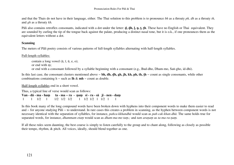and that the Thais do not have in their language, either. The Thai solution to this problem is to pronounce *bh* as a throaty *ph, dh* as a throaty *th,* and *gh* as a throaty *kh.*

Pāli also contains retroflex consonants, indicated with a dot under the letter: **d**, **dh**, **l**, **n**, **t**, **th**. These have no English or Thai equivalent. They are sounded by curling the tip of the tongue back against the palate, producing a distinct nasal tone, but it is o.k., if one pronounces them as the equivalent letters without a dot.

#### **Scanning**

The meters of Pāli poetry consists of various patterns of full-length syllables alternating with half-length syllables.

#### Full-length syllables:

contain a long vowel (ā, ī, ū, e, o); or end with m; or end with a consonant followed by a syllable beginning with a consonant (e.g., Bud-dho, Dham-mo, San-gho, id-dhi).

In this last case, the consonant clusters mentioned above − **bh, dh, óh, gh, jh, kh, ph, th, ñh** − count as single consonants, while other combinations containing h – such as  $\ln \& \text{mh}$  – count as double.

Half-length syllables end in a short vowel.

Thus, a typical line of verse would scan as follows:

**Van - dā - ma - haü ta - ma − ra - õaü si - ra - sā ji - nen - daü**   $1 \quad 1 \quad 1/2 \quad 1 \quad 1/2 \quad 1/2 \quad 1/2 \quad 1 \quad 1/2 \quad 1/2 \quad 1 \quad 1/2 \quad 1 \quad 1$ 

In this book many of the long compound words have been broken down with hyphens into their component words to make them easier to read and − for anyone studying Pāli − to understand. In rare cases this creates a problem in scanning, as the hyphen between component words is not necessary identical with the separation of syllables, for instance, *pañca-kkhandhā* would scan as *pañ-cak-khan-dhā.* The same holds true for separated words, for instance, *dhammam etam* would scan as *dham-ma-me-tam*.; and *tam aranam* as *ta-ma-ra-nam*.

If all these rules seem daunting, the best course is simply to listen carefully to the group and to chant along, following as closely as possible their tempo, rhythm, & pitch. All voices, ideally, should blend together as one.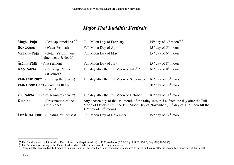## <span id="page-121-1"></span>*Major Thai Buddhist Festivals*

| $15th$ day of $3rd$ moon <sup>144</sup>                                                                                                                                           |
|-----------------------------------------------------------------------------------------------------------------------------------------------------------------------------------|
| $15th$ day of $5th$ moon                                                                                                                                                          |
| $15th$ day of $6th$ moon                                                                                                                                                          |
| $15th$ day of $8th$ moon                                                                                                                                                          |
| $16th$ day of $8th$ moon                                                                                                                                                          |
| $16th$ day of $10th$ moon                                                                                                                                                         |
| $30th$ day of $10th$ moon                                                                                                                                                         |
| $16th$ day of $11th$ moon                                                                                                                                                         |
| Any chosen day of the last month of the rainy season, i.e. from the day after the Full<br>Moon of October until the Full Moon Day of November $(16th$ day of $11th$ moon till the |
| $15th$ day of $12th$ moon                                                                                                                                                         |
|                                                                                                                                                                                   |

 $\overline{a}$ 

<sup>&</sup>lt;sup>143</sup> The Buddha gave the Pāṭimokkha Exortation (= ovāda-pāṭimokkha) to 1250 Arahants (Cf. BBC p. 157 ff., 170 f.; Dhp (Na) 183-185).

<sup>144</sup> The 3rd moon according to the Thai calender, which is the 1st moon of the Chinese calender.

<span id="page-121-2"></span><span id="page-121-0"></span><sup>145</sup> Occasionally there are two full moon days in July, and in this case the 'Rains-residence' is scheduled to begin on the day after the second full moon day of that month.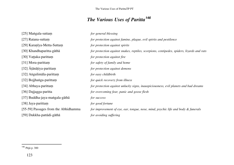<span id="page-122-0"></span>The Various Uses of ParittaTP PT

# **6** *The Various Uses of Paritta***[14](#page-122-0)**

| [25] Mangala-suttam                  | for general blessing                                                                      |
|--------------------------------------|-------------------------------------------------------------------------------------------|
| [27] Ratana-suttam                   | for protection against famine, plague, evil spirits and pestilence                        |
| [29] Karaniya-Metta-Suttam           | for protection against spirits                                                            |
| [30] Khandhaparitta-gāthā            | for protection against snakes, reptiles, scorpions, centipedes, spiders, lizards and rats |
| [30] Vattaka-parittam                | for protection against fire                                                               |
| [31] Mora-parittam                   | for safety of family and home                                                             |
| [32] Atānātiya-parittam              | for protection against demons                                                             |
| [32] Angulimāla-parittam             | for easy childbirth                                                                       |
| [32] Bojjhanga-parittam              | for quick recovery from illness                                                           |
| [34] Abhaya-parittam                 | for protection against unlucky signs, inauspiciousness, evil planets and bad dreams       |
| [36] Dajjagga-paritta                | for overcoming fear, panic and goose flesh                                                |
| [37] Buddha-jaya-mangala-gāthā       | for success                                                                               |
| [38] Jaya-parittam                   | for good fortune                                                                          |
| [55-59] Passages from the Abhidhamma | for improvement of eye, ear, tongue, nose, mind, psychic life and body & funerals         |
| [59] Dukkha-pattādi-gāthā            | for avoiding suffering                                                                    |

j <sup>146</sup> Pūjā p. 300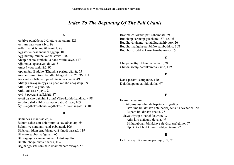## *Index To The Beginning Of The Pali Chants*

#### **A**

Ācāriye pamādena dvārattayena katam, 121 Aciram vata yam kāyo, 98 Adāsi me akāsi me ñāti-mittā, 98 Aggato ve pasannānam aggam, 103 Aggihuttam mukhā yaññā sāvitti, 102 Aham bhante sambahulā nānā-vatthukāyo, 117 Ajja mayā apaccavekkhitvā, 31 Aniccā vata sankhārā, 97 Appamāno Buddho (Khandha-paritta-gāthā), 55 Araham sammā-sambuddho bhagavā, 12, 25, 36, 114 Asevanā ca bālānam panditānañ ca sevanā, 49 Atītam nānvāgameyya na ppatikankhe anāgatam, 89 Atthi loke sīla-guno, 56 Atthi unhassa vijayo, 84 Avijjā-paccayā sankhārā, 87 Ayañ ca kho dakkhinā dinnā (Tiro-kudda-kandha...), 98 Āyudo balado dhīro vannado patibhānado, 103 Āyu-vaóóhako dhana-vaóóhako (Culla-maïgala...), 101

#### **B**

Bahū devā manussā ca, 49 Bāhum sahassam-abhinimmita-sāvudhantam, 64 Bahum ve saranam yanti pabbatāni, 106 Bhāsitam idam tena bhagavatā jānatā passatā, 119 Bhavatu sabba-mangalam, 66 Bhesajjam devamanussānam katukam, 84 Bhuttā bhogā bhatā bhaccā, 104 Bojihango sati-sankhāto dhammānam vicayo, 58

Brahmā ca lokādhipatī sahampati, 39 Buddham saranam gacchāmi, 37, 42, 46 Buddhavārahanta-varatādigunābhiyutto, 26 Buddho mangala-sambhūto sambuddho, 108 Buddho susuddho karunā-mahannavo, 15

#### **C**

Cha paññattiyo khandhapaññatti, 94 Chinda-sotam parakkamma kāme, 119

#### **D**

Dāna-pāramī-sampanno, 110 Dukkhappattā ca niddukkhā, 97

#### **E**

Evam me sutam ... Bārānasiyam viharati Isipatane migadāye ... Dve 'me bhikkhave antā pabbajitena na sevitabbā, 70 Rūpam bhikkhave anattā, 77 Sāvatthiyam viharati Jetavane ... Atha kho aññatarā devatā, 49 Bhūtapubbam bhikkhave devāsurasangāmo, 67 Uppādā vā bhikkhave Tathāgatānam, 82

#### **H**

Hetupaccayo ārammanapaccayo, 92, 96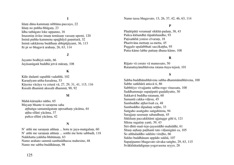#### **I**

Idam dāna-kammam nibbāna-paccayo, 22 Idam no puñña-bhāgam, 23 Idha tathāgato loke uppanno, 16 Imasmim āvāse imam temāsam vassam upemi, 120 Iminā puñña-kammena upajjhāyā gunuttarā, 32 Iminā sakkārena buddham abhipūjāyami, 36, 113 Iti pi so bhagavā araham,  $26, 63, 114$ 

### **J**

Jayanto bodhiyā mūle, 66 Jayāsanāgatā buddhā jetvā māram, 108

#### **K**

Kāle dadanti sapaññā vadaññū, 102 Karanīyam-attha-kusalena, 53 Kāyena vācāya va cetasā vā, 27, 29, 31, 41, 115, 116 Kusalā dhammā akusalā dhammā, 90, 92

#### **M**

Mahā-kāruniko nātho, 65 Mayam bhante ti-saranena saha atthanga-samannāgatam uposatham yācāma, 44 attha-sīlāni yācāma, 37 pañca-sīlāni yācāma, 42

#### **N**

 $N'$  atthi me saranam aññam ... hotu te jaya-mañgalam, 60 N' atthi me saranam aññam ... sotthi me hotu sabbadā, 118 Nakkhatta-yakkha-bhūtānam, 63 Namo arahato sammā-sambuddhassa mahesino, 48 Namo me sabba-buddhānam, 98

Namo tassa bhagavato, 13, 26, 37, 42, 46, 63, 114

#### **P**

Pānātipātā veramanī sikkhā-padam, 38, 43 Pañca-kkhandhā rūpakkhandho, 93 Patisankhā yoniso cīvaram, 18 Pharitvāna mettam sa-metta, 45 Puggalo upalabbhati saccikattha, 95 Putta-kāmo labhe puttam dhana-kāmo, 108

#### **R**

Rājato vā corato vā manussato, 50 Ratanattayānubhāvena ratana-ttaya-tejasā, 101

#### **S**

Sabba-buddhānubhāvena sabba-dhammānubhāvena, 100 Sabbe sankhārā aniccā ti, 86 Sabbītiyo vivajjantu sabba-rogo vinassatu, 100 Saddhammajo supatipatti-gunādiyutto, 30 Sakkatvā buddha-ratanam, 60 Samantā cakka-vālesu, 45 Sambuddhe atthavīsañ ca, 48 Sambuddho dipadam settho, 33 Sangaho asangaho sangahitena, 94 Sarajjam sasenam sabandhum, 45 Sikkham paccakkhāmi ajjatagge gihī ti, 121 Sīlena sugatim yanti, 39, 43 Siri-dhiti-mati-tejo-jayasiddhi-mahiddhi, 61 Sītam unham patihanti tato vālamigāni ca, 105 So athhaladdho sukhito virulho, 66 Sukho buddhānam uppādo sukhā, 107 Supatipanno bhagavato sāvaka-sañgho, 29, 63, 115 Svākkhātatādiguna-yogavasena seyyo, 28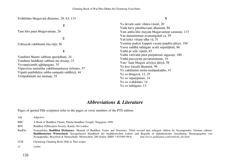#### Svākkhāto bhagavatā dhammo, 28, 63, 115

Tam kho pana bhagavantam, 26

**U**

**T**

Udetayañ cakkhumā eka-rājā, 56

**V**

Vandāmi bhante sabbam aparādham, 24 Vandāmi buddham sabbam me dosam, 23 Vevanniyamhi ajjhūpagato, 35 Vipassissa namatthu cakkhumantassa sirīmato, 57 Vipatti-pañibāhāya sabba-sampatti-siddhiyā, 44 Virūpakkhehi me mettam, 55

#### **Y**

Ya devatā santi vihāra-vāsinī, 20 Yadā have pātubhavanti dhammā, 88 Yam amha kho mayam bhagavantam saranam, 113 Yan dunnimittam avamañ galañ ca, 59 Yan kiñci vittam idha vā, 51 Yasmim padese kappeti vasam pandita-jātiyo, 104 Yassa saddhā tathāgate acalā supatit thitā, 86 Yathā pi selā vipulā, 85 Yathā vārivahā pūrā paripūrenti sāgaram, 100 Yathā-paccayam pavattamānam, 19 Yato 'ham bhagini ariyāya jātiyā, 58 Ye keci kusalā dhammā, 96 Yo cakkhumā moha-malāpakattho, 47 Yo so bhagavā, 12, 25 Yo so supatipanno, 14 Yo so svākkhāto, 14 Yo so tathāgato, 13

## *Abbreviations & Literature*

Pages of quoted Pāli scriptures refer to the pages or verse numbers of the PTS edition.

- Adj Adjective
- BBC A Book of Buddhist Chants, Palelai Buddhist Temple, Singapore 1998
- BPS Buddhist Publication Society, Kandy (Sri Lanka)
- BudDic Nyanatiloka, **Buddhist Dictionary**; Manual of Buddhist Terms and Doctrines. Third revised and enlarged edition by Nyanaponika. German edition: **Buddhistisches Wörterbuch**. Kurzgefasstes Handbuch der buddhistischen Lehren und Begriffe in alphabetischer Anordnung. Herausgegeben von Nyanaponika. Beyerlein & Steinschulte, Herrnschrot; 280 Seiten; ISBN 3-931095-09-6; *http://www.palikanon.com/wtb/wtb\_idx.html*
- CCB Chomtong Chanting Book (Pāli in Thai script)
- cf. confer